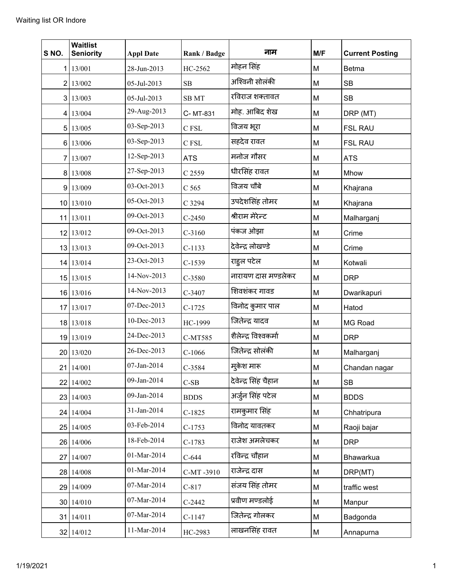| S NO. | <b>Waitlist</b><br><b>Seniority</b> | <b>Appl Date</b> | Rank / Badge     | नाम                  | M/F | <b>Current Posting</b> |
|-------|-------------------------------------|------------------|------------------|----------------------|-----|------------------------|
|       | 1   13/001                          | 28-Jun-2013      | HC-2562          | मोहन सिंह            | M   | Betma                  |
|       | 2 13/002                            | 05-Jul-2013      | SB               | अश्विनी सोलंकी       | M   | <b>SB</b>              |
|       | 3 13/003                            | 05-Jul-2013      | <b>SBMT</b>      | रविराज शक्तावत       | M   | <b>SB</b>              |
|       | 4 13/004                            | 29-Aug-2013      | C-MT-831         | मोह. आबिद शेख        | M   | DRP (MT)               |
|       | 5 13/005                            | 03-Sep-2013      | C FSL            | विजय भूरा            | M   | <b>FSL RAU</b>         |
|       | 6 13/006                            | 03-Sep-2013      | C FSL            | सहदेव रावत           | M   | <b>FSL RAU</b>         |
|       | 7 13/007                            | 12-Sep-2013      | <b>ATS</b>       | मनोज गौसर            | M   | <b>ATS</b>             |
|       | 8 13/008                            | 27-Sep-2013      | C 2559           | धीरसिंह रावत         | M   | Mhow                   |
|       | 9 13/009                            | 03-Oct-2013      | C <sub>565</sub> | विजय चौबे            | M   | Khajrana               |
|       | 10 13/010                           | 05-Oct-2013      | C 3294           | उपदेशसिंह तोमर       | M   | Khajrana               |
|       | 11 13/011                           | 09-Oct-2013      | $C-2450$         | श्रीराम मेरेन्ट      | M   | Malharganj             |
|       | 12 13/012                           | 09-Oct-2013      | $C-3160$         | पंकज ओझा             | M   | Crime                  |
|       | 13 13/013                           | 09-Oct-2013      | $C-1133$         | देवेन्द्र लोखण्डे    | M   | Crime                  |
|       | 14 13/014                           | 23-Oct-2013      | $C-1539$         | राहुल पटेल           | M   | Kotwali                |
|       | 15 13/015                           | 14-Nov-2013      | C-3580           | नारायण दास मण्डलेकर  | M   | <b>DRP</b>             |
|       | 16 13/016                           | 14-Nov-2013      | C-3407           | शिवशंकर गावड         | M   | Dwarikapuri            |
|       | 17 13/017                           | 07-Dec-2013      | $C-1725$         | विनोद कुमार पाल      | M   | Hatod                  |
|       | 18 13/018                           | 10-Dec-2013      | HC-1999          | जितेन्द्र यादव       | M   | MG Road                |
|       | 19 13/019                           | 24-Dec-2013      | C-MT585          | शैलेन्द्र विश्वकर्मा | M   | <b>DRP</b>             |
|       | 20 13/020                           | 26-Dec-2013      | $C-1066$         | जितेन्द्र सोलंकी     | M   | Malharganj             |
|       | 21 14/001                           | 07-Jan-2014      | C-3584           | मकेश मारू            | M   | Chandan nagar          |
|       | 22 14/002                           | 09-Jan-2014      | $C-SB$           | देवेन्द्र सिंह चैहान | M   | <b>SB</b>              |
|       | 23 14/003                           | 09-Jan-2014      | <b>BDDS</b>      | अर्जुन सिंह पटेल     | M   | <b>BDDS</b>            |
|       | 24 14/004                           | 31-Jan-2014      | $C-1825$         | रामकुमार सिंह        | M   | Chhatripura            |
|       | 25 14/005                           | 03-Feb-2014      | $C-1753$         | विनोद यावतकर         | M   | Raoji bajar            |
|       | 26 14/006                           | 18-Feb-2014      | $C-1783$         | राजेश अमलेचकर        | M   | <b>DRP</b>             |
|       | 27 14/007                           | 01-Mar-2014      | $C-644$          | रविन्द्र चौहान       | M   | Bhawarkua              |
|       | 28 14/008                           | 01-Mar-2014      | C-MT-3910        | राजेन्द्र दास        | M   | DRP(MT)                |
|       | 29 14/009                           | 07-Mar-2014      | $C-817$          | संजय सिंह तोमर       | M   | traffic west           |
|       | 30 14/010                           | 07-Mar-2014      | $C-2442$         | प्रवीण मण्डलोई       | M   | Manpur                 |
|       | 31   14/011                         | 07-Mar-2014      | $C-1147$         | जितेन्द्र गोलकर      | M   | Badgonda               |
|       | 32 14/012                           | 11-Mar-2014      | HC-2983          | लाखनसिंह रावत        | M   | Annapurna              |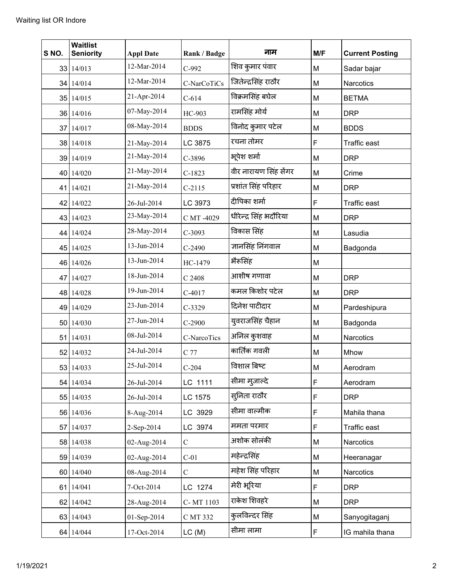| S NO. | <b>Waitlist</b><br><b>Seniority</b> | <b>Appl Date</b> | Rank / Badge  | नाम                    | M/F | <b>Current Posting</b> |
|-------|-------------------------------------|------------------|---------------|------------------------|-----|------------------------|
|       | 33 14/013                           | 12-Mar-2014      | $C-992$       | शिव कुमार पंवार        | M   | Sadar bajar            |
|       | 34 14/014                           | 12-Mar-2014      | C-NarCoTiCs   | जितेन्द्रसिंह राठौर    | M   | <b>Narcotics</b>       |
|       | 35 14/015                           | 21-Apr-2014      | $C-614$       | विक्रमसिंह बघेल        | M   | <b>BETMA</b>           |
|       | 36 14/016                           | 07-May-2014      | HC-903        | रामसिंह मोर्य          | M   | <b>DRP</b>             |
|       | 37 14/017                           | 08-May-2014      | <b>BDDS</b>   | विनोद कुमार पटेल       | M   | <b>BDDS</b>            |
|       | 38 14/018                           | 21-May-2014      | LC 3875       | रचना तोमर              | F   | <b>Traffic east</b>    |
|       | 39 14/019                           | 21-May-2014      | C-3896        | भूपेश शर्मा            | M   | <b>DRP</b>             |
|       | 40 14/020                           | 21-May-2014      | $C-1823$      | वीर नारायण सिंह सेंगर  | M   | Crime                  |
|       | 41 14/021                           | 21-May-2014      | $C-2115$      | प्रशांत सिंह परिहार    | M   | <b>DRP</b>             |
|       | 42 14/022                           | 26-Jul-2014      | LC 3973       | दीपिका शर्मा           | F   | Traffic east           |
|       | 43 14/023                           | 23-May-2014      | C MT -4029    | धीरेन्द्र सिंह भदौरिया | M   | <b>DRP</b>             |
|       | 44 14/024                           | 28-May-2014      | $C-3093$      | विकास सिंह             | M   | Lasudia                |
|       | 45 14/025                           | 13-Jun-2014      | $C-2490$      | ज्ञानसिंह निंगवाल      | M   | Badgonda               |
|       | 46 14/026                           | 13-Jun-2014      | HC-1479       | भैरूसिंह               | M   |                        |
| 47    | 14/027                              | 18-Jun-2014      | C 2408        | आशीष गणावा             | M   | <b>DRP</b>             |
|       | 48 14/028                           | 19-Jun-2014      | $C-4017$      | कमल किशोर पटेल         | M   | <b>DRP</b>             |
|       | 49 14/029                           | 23-Jun-2014      | $C-3329$      | दिनेश पाटीदार          | M   | Pardeshipura           |
|       | 50 14/030                           | 27-Jun-2014      | $C-2900$      | युवराजसिंह चैहान       | M   | Badgonda               |
|       | 51 14/031                           | 08-Jul-2014      | C-NarcoTics   | अनिल कुशवाह            | M   | Narcotics              |
|       | 52 14/032                           | 24-Jul-2014      | C 77          | कार्तिक गवली           | M   | Mhow                   |
|       | 53 14/033                           | 25-Jul-2014      | $C-204$       | विशाल बिष्ट            | M   | Aerodram               |
|       | 54 14/034                           | 26-Jul-2014      | LC 1111       | सीमा मुजाल्दे          | F   | Aerodram               |
|       | 55 14/035                           | 26-Jul-2014      | LC 1575       | सुनिता राठौर           | F   | <b>DRP</b>             |
|       | 56 14/036                           | 8-Aug-2014       | LC 3929       | सीमा वाल्मीक           | F   | Mahila thana           |
|       | 57 14/037                           | 2-Sep-2014       | LC 3974       | ममता परमार             | F   | Traffic east           |
|       | 58 14/038                           | 02-Aug-2014      | $\mathbf C$   | अशोक सोलंकी            | M   | Narcotics              |
|       | 59 14/039                           | 02-Aug-2014      | $C-01$        | महेन्द्रसिंह           | M   | Heeranagar             |
|       | 60 14/040                           | 08-Aug-2014      | $\mathcal{C}$ | महेश सिंह परिहार       | M   | Narcotics              |
|       | 61 14/041                           | 7-Oct-2014       | LC 1274       | मेरी भूरिया            | F   | <b>DRP</b>             |
|       | 62 14/042                           | 28-Aug-2014      | C-MT 1103     | राकेश शिवहरे           | M   | <b>DRP</b>             |
|       | 63 14/043                           | 01-Sep-2014      | C MT 332      | कुलविन्दर सिंह         | M   | Sanyogitaganj          |
|       | 64 14/044                           | 17-Oct-2014      | LC(M)         | सीमा लामा              | F   | IG mahila thana        |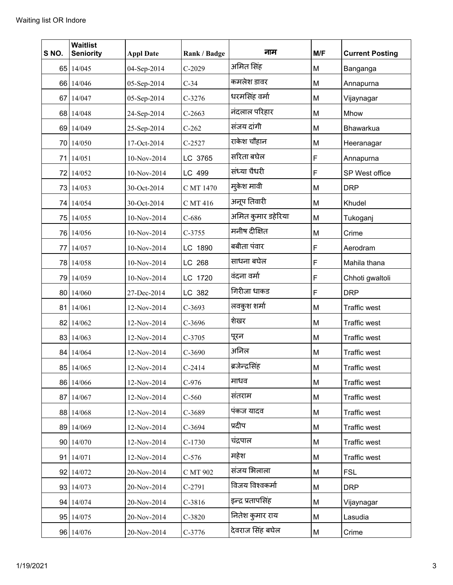| SNO. | <b>Waitlist</b><br><b>Seniority</b> | <b>Appl Date</b> | Rank / Badge | नाम                | M/F | <b>Current Posting</b> |
|------|-------------------------------------|------------------|--------------|--------------------|-----|------------------------|
|      | 65 14/045                           | 04-Sep-2014      | $C-2029$     | अमित सिंह          | M   | Banganga               |
|      | 66 14/046                           | 05-Sep-2014      | $C-34$       | कमलेश डावर         | M   | Annapurna              |
|      | 67 14/047                           | 05-Sep-2014      | $C-3276$     | धरमसिंह वर्मा      | M   | Vijaynagar             |
|      | 68 14/048                           | 24-Sep-2014      | $C-2663$     | नंदलाल परिहार      | M   | Mhow                   |
|      | 69 14/049                           | 25-Sep-2014      | $C-262$      | संजय दांगी         | M   | Bhawarkua              |
|      | 70 14/050                           | 17-Oct-2014      | $C-2527$     | राकेश चौहान        | M   | Heeranagar             |
|      | 71 14/051                           | 10-Nov-2014      | LC 3765      | सरिता बघेल         | F   | Annapurna              |
|      | 72 14/052                           | 10-Nov-2014      | LC 499       | संध्या चैधरी       | F   | SP West office         |
|      | 73 14/053                           | 30-Oct-2014      | C MT 1470    | मुकेश मावी         | M   | <b>DRP</b>             |
|      | 74 14/054                           | 30-Oct-2014      | C MT 416     | अनूप तिवारी        | M   | Khudel                 |
|      | 75 14/055                           | 10-Nov-2014      | $C-686$      | अमित कुमार डहेरिया | M   | Tukoganj               |
|      | 76 14/056                           | 10-Nov-2014      | C-3755       | मनीष दीक्षित       | M   | Crime                  |
|      | 77 14/057                           | 10-Nov-2014      | LC 1890      | बबीता पंवार        | F   | Aerodram               |
|      | 78 14/058                           | 10-Nov-2014      | LC 268       | साधना बघेल         | F   | Mahila thana           |
|      | 79 14/059                           | 10-Nov-2014      | LC 1720      | वंदना वर्मा        | F   | Chhoti gwaltoli        |
|      | 80 14/060                           | 27-Dec-2014      | LC 382       | गिरीजा धाकड        | F   | <b>DRP</b>             |
|      | 81 14/061                           | 12-Nov-2014      | $C-3693$     | लवकुश शर्मा        | M   | <b>Traffic west</b>    |
|      | 82 14/062                           | 12-Nov-2014      | $C-3696$     | शेखर               | M   | <b>Traffic west</b>    |
|      | 83 14/063                           | 12-Nov-2014      | $C-3705$     | पूरन               | M   | Traffic west           |
|      | 84 14/064                           | 12-Nov-2014      | $C-3690$     | अनिल               | M   | <b>Traffic west</b>    |
|      | 85 14/065                           | 12-Nov-2014      | $C-2414$     | ब्रजेन्द्रसिंह     | M   | Traffic west           |
|      | 86 14/066                           | 12-Nov-2014      | $C-976$      | माधव               | M   | <b>Traffic west</b>    |
|      | 87 14/067                           | 12-Nov-2014      | $C-560$      | संतराम             | M   | <b>Traffic west</b>    |
|      | 88 14/068                           | 12-Nov-2014      | C-3689       | पंकज यादव          | M   | <b>Traffic west</b>    |
|      | 89 14/069                           | 12-Nov-2014      | $C-3694$     | प्रदीप             | M   | <b>Traffic west</b>    |
|      | 90 14/070                           | 12-Nov-2014      | $C-1730$     | चंद्रपाल           | M   | <b>Traffic west</b>    |
|      | 91 14/071                           | 12-Nov-2014      | $C-576$      | महेश               | M   | <b>Traffic west</b>    |
|      | 92 14/072                           | 20-Nov-2014      | C MT 902     | संजय भिलाला        | M   | <b>FSL</b>             |
|      | 93 14/073                           | 20-Nov-2014      | $C-2791$     | विजय विश्वकर्मा    | M   | <b>DRP</b>             |
|      | 94 14/074                           | 20-Nov-2014      | $C-3816$     | इन्द्र प्रतापसिंह  | M   | Vijaynagar             |
|      | 95 14/075                           | 20-Nov-2014      | $C-3820$     | नितेश कुमार राय    | M   | Lasudia                |
|      | 96 14/076                           | 20-Nov-2014      | C-3776       | देवराज सिंह बघेल   | M   | Crime                  |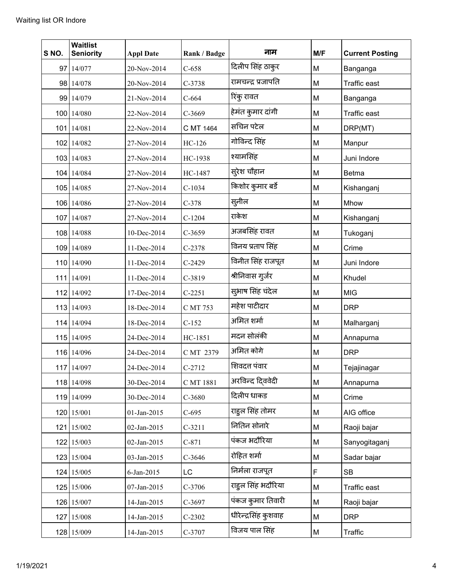| S NO. | <b>Waitlist</b><br><b>Seniority</b> | <b>Appl Date</b> | Rank / Badge | नाम                  | M/F | <b>Current Posting</b> |
|-------|-------------------------------------|------------------|--------------|----------------------|-----|------------------------|
|       | 97 14/077                           | 20-Nov-2014      | $C-658$      | दिलीप सिंह ठाकुर     | M   | Banganga               |
|       | 98 14/078                           | 20-Nov-2014      | $C-3738$     | रामचन्द्र प्रजापति   | M   | Traffic east           |
|       | 99 14/079                           | 21-Nov-2014      | $C-664$      | रिंकु रावत           | M   | Banganga               |
|       | 100 14/080                          | 22-Nov-2014      | $C-3669$     | हेमंत कुमार दांगी    | M   | Traffic east           |
|       | 101 14/081                          | 22-Nov-2014      | C MT 1464    | सचिन पटेल            | M   | DRP(MT)                |
|       | 102 14/082                          | 27-Nov-2014      | HC-126       | गोविन्द सिंह         | M   | Manpur                 |
|       | 103 14/083                          | 27-Nov-2014      | HC-1938      | श्यामसिंह            | M   | Juni Indore            |
|       | 104 14/084                          | 27-Nov-2014      | HC-1487      | स् <b>रेश चौहा</b> न | M   | <b>Betma</b>           |
|       | 105 14/085                          | 27-Nov-2014      | $C-1034$     | किशोर कुमार बर्डे    | M   | Kishanganj             |
|       | 106 14/086                          | 27-Nov-2014      | $C-378$      | सुनील                | M   | Mhow                   |
|       | 107 14/087                          | 27-Nov-2014      | $C-1204$     | राकेश                | M   | Kishanganj             |
|       | 108 14/088                          | 10-Dec-2014      | $C-3659$     | अजबसिंह रावत         | M   | Tukoganj               |
|       | 109 14/089                          | 11-Dec-2014      | $C-2378$     | विनय प्रताप सिंह     | M   | Crime                  |
|       | 110 14/090                          | 11-Dec-2014      | $C-2429$     | विनीत सिंह राजपूत    | M   | Juni Indore            |
|       | 111 14/091                          | 11-Dec-2014      | C-3819       | श्रीनिवास गुर्जर     | M   | Khudel                 |
|       | 112 14/092                          | 17-Dec-2014      | $C-2251$     | सुभाष सिंह चंदेल     | M   | <b>MIG</b>             |
|       | 113 14/093                          | 18-Dec-2014      | C MT 753     | महेश पाटीदार         | M   | <b>DRP</b>             |
|       | 114 14/094                          | 18-Dec-2014      | $C-152$      | अमित शर्मा           | M   | Malharganj             |
|       | 115 14/095                          | 24-Dec-2014      | HC-1851      | मदन सोलंकी           | M   | Annapurna              |
|       | 116 14/096                          | 24-Dec-2014      | C MT 2379    | अमित कोगे            | M   | <b>DRP</b>             |
|       | 117 14/097                          | 24-Dec-2014      | $C-2712$     | शिवदत्त पंवार        | М   | Tejajinagar            |
|       | 118 14/098                          | 30-Dec-2014      | C MT 1881    | अरविन्द दिववेदी      | М   | Annapurna              |
|       | 119 14/099                          | 30-Dec-2014      | $C-3680$     | दिलीप धाकड           | M   | Crime                  |
|       | 120 15/001                          | 01-Jan-2015      | $C-695$      | राहुल सिंह तोमर      | M   | AIG office             |
|       | $121$   15/002                      | 02-Jan-2015      | $C-3211$     | नितिन सोनारे         | M   | Raoji bajar            |
|       | 122 15/003                          | 02-Jan-2015      | $C-871$      | पंकज भदौरिया         | M   | Sanyogitaganj          |
|       | 123 15/004                          | 03-Jan-2015      | $C-3646$     | रोहित शर्मा          | M   | Sadar bajar            |
|       | 124 15/005                          | 6-Jan-2015       | LC           | निर्मला राजपूत       | F   | <b>SB</b>              |
|       | 125 15/006                          | 07-Jan-2015      | $C-3706$     | राहुल सिंह भदौरिया   | M   | Traffic east           |
|       | 126 15/007                          | 14-Jan-2015      | $C-3697$     | पंकज कुमार तिवारी    | M   | Raoji bajar            |
|       | 127 15/008                          | 14-Jan-2015      | $C-2302$     | धीरेन्द्रसिंह कुशवाह | M   | <b>DRP</b>             |
|       | 128 15/009                          | 14-Jan-2015      | C-3707       | विजय पाल सिंह        | M   | Traffic                |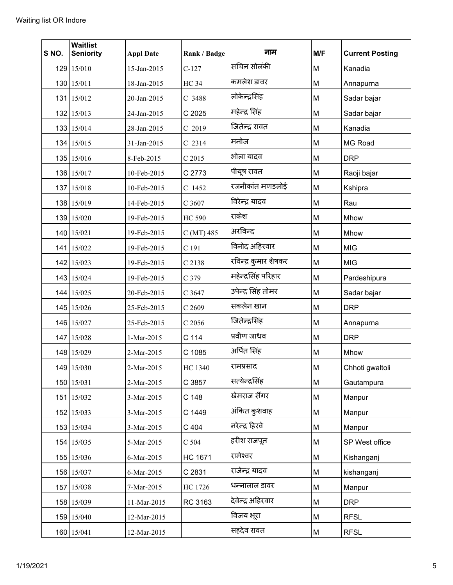| S NO. | <b>Waitlist</b><br><b>Seniority</b> | <b>Appl Date</b> | Rank / Badge     | नाम                  | M/F | <b>Current Posting</b> |
|-------|-------------------------------------|------------------|------------------|----------------------|-----|------------------------|
|       | 129 15/010                          | 15-Jan-2015      | $C-127$          | सचिन सोलंकी          | M   | Kanadia                |
|       | 130 15/011                          | 18-Jan-2015      | <b>HC 34</b>     | कमलेश डावर           | M   | Annapurna              |
|       | 131 15/012                          | 20-Jan-2015      | C 3488           | लोकेन्द्रसिंह        | M   | Sadar bajar            |
|       | 132 15/013                          | 24-Jan-2015      | C 2025           | महेन्द्र सिंह        | M   | Sadar bajar            |
|       | 133 15/014                          | 28-Jan-2015      | $C$ 2019         | जितेन्द्र रावत       | M   | Kanadia                |
|       | 134 15/015                          | 31-Jan-2015      | $C$ 2314         | मनोज                 | M   | MG Road                |
|       | 135 15/016                          | 8-Feb-2015       | $C$ 2015         | भोला यादव            | M   | <b>DRP</b>             |
|       | 136 15/017                          | 10-Feb-2015      | C 2773           | पीयूष रावत           | M   | Raoji bajar            |
|       | 137 15/018                          | 10-Feb-2015      | C 1452           | रजनीकांत मणडलोई      | M   | Kshipra                |
|       | 138 15/019                          | 14-Feb-2015      | C 3607           | विरेन्द्र यादव       | M   | Rau                    |
|       | 139 15/020                          | 19-Feb-2015      | <b>HC 590</b>    | राकेश                | M   | Mhow                   |
|       | 140 15/021                          | 19-Feb-2015      | $C(MT)$ 485      | अरविन्द              | M   | Mhow                   |
|       | 141 15/022                          | 19-Feb-2015      | C <sub>191</sub> | विनोद अहिरवार        | M   | <b>MIG</b>             |
|       | 142 15/023                          | 19-Feb-2015      | C 2138           | रविन्द्र कुमार शेषकर | M   | <b>MIG</b>             |
|       | 143 15/024                          | 19-Feb-2015      | C 379            | महेन्द्रसिंह परिहार  | M   | Pardeshipura           |
|       | 144 15/025                          | 20-Feb-2015      | C 3647           | उपेन्द्र सिंह तोमर   | M   | Sadar bajar            |
|       | 145 15/026                          | 25-Feb-2015      | $C$ 2609         | सकलेन खान            | M   | <b>DRP</b>             |
|       | 146 15/027                          | 25-Feb-2015      | $C$ 2056         | जितेन्द्रसिंह        | M   | Annapurna              |
|       | 147 15/028                          | 1-Mar-2015       | C 114            | प्रवीण जाधव          | M   | <b>DRP</b>             |
|       | 148 15/029                          | 2-Mar-2015       | C 1085           | अर्पित सिंह          | M   | Mhow                   |
|       | 149 15/030                          | 2-Mar-2015       | HC 1340          | रामप्रसाद            | М   | Chhoti gwaltoli        |
|       | 150 15/031                          | 2-Mar-2015       | C 3857           | सत्येन्द्रसिंह       | М   | Gautampura             |
|       | 151 15/032                          | 3-Mar-2015       | C 148            | खेमराज सैंगर         | M   | Manpur                 |
|       | 152 15/033                          | 3-Mar-2015       | C 1449           | अंकित कुशवाह         | M   | Manpur                 |
|       | 153 15/034                          | 3-Mar-2015       | C 404            | नरेन्द्र हिरवे       | M   | Manpur                 |
|       | 154 15/035                          | 5-Mar-2015       | C <sub>504</sub> | हरीश राजपूत          | M   | SP West office         |
|       | 155 15/036                          | 6-Mar-2015       | <b>HC 1671</b>   | रामेश्वर             | M   | Kishanganj             |
|       | 156 15/037                          | 6-Mar-2015       | C 2831           | राजेन्द्र यादव       | M   | kishanganj             |
|       | 157 15/038                          | 7-Mar-2015       | HC 1726          | धन्नालाल डावर        | M   | Manpur                 |
|       | 158 15/039                          | 11-Mar-2015      | RC 3163          | देवेन्द्र अहिरवार    | M   | <b>DRP</b>             |
|       | 159 15/040                          | 12-Mar-2015      |                  | विजय भूरा            | M   | <b>RFSL</b>            |
|       | 160 15/041                          | 12-Mar-2015      |                  | सहदेव रावत           | M   | <b>RFSL</b>            |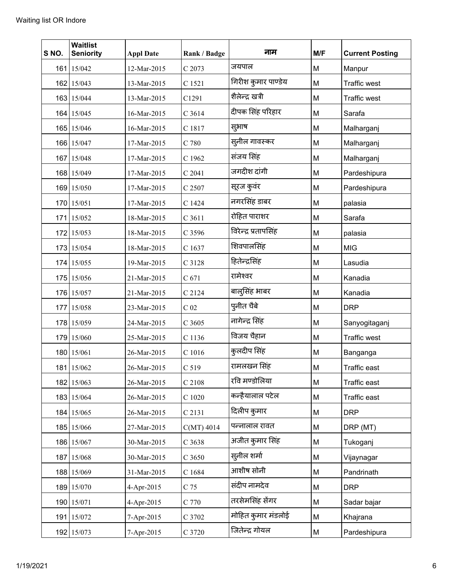| S NO. | <b>Waitlist</b><br><b>Seniority</b> | <b>Appl Date</b> | Rank / Badge    | नाम                  | M/F | <b>Current Posting</b> |
|-------|-------------------------------------|------------------|-----------------|----------------------|-----|------------------------|
|       | 161 15/042                          | 12-Mar-2015      | C 2073          | जयपाल                | M   | Manpur                 |
|       | 162 15/043                          | 13-Mar-2015      | C 1521          | गिरीश कुमार पाण्डेय  | M   | <b>Traffic west</b>    |
|       | 163 15/044                          | 13-Mar-2015      | C1291           | शैलेन्द्र खत्री      | M   | <b>Traffic west</b>    |
|       | 164 15/045                          | 16-Mar-2015      | C 3614          | दीपक सिंह परिहार     | M   | Sarafa                 |
|       | 165 15/046                          | 16-Mar-2015      | C 1817          | सुभाष                | M   | Malharganj             |
|       | 166 15/047                          | 17-Mar-2015      | C 780           | सुनील गावस्कर        | M   | Malharganj             |
|       | 167 15/048                          | 17-Mar-2015      | C 1962          | संजय सिंह            | M   | Malharganj             |
|       | 168 15/049                          | 17-Mar-2015      | C 2041          | जगदीश दांगी          | M   | Pardeshipura           |
|       | 169 15/050                          | 17-Mar-2015      | C 2507          | सूरज कुवंर           | M   | Pardeshipura           |
|       | 170 15/051                          | 17-Mar-2015      | C 1424          | नगरसिंह डाबर         | M   | palasia                |
|       | 171 15/052                          | 18-Mar-2015      | $C$ 3611        | रोहित पाराशर         | M   | Sarafa                 |
|       | 172 15/053                          | 18-Mar-2015      | C 3596          | विरेन्द्र प्रतापसिंह | M   | palasia                |
|       | 173 15/054                          | 18-Mar-2015      | C 1637          | शिवपालसिंह           | M   | <b>MIG</b>             |
|       | 174 15/055                          | 19-Mar-2015      | C 3128          | हितेन्द्रसिंह        | M   | Lasudia                |
|       | 175 15/056                          | 21-Mar-2015      | C 671           | रामेश्वर             | M   | Kanadia                |
|       | 176 15/057                          | 21-Mar-2015      | C 2124          | बाल्सिंह भाबर        | M   | Kanadia                |
|       | 177 15/058                          | 23-Mar-2015      | C <sub>02</sub> | पुनीत चैबे           | M   | <b>DRP</b>             |
|       | 178 15/059                          | 24-Mar-2015      | C 3605          | नागेन्द्र सिंह       | M   | Sanyogitaganj          |
|       | 179 15/060                          | 25-Mar-2015      | C 1136          | विजय चैहान           | M   | <b>Traffic west</b>    |
|       | 180 15/061                          | 26-Mar-2015      | C 1016          | कुलदीप सिंह          | M   | Banganga               |
|       | 181 15/062                          | 26-Mar-2015      | C 519           | रामलखन सिंह          | M   | Traffic east           |
|       | 182 15/063                          | 26-Mar-2015      | C 2108          | रवि मण्डोलिया        | M   | Traffic east           |
|       | 183 15/064                          | 26-Mar-2015      | $C$ 1020        | कन्हैयालाल पटेल      | M   | Traffic east           |
|       | 184 15/065                          | 26-Mar-2015      | C 2131          | दिलीप कुमार          | M   | <b>DRP</b>             |
|       | 185 15/066                          | 27-Mar-2015      | $C(MT)$ 4014    | पन्नालाल रावत        | M   | DRP (MT)               |
|       | 186 15/067                          | 30-Mar-2015      | C 3638          | अजीत कुमार सिंह      | M   | Tukoganj               |
|       | 187 15/068                          | 30-Mar-2015      | $C$ 3650        | सुनील शर्मा          | M   | Vijaynagar             |
|       | 188 15/069                          | 31-Mar-2015      | C 1684          | आशीष सोनी            | M   | Pandrinath             |
|       | 189 15/070                          | 4-Apr-2015       | C 75            | संदीप नामदेव         | M   | <b>DRP</b>             |
|       | 190 15/071                          | 4-Apr-2015       | C 770           | तरसेमसिंह सेंगर      | M   | Sadar bajar            |
|       | 191 15/072                          | 7-Apr-2015       | C 3702          | मोहित कुमार मंडलोई   | M   | Khajrana               |
|       | 192 15/073                          | 7-Apr-2015       | C 3720          | जितेन्द्र गोयल       | M   | Pardeshipura           |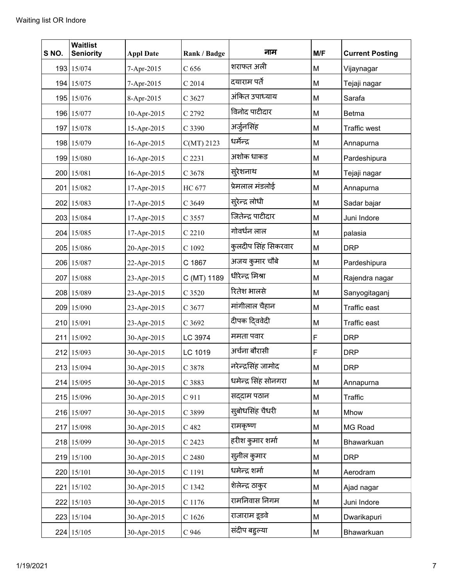| S NO. | <b>Waitlist</b><br><b>Seniority</b> | <b>Appl Date</b> | Rank / Badge     | नाम                  | M/F | <b>Current Posting</b> |
|-------|-------------------------------------|------------------|------------------|----------------------|-----|------------------------|
|       | 193 15/074                          | 7-Apr-2015       | C <sub>656</sub> | शराफत अली            | M   | Vijaynagar             |
|       | 194 15/075                          | 7-Apr-2015       | $C$ 2014         | दयाराम पर्ते         | M   | Tejaji nagar           |
|       | 195 15/076                          | 8-Apr-2015       | C 3627           | अंकित उपाध्याय       | M   | Sarafa                 |
|       | 196 15/077                          | 10-Apr-2015      | C 2792           | विनोद पाटीदार        | M   | <b>Betma</b>           |
|       | 197 15/078                          | 15-Apr-2015      | C 3390           | अर्जुनसिंह           | M   | <b>Traffic west</b>    |
|       | 198 15/079                          | 16-Apr-2015      | $C(MT)$ 2123     | धर्मेन्द्र           | M   | Annapurna              |
|       | 199 15/080                          | 16-Apr-2015      | C 2231           | अशोक धाकड            | M   | Pardeshipura           |
|       | 200 15/081                          | 16-Apr-2015      | C 3678           | स्रेशनाथ             | M   | Tejaji nagar           |
|       | 201 15/082                          | 17-Apr-2015      | HC 677           | प्रेमलाल मंडलोई      | M   | Annapurna              |
|       | 202 15/083                          | 17-Apr-2015      | C 3649           | सुरेन्द्र लोधी       | M   | Sadar bajar            |
|       | 203 15/084                          | 17-Apr-2015      | C 3557           | जितेन्द्र पाटीदार    | M   | Juni Indore            |
|       | 204 15/085                          | 17-Apr-2015      | C 2210           | गोवर्धन लाल          | M   | palasia                |
|       | 205 15/086                          | 20-Apr-2015      | C 1092           | कुलदीप सिंह सिकरवार  | M   | <b>DRP</b>             |
|       | 206 15/087                          | 22-Apr-2015      | C 1867           | अजय कुमार चौबे       | M   | Pardeshipura           |
|       | 207 15/088                          | 23-Apr-2015      | C (MT) 1189      | धीरेन्द्र मिश्रा     | M   | Rajendra nagar         |
|       | 208 15/089                          | 23-Apr-2015      | C 3520           | रितेश भालसे          | M   | Sanyogitaganj          |
|       | 209 15/090                          | 23-Apr-2015      | C 3677           | मांगीलाल चैहान       | M   | <b>Traffic east</b>    |
|       | 210 15/091                          | 23-Apr-2015      | C 3692           | दीपक दिववेदी         | M   | Traffic east           |
|       | 211 15/092                          | 30-Apr-2015      | LC 3974          | ममता पवार            | F   | <b>DRP</b>             |
|       | 212 15/093                          | 30-Apr-2015      | LC 1019          | अर्चना बौरासी        | F   | <b>DRP</b>             |
|       | 213 15/094                          | 30-Apr-2015      | C 3878           | नरेन्द्रसिंह जामोद   | M   | <b>DRP</b>             |
|       | 214 15/095                          | 30-Apr-2015      | C 3883           | धमेन्द्र सिंह सोनगरा | M   | Annapurna              |
|       | 215 15/096                          | 30-Apr-2015      | C 911            | सद्दाम पठान          | M   | Traffic                |
|       | 216 15/097                          | 30-Apr-2015      | C 3899           | सुबोधसिंह चैधरी      | М   | Mhow                   |
|       | 217 15/098                          | 30-Apr-2015      | C 482            | रामकृष्ण             | M   | MG Road                |
|       | 218 15/099                          | 30-Apr-2015      | C 2423           | हरीश कुमार शर्मा     | M   | Bhawarkuan             |
|       | 219 15/100                          | 30-Apr-2015      | $C$ 2480         | सुनील कुमार          | M   | <b>DRP</b>             |
|       | 220 15/101                          | 30-Apr-2015      | C 1191           | धमेन्द्र शर्मा       | M   | Aerodram               |
|       | 221 15/102                          | 30-Apr-2015      | C 1342           | शेलेन्द्र ठाकुर      | M   | Ajad nagar             |
|       | 222 15/103                          | 30-Apr-2015      | C 1176           | रामनिवास निगम        | M   | Juni Indore            |
|       | 223 15/104                          | 30-Apr-2015      | C1626            | राजाराम डूडवे        | M   | Dwarikapuri            |
|       | 224 15/105                          | 30-Apr-2015      | C 946            | संदीप बद्दल्या       | M   | Bhawarkuan             |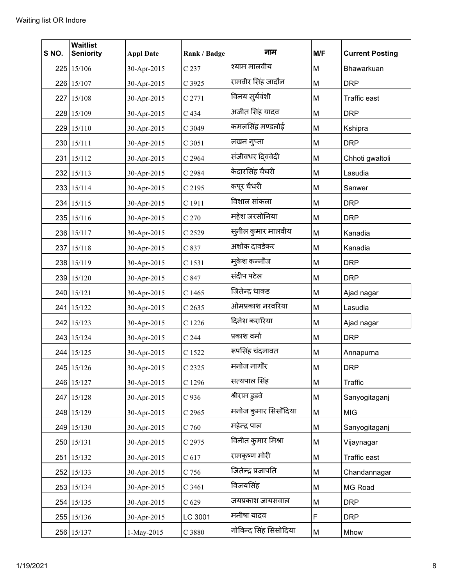| S NO. | <b>Waitlist</b><br><b>Seniority</b> | <b>Appl Date</b> | Rank / Badge      | नाम                   | M/F | <b>Current Posting</b> |
|-------|-------------------------------------|------------------|-------------------|-----------------------|-----|------------------------|
|       | 225 15/106                          | 30-Apr-2015      | C 237             | श्याम मालवीय          | M   | Bhawarkuan             |
|       | 226 15/107                          | 30-Apr-2015      | C 3925            | रामवीर सिंह जादौन     | M   | <b>DRP</b>             |
|       | 227 15/108                          | 30-Apr-2015      | C 2771            | विनय सुर्यवंशी        | M   | <b>Traffic east</b>    |
|       | 228 15/109                          | 30-Apr-2015      | C 434             | अजीत सिंह यादव        | M   | <b>DRP</b>             |
|       | 229 15/110                          | 30-Apr-2015      | C 3049            | कमलसिंह मण्डलोई       | M   | Kshipra                |
|       | 230 15/111                          | 30-Apr-2015      | C 3051            | लखन गुप्ता            | M   | <b>DRP</b>             |
|       | 231 15/112                          | 30-Apr-2015      | C 2964            | संजीवधर दिववेदी       | M   | Chhoti gwaltoli        |
|       | 232 15/113                          | 30-Apr-2015      | C 2984            | केदारसिंह चैधरी       | M   | Lasudia                |
|       | 233 15/114                          | 30-Apr-2015      | C 2195            | कपूर चैधरी            | M   | Sanwer                 |
|       | 234 15/115                          | 30-Apr-2015      | C 1911            | विशाल सांकला          | M   | <b>DRP</b>             |
|       | 235 15/116                          | 30-Apr-2015      | C 270             | महेश जरसोनिया         | M   | <b>DRP</b>             |
|       | 236 15/117                          | 30-Apr-2015      | C 2529            | सूनील कुमार मालवीय    | M   | Kanadia                |
|       | 237 15/118                          | 30-Apr-2015      | C 837             | अशोक दावडेकर          | M   | Kanadia                |
|       | 238 15/119                          | 30-Apr-2015      | C 1531            | म्केश कन्नौज          | M   | <b>DRP</b>             |
|       | 239 15/120                          | 30-Apr-2015      | C 847             | संदीप पटेल            | M   | <b>DRP</b>             |
|       | 240 15/121                          | 30-Apr-2015      | C 1465            | जितेन्द्र धाकड        | M   | Ajad nagar             |
|       | 241 15/122                          | 30-Apr-2015      | C <sub>2635</sub> | ओमप्रकाश नरवरिया      | M   | Lasudia                |
|       | 242 15/123                          | 30-Apr-2015      | C 1226            | दिनेश करारिया         | M   | Ajad nagar             |
|       | 243 15/124                          | 30-Apr-2015      | C <sub>244</sub>  | प्रकाश वर्मा          | M   | <b>DRP</b>             |
|       | 244 15/125                          | 30-Apr-2015      | C 1522            | रूपसिंह चंदनावत       | M   | Annapurna              |
|       | 245 15/126                          | 30-Apr-2015      | C 2325            | मनोज नागौर            | M   | <b>DRP</b>             |
|       | 246 15/127                          | 30-Apr-2015      | C 1296            | सत्यपाल सिंह          | M   | Traffic                |
|       | 247 15/128                          | 30-Apr-2015      | $C$ 936           | श्रीराम डुडवे         | M   | Sanyogitaganj          |
|       | 248 15/129                          | 30-Apr-2015      | C 2965            | मनोज कुमार सिसौदिया   | M   | <b>MIG</b>             |
|       | 249 15/130                          | 30-Apr-2015      | $C$ 760           | महेन्द्र पाल          | M   | Sanyogitaganj          |
|       | 250 15/131                          | 30-Apr-2015      | C 2975            | विनीत कुमार मिश्रा    | M   | Vijaynagar             |
|       | 251 15/132                          | 30-Apr-2015      | C 617             | रामकृष्ण मोरी         | M   | Traffic east           |
|       | 252 15/133                          | 30-Apr-2015      | C 756             | जितेन्द्र प्रजापति    | M   | Chandannagar           |
|       | 253 15/134                          | 30-Apr-2015      | C 3461            | विजयसिंह              | M   | MG Road                |
|       | 254 15/135                          | 30-Apr-2015      | C <sub>629</sub>  | जयप्रकाश जायसवाल      | M   | <b>DRP</b>             |
|       | 255 15/136                          | 30-Apr-2015      | LC 3001           | मनीषा यादव            | F   | <b>DRP</b>             |
|       | 256 15/137                          | 1-May-2015       | C 3880            | गोविन्द सिंह सिसोदिया | M   | Mhow                   |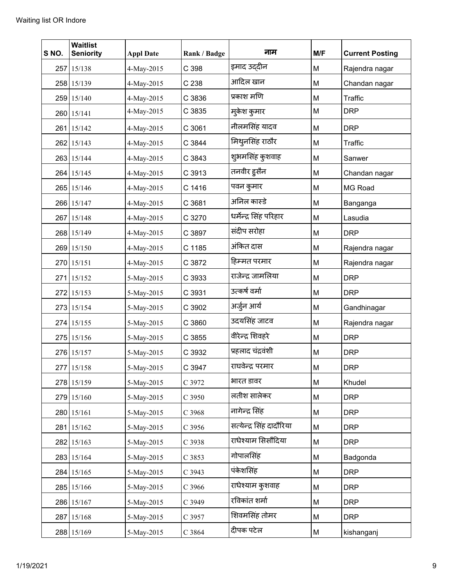| S NO. | <b>Waitlist</b><br><b>Seniority</b> | <b>Appl Date</b> | Rank / Badge | नाम                      | M/F | <b>Current Posting</b> |
|-------|-------------------------------------|------------------|--------------|--------------------------|-----|------------------------|
|       | 257 15/138                          | 4-May-2015       | C 398        | इमाद उद्दीन              | M   | Rajendra nagar         |
|       | 258 15/139                          | 4-May-2015       | C 238        | आदिल खान                 | M   | Chandan nagar          |
|       | 259 15/140                          | 4-May-2015       | C 3836       | प्रकाश मणि               | M   | Traffic                |
|       | 260 15/141                          | 4-May-2015       | C 3835       | म्केश कुमार              | M   | <b>DRP</b>             |
|       | 261 15/142                          | 4-May-2015       | C 3061       | नीलमसिंह यादव            | M   | <b>DRP</b>             |
|       | 262 15/143                          | 4-May-2015       | C 3844       | मिथुनसिंह राठौर          | M   | Traffic                |
|       | 263 15/144                          | 4-May-2015       | C 3843       | शुभमसिंह कुशवाह          | M   | Sanwer                 |
|       | 264 15/145                          | 4-May-2015       | C 3913       | तनवीर हूसैन              | M   | Chandan nagar          |
|       | 265 15/146                          | 4-May-2015       | C 1416       | पवन कुमार                | M   | MG Road                |
|       | 266 15/147                          | 4-May-2015       | C 3681       | अनिल कास्डे              | M   | Banganga               |
|       | 267 15/148                          | 4-May-2015       | C 3270       | धर्मेन्द्र सिंह परिहार   | M   | Lasudia                |
|       | 268 15/149                          | 4-May-2015       | C 3897       | संदीप सरोहा              | M   | <b>DRP</b>             |
|       | 269 15/150                          | 4-May-2015       | C 1185       | अंकित दास                | M   | Rajendra nagar         |
|       | 270 15/151                          | 4-May-2015       | C 3872       | हिम्मत परमार             | M   | Rajendra nagar         |
|       | 271 15/152                          | 5-May-2015       | C 3933       | राजेन्द्र जामलिया        | M   | <b>DRP</b>             |
|       | 272 15/153                          | 5-May-2015       | C 3931       | उत्कर्ष वर्मा            | M   | <b>DRP</b>             |
|       | 273 15/154                          | 5-May-2015       | C 3902       | अर्जुन आर्य              | M   | Gandhinagar            |
|       | 274 15/155                          | 5-May-2015       | C 3860       | उदयसिंह जाटव             | M   | Rajendra nagar         |
|       | 275 15/156                          | 5-May-2015       | C 3855       | वीरेन्द्र शिवहरे         | M   | <b>DRP</b>             |
|       | 276 15/157                          | 5-May-2015       | C 3932       | प्रहलाद चंद्रवंशी        | M   | <b>DRP</b>             |
|       | 277 15/158                          | 5-May-2015       | C 3947       | राघवेन्द्र परमार         | M   | <b>DRP</b>             |
|       | 278 15/159                          | 5-May-2015       | C 3972       | भारत डावर                | M   | Khudel                 |
|       | 279 15/160                          | 5-May-2015       | $C$ 3950     | लतीश सालेकर              | M   | <b>DRP</b>             |
|       | 280 15/161                          | 5-May-2015       | C 3968       | नागेन्द्र सिंह           | M   | <b>DRP</b>             |
|       | 281 15/162                          | 5-May-2015       | $C$ 3956     | सत्येन्द्र सिंह दादौरिया | M   | <b>DRP</b>             |
|       | 282 15/163                          | 5-May-2015       | C 3938       | राधेश्याम सिसौंदिया      | M   | <b>DRP</b>             |
|       | 283 15/164                          | 5-May-2015       | C 3853       | गोपालसिंह                | M   | Badgonda               |
|       | 284 15/165                          | 5-May-2015       | C 3943       | पंकेशसिंह                | M   | <b>DRP</b>             |
|       | 285 15/166                          | 5-May-2015       | C 3966       | राधेश्याम कुशवाह         | M   | <b>DRP</b>             |
|       | 286 15/167                          | 5-May-2015       | C 3949       | रविकांत शर्मा            | M   | <b>DRP</b>             |
|       | 287 15/168                          | 5-May-2015       | C 3957       | शिवमसिंह तोमर            | M   | <b>DRP</b>             |
|       | 288 15/169                          | 5-May-2015       | C 3864       | दीपक पटेल                | M   | kishanganj             |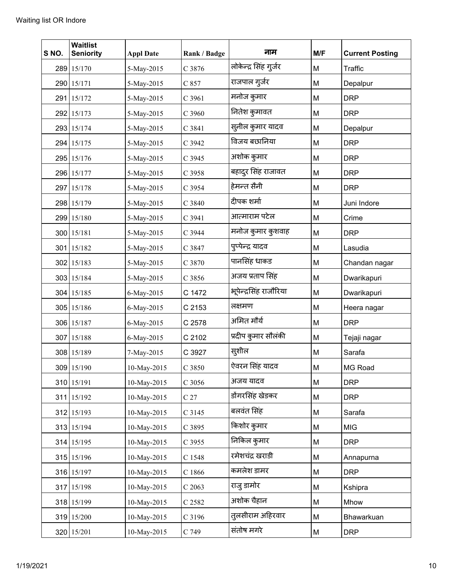| S NO. | <b>Waitlist</b><br><b>Seniority</b> | <b>Appl Date</b> | Rank / Badge    | नाम                    | M/F | <b>Current Posting</b> |
|-------|-------------------------------------|------------------|-----------------|------------------------|-----|------------------------|
|       | 289 15/170                          | 5-May-2015       | C 3876          | लोकेन्द्र सिंह गुर्जर  | М   | Traffic                |
|       | 290 15/171                          | 5-May-2015       | C 857           | राजपाल गुर्जर          | M   | Depalpur               |
|       | 291 15/172                          | 5-May-2015       | C 3961          | मनोज कुमार             | M   | <b>DRP</b>             |
|       | 292 15/173                          | 5-May-2015       | C 3960          | नितेश कुमावत           | M   | <b>DRP</b>             |
|       | 293 15/174                          | 5-May-2015       | C 3841          | स्लील कुमार यादव       | М   | Depalpur               |
|       | 294 15/175                          | 5-May-2015       | C 3942          | विजय बछानिया           | М   | <b>DRP</b>             |
|       | 295 15/176                          | 5-May-2015       | C 3945          | अशोक कुमार             | M   | <b>DRP</b>             |
|       | 296 15/177                          | 5-May-2015       | C 3958          | बहादुर सिंह राजावत     | M   | <b>DRP</b>             |
|       | 297 15/178                          | 5-May-2015       | C 3954          | हेमन्त सैनी            | М   | <b>DRP</b>             |
|       | 298 15/179                          | 5-May-2015       | C 3840          | दीपक शर्मा             | M   | Juni Indore            |
|       | 299 15/180                          | 5-May-2015       | C 3941          | आत्माराम पटेल          | M   | Crime                  |
|       | 300 15/181                          | 5-May-2015       | C 3944          | मनोज कुमार कुशवाह      | M   | <b>DRP</b>             |
|       | 301 15/182                          | 5-May-2015       | C 3847          | पुप्पेन्द्र यादव       | M   | Lasudia                |
|       | 302 15/183                          | 5-May-2015       | C 3870          | पानसिंह धाकड           | M   | Chandan nagar          |
|       | 303 15/184                          | 5-May-2015       | C 3856          | अजय प्रताप सिंह        | M   | Dwarikapuri            |
|       | 304 15/185                          | 6-May-2015       | C 1472          | भूपेन्द्रसिंह राजौरिया | M   | Dwarikapuri            |
|       | 305 15/186                          | 6-May-2015       | C 2153          | लक्षमण                 | M   | Heera nagar            |
|       | 306 15/187                          | 6-May-2015       | C 2578          | अमित मौर्य             | M   | <b>DRP</b>             |
|       | 307 15/188                          | 6-May-2015       | C 2102          | प्रदीप कुमार सौलंकी    | M   | Tejaji nagar           |
|       | 308 15/189                          | 7-May-2015       | C 3927          | स्(शील                 | M   | Sarafa                 |
|       | 309 15/190                          | 10-May-2015      | C 3850          | ऐवरन सिंह यादव         | M   | MG Road                |
|       | 310 15/191                          | 10-May-2015      | C 3056          | अजय यादव               | M   | <b>DRP</b>             |
|       | 311 15/192                          | 10-May-2015      | C <sub>27</sub> | डोंगरसिंह खेडकर        | M   | <b>DRP</b>             |
|       | 312 15/193                          | 10-May-2015      | C 3145          | बलवंत सिंह             | M   | Sarafa                 |
|       | 313 15/194                          | 10-May-2015      | C 3895          | किशोर कुमार            | M   | <b>MIG</b>             |
|       | 314 15/195                          | 10-May-2015      | C 3955          | निकिल कुमार            | M   | <b>DRP</b>             |
|       | 315 15/196                          | 10-May-2015      | C 1548          | रमेशचंद्र खराडी        | M   | Annapurna              |
|       | 316 15/197                          | 10-May-2015      | C 1866          | कमलेश डामर             | M   | <b>DRP</b>             |
|       | 317 15/198                          | 10-May-2015      | $C$ 2063        | राजू डामोर             | M   | Kshipra                |
|       | 318 15/199                          | 10-May-2015      | C 2582          | अशोक चैहान             | M   | Mhow                   |
|       | 319 15/200                          | 10-May-2015      | C 3196          | तुलसीराम अहिरवार       | M   | Bhawarkuan             |
|       | 320 15/201                          | 10-May-2015      | C 749           | संतोष मगरे             | M   | <b>DRP</b>             |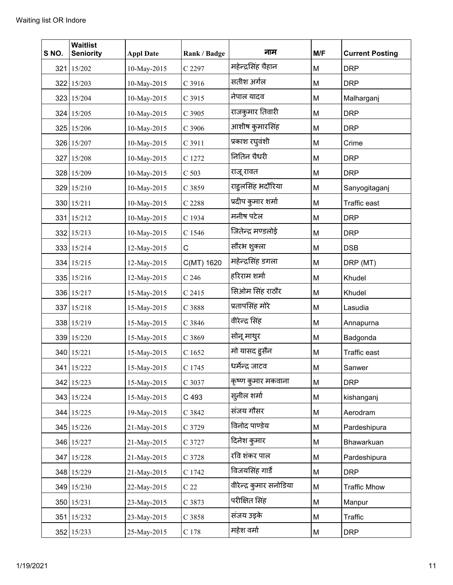| S NO. | <b>Waitlist</b><br><b>Seniority</b> | <b>Appl Date</b> | Rank / Badge     | नाम                     | M/F | <b>Current Posting</b> |
|-------|-------------------------------------|------------------|------------------|-------------------------|-----|------------------------|
|       | 321 15/202                          | 10-May-2015      | C 2297           | महेन्द्रसिंह चैहान      | M   | <b>DRP</b>             |
|       | 322 15/203                          | 10-May-2015      | C 3916           | सतीश अर्गल              | M   | <b>DRP</b>             |
|       | 323 15/204                          | 10-May-2015      | C 3915           | नेपाल यादव              | M   | Malharganj             |
|       | 324 15/205                          | 10-May-2015      | C 3905           | राजकुमार तिवारी         | M   | <b>DRP</b>             |
|       | 325 15/206                          | 10-May-2015      | C 3906           | आशीष कुमारसिंह          | M   | <b>DRP</b>             |
|       | 326 15/207                          | 10-May-2015      | C 3911           | प्रकाश रघुवंशी          | M   | Crime                  |
|       | 327 15/208                          | 10-May-2015      | C 1272           | नितिन चैधरी             | M   | <b>DRP</b>             |
|       | 328 15/209                          | 10-May-2015      | C <sub>503</sub> | राजू रावत               | M   | <b>DRP</b>             |
|       | 329 15/210                          | 10-May-2015      | C 3859           | राहुलसिंह भदौरिया       | M   | Sanyogitaganj          |
|       | 330 15/211                          | 10-May-2015      | C 2288           | प्रदीप कुमार शर्मा      | M   | Traffic east           |
|       | 331 15/212                          | 10-May-2015      | C 1934           | मनीष पटेल               | M   | <b>DRP</b>             |
|       | 332 15/213                          | 10-May-2015      | C 1546           | जितेन्द्र मण्डलोई       | M   | <b>DRP</b>             |
|       | 333 15/214                          | 12-May-2015      | C                | सौरभ शुक्ला             | M   | <b>DSB</b>             |
|       | 334 15/215                          | 12-May-2015      | C(MT) 1620       | महेन्द्रसिंह डगला       | M   | DRP (MT)               |
|       | 335 15/216                          | 12-May-2015      | $C$ 246          | हरिराम शर्मा            | M   | Khudel                 |
|       | 336 15/217                          | 15-May-2015      | C 2415           | सिओम सिंह राठौर         | M   | Khudel                 |
|       | 337 15/218                          | 15-May-2015      | C 3888           | प्रतापसिंह मोरे         | M   | Lasudia                |
|       | 338 15/219                          | 15-May-2015      | C 3846           | वीरेन्द्र सिंह          | M   | Annapurna              |
|       | 339 15/220                          | 15-May-2015      | C 3869           | सोनू माथुर              | M   | Badgonda               |
|       | 340 15/221                          | 15-May-2015      | C 1652           | मो यासद हुसैन           | M   | <b>Traffic east</b>    |
|       | 341 15/222                          | 15-May-2015      | C 1745           | धर्मेन्द्र जाटव         | M   | Sanwer                 |
|       | 342 15/223                          | 15-May-2015      | C 3037           | कृष्ण कुमार मकवाना      | M   | <b>DRP</b>             |
|       | 343 15/224                          | 15-May-2015      | C 493            | स्तनील शर्मा            | M   | kishanganj             |
|       | 344 15/225                          | 19-May-2015      | C 3842           | संजय गौसर               | М   | Aerodram               |
|       | 345 15/226                          | 21-May-2015      | C 3729           | विनोद पाण्डेय           | М   | Pardeshipura           |
|       | 346 15/227                          | 21-May-2015      | C 3727           | दिनेश कुमार             | M   | Bhawarkuan             |
|       | 347 15/228                          | 21-May-2015      | C 3728           | रवि शंकर पाल            | M   | Pardeshipura           |
|       | 348 15/229                          | 21-May-2015      | C 1742           | विजयसिंह गार्डे         | М   | <b>DRP</b>             |
|       | 349 15/230                          | 22-May-2015      | C <sub>22</sub>  | वीरेन्द्र कुमार सनोडिया | M   | <b>Traffic Mhow</b>    |
|       | 350 15/231                          | 23-May-2015      | C 3873           | परीक्षित सिंह           | M   | Manpur                 |
|       | 351 15/232                          | 23-May-2015      | C 3858           | संजय उइके               | M   | Traffic                |
|       | 352 15/233                          | 25-May-2015      | $\rm C$ 178      | महेश वर्मा              | M   | <b>DRP</b>             |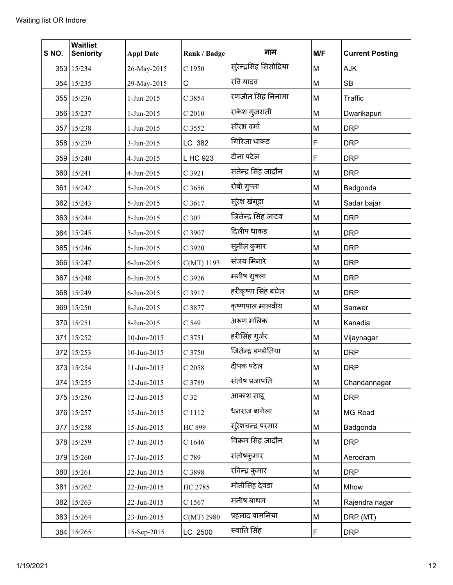| S NO. | <b>Waitlist</b><br><b>Seniority</b> | <b>Appl Date</b> | Rank / Badge    | नाम                    | M/F | <b>Current Posting</b> |
|-------|-------------------------------------|------------------|-----------------|------------------------|-----|------------------------|
|       | 353 15/234                          | 26-May-2015      | C 1950          | सुरेन्द्रसिंह सिसोदिया | M   | AJK                    |
|       | 354 15/235                          | 29-May-2015      | C               | रवि यादव               | M   | <b>SB</b>              |
|       | 355 15/236                          | 1-Jun-2015       | C 3854          | रणजीत सिंह निनामा      | M   | Traffic                |
|       | 356 15/237                          | 1-Jun-2015       | $C$ 2010        | राकेश गुजराती          | M   | Dwarikapuri            |
|       | 357 15/238                          | 1-Jun-2015       | C 3552          | सौरभ वर्मा             | M   | <b>DRP</b>             |
|       | 358 15/239                          | 3-Jun-2015       | LC 382          | गिरिजा धाकड            | F   | <b>DRP</b>             |
|       | 359 15/240                          | 4-Jun-2015       | L HC 923        | टीना पटेल              | F   | <b>DRP</b>             |
|       | 360 15/241                          | 4-Jun-2015       | C 3921          | सतेन्द्र सिंह जादौन    | M   | <b>DRP</b>             |
|       | 361 15/242                          | 5-Jun-2015       | $C$ 3656        | रोबी गुप्ता            | M   | Badgonda               |
|       | 362 15/243                          | 5-Jun-2015       | C 3617          | सुरेश खंगूडा           | M   | Sadar bajar            |
|       | 363 15/244                          | 5-Jun-2015       | C 307           | जितेन्द्र सिंह जाटव    | M   | <b>DRP</b>             |
|       | 364 15/245                          | 5-Jun-2015       | C 3907          | दिलीप धाकड             | M   | <b>DRP</b>             |
|       | 365 15/246                          | 5-Jun-2015       | C 3920          | सुनील कुमार            | M   | <b>DRP</b>             |
|       | 366 15/247                          | 6-Jun-2015       | C(MT) 1193      | संजय मिनारे            | M   | <b>DRP</b>             |
|       | 367 15/248                          | 6-Jun-2015       | C 3926          | मनीष शुक्ला            | M   | <b>DRP</b>             |
|       | 368 15/249                          | 6-Jun-2015       | C 3917          | हरीकृष्ण सिंह बघेल     | M   | <b>DRP</b>             |
|       | 369 15/250                          | 8-Jun-2015       | C 3877          | कृष्णपाल मालवीय        | M   | Sanwer                 |
|       | 370 15/251                          | 8-Jun-2015       | C 549           | अरूण मलिक              | M   | Kanadia                |
|       | 371 15/252                          | 10-Jun-2015      | C 3751          | हरीसिंह गुर्जर         | M   | Vijaynagar             |
|       | 372 15/253                          | 10-Jun-2015      | C 3750          | जितेन्द्र डण्डोतिया    | M   | <b>DRP</b>             |
|       | 373 15/254                          | 11-Jun-2015      | C 2058          | दीपक पटेल              | M   | <b>DRP</b>             |
|       | 374 15/255                          | 12-Jun-2015      | C 3789          | संतोष प्रजापति         | М   | Chandannagar           |
|       | 375 15/256                          | 12-Jun-2015      | C <sub>32</sub> | आकाश साह               | M   | <b>DRP</b>             |
|       | 376 15/257                          | 15-Jun-2015      | C 1112          | धनराज बागेला           | M   | MG Road                |
|       | 377 15/258                          | 15-Jun-2015      | <b>HC 899</b>   | स्ऐशचन्द्र परमार       | M   | Badgonda               |
|       | 378 15/259                          | 17-Jun-2015      | C1646           | विक्रम सिंह जादौन      | M   | <b>DRP</b>             |
|       | 379 15/260                          | 17-Jun-2015      | C 789           | संतोषकुमार             | M   | Aerodram               |
|       | 380 15/261                          | 22-Jun-2015      | C 3898          | रविन्द्र कुमार         | M   | <b>DRP</b>             |
|       | 381 15/262                          | 22-Jun-2015      | HC 2785         | मोतीसिंह देवडा         | M   | Mhow                   |
|       | 382 15/263                          | 22-Jun-2015      | C 1567          | मनीष बाथम              | M   | Rajendra nagar         |
|       | 383 15/264                          | 23-Jun-2015      | $C(MT)$ 2980    | प्रहलाद बामनिया        | M   | DRP (MT)               |
|       | 384 15/265                          | 15-Sep-2015      | LC 2500         | स्वाति सिंह            | F   | <b>DRP</b>             |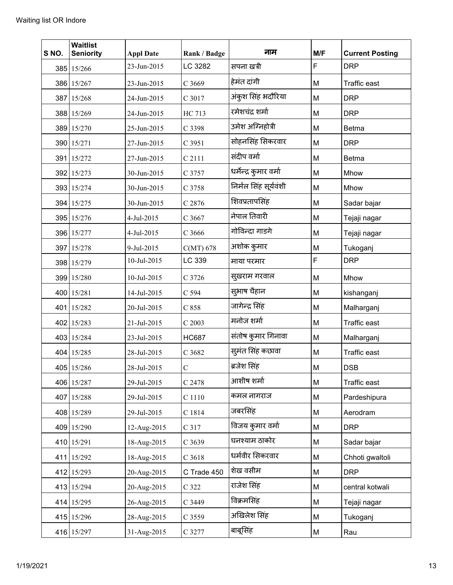| S NO. | <b>Waitlist</b><br><b>Seniority</b> | <b>Appl Date</b> | Rank / Badge  | नाम                    | M/F | <b>Current Posting</b> |
|-------|-------------------------------------|------------------|---------------|------------------------|-----|------------------------|
|       | 385 15/266                          | 23-Jun-2015      | LC 3282       | सपना खत्री             | F   | <b>DRP</b>             |
|       | 386 15/267                          | 23-Jun-2015      | C 3669        | हेमंत दांगी            | M   | Traffic east           |
|       | 387 15/268                          | 24-Jun-2015      | C 3017        | अंकुश सिंह भदौरिया     | М   | <b>DRP</b>             |
|       | 388 15/269                          | 24-Jun-2015      | HC 713        | रमेशचंद्र शर्मा        | M   | <b>DRP</b>             |
|       | 389 15/270                          | 25-Jun-2015      | C 3398        | उमेश अग्निहोत्री       | M   | <b>Betma</b>           |
|       | 390 15/271                          | 27-Jun-2015      | C 3951        | सोहनसिंह सिकरवार       | M   | <b>DRP</b>             |
|       | 391 15/272                          | 27-Jun-2015      | C 2111        | संदीप वर्मा            | M   | <b>Betma</b>           |
|       | 392 15/273                          | 30-Jun-2015      | C 3757        | धर्मेन्द्र कुमार वर्मा | M   | Mhow                   |
|       | 393 15/274                          | 30-Jun-2015      | C 3758        | निर्मल सिंह सूर्यवंशी  | M   | Mhow                   |
|       | 394 15/275                          | 30-Jun-2015      | C 2876        | शिवप्रतापसिंह          | M   | Sadar bajar            |
|       | 395 15/276                          | 4-Jul-2015       | C 3667        | नेपाल तिवारी           | M   | Tejaji nagar           |
|       | 396 15/277                          | 4-Jul-2015       | C 3666        | गोविन्दा गाडगे         | M   | Tejaji nagar           |
|       | 397 15/278                          | 9-Jul-2015       | $C(MT)$ 678   | अशोक कुमार             | M   | Tukoganj               |
|       | 398 15/279                          | 10-Jul-2015      | LC 339        | माया परमार             | F   | <b>DRP</b>             |
|       | 399 15/280                          | 10-Jul-2015      | C 3726        | सुखराम गरवाल           | M   | Mhow                   |
|       | 400 15/281                          | 14-Jul-2015      | C 594         | सुभाष चैहान            | M   | kishanganj             |
|       | 401 15/282                          | 20-Jul-2015      | C 858         | जागेन्द्र सिंह         | M   | Malharganj             |
|       | 402 15/283                          | 21-Jul-2015      | C 2003        | मनोज शर्मा             | M   | Traffic east           |
|       | 403 15/284                          | 23-Jul-2015      | <b>HC687</b>  | संतोष कुमार गिनावा     | M   | Malharganj             |
|       | 404 15/285                          | 28-Jul-2015      | C 3682        | सुमंत सिंह कछावा       | M   | Traffic east           |
|       | 405 15/286                          | 28-Jul-2015      | $\mathcal{C}$ | ब्रजेश सिंह            | M   | <b>DSB</b>             |
|       | 406 15/287                          | 29-Jul-2015      | C 2478        | आशीष शर्मा             | М   | Traffic east           |
|       | 407 15/288                          | 29-Jul-2015      | C 1110        | कमल नागराज             | M   | Pardeshipura           |
|       | 408 15/289                          | 29-Jul-2015      | C 1814        | जबरसिंह                | M   | Aerodram               |
|       | 409 15/290                          | 12-Aug-2015      | C 317         | विजय कुमार वर्मा       | М   | <b>DRP</b>             |
|       | 410 15/291                          | 18-Aug-2015      | C 3639        | घनश्याम ठाकोर          | M   | Sadar bajar            |
|       | 411 15/292                          | 18-Aug-2015      | $C$ 3618      | धर्मवीर सिकरवार        | М   | Chhoti gwaltoli        |
|       | 412 15/293                          | 20-Aug-2015      | C Trade 450   | शेख वसीम               | М   | <b>DRP</b>             |
|       | 413 15/294                          | 20-Aug-2015      | C 322         | राजेश सिंह             | M   | central kotwali        |
|       | 414 15/295                          | 26-Aug-2015      | C 3449        | विक्रमसिंह             | М   | Tejaji nagar           |
|       | 415 15/296                          | 28-Aug-2015      | C 3559        | अखिलेश सिंह            | M   | Tukoganj               |
|       | 416 15/297                          | 31-Aug-2015      | C 3277        | बाबूसिंह               | М   | Rau                    |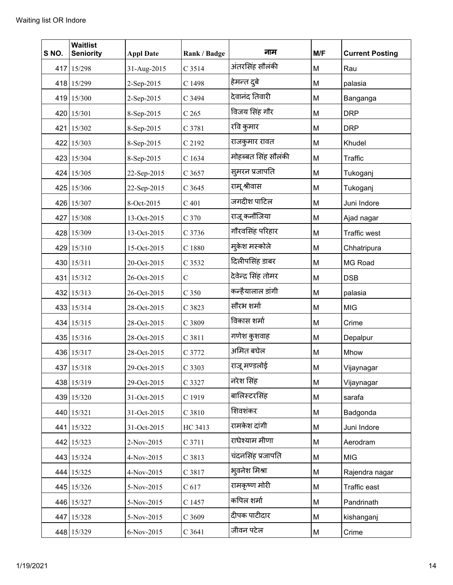| S NO. | <b>Waitlist</b><br><b>Seniority</b> | <b>Appl Date</b> | Rank / Badge     | नाम                 | M/F | <b>Current Posting</b> |
|-------|-------------------------------------|------------------|------------------|---------------------|-----|------------------------|
|       | 417 15/298                          | 31-Aug-2015      | C 3514           | अंतरसिंह सौलंकी     | M   | Rau                    |
|       | 418 15/299                          | 2-Sep-2015       | C 1498           | हेमन्त दुबे         | M   | palasia                |
|       | 419 15/300                          | 2-Sep-2015       | C 3494           | देवानंद तिवारी      | M   | Banganga               |
|       | 420 15/301                          | 8-Sep-2015       | C <sub>265</sub> | विजय सिंह गौर       | M   | <b>DRP</b>             |
|       | 421 15/302                          | 8-Sep-2015       | C 3781           | रवि कुमार           | M   | <b>DRP</b>             |
|       | 422 15/303                          | 8-Sep-2015       | C 2192           | राजकुमार रावत       | M   | Khudel                 |
|       | 423 15/304                          | 8-Sep-2015       | C 1634           | मोहब्बत सिंह सौलंकी | M   | Traffic                |
|       | 424 15/305                          | 22-Sep-2015      | C 3657           | सुमरन प्रजापति      | M   | Tukoganj               |
|       | 425 15/306                          | 22-Sep-2015      | C 3645           | रामू श्रीवास        | M   | Tukoganj               |
|       | 426 15/307                          | 8-Oct-2015       | $C$ 401          | जगदीश पाटिल         | M   | Juni Indore            |
|       | 427 15/308                          | 13-Oct-2015      | C <sub>370</sub> | राजू कनौजिया        | M   | Ajad nagar             |
|       | 428 15/309                          | 13-Oct-2015      | C 3736           | गौरवसिंह परिहार     | M   | <b>Traffic west</b>    |
|       | 429 15/310                          | 15-Oct-2015      | C 1880           | मुकेश मस्कोले       | M   | Chhatripura            |
|       | 430 15/311                          | 20-Oct-2015      | C 3532           | दिलीपसिंह डाबर      | M   | MG Road                |
|       | 431 15/312                          | 26-Oct-2015      | $\mathsf{C}$     | देवेन्द्र सिंह तोमर | M   | <b>DSB</b>             |
|       | 432 15/313                          | 26-Oct-2015      | C <sub>350</sub> | कन्हैयालाल डांगी    | M   | palasia                |
|       | 433 15/314                          | 28-Oct-2015      | C 3823           | सौरभ शर्मा          | M   | <b>MIG</b>             |
|       | 434 15/315                          | 28-Oct-2015      | C 3809           | विकास शर्मा         | M   | Crime                  |
|       | 435 15/316                          | 28-Oct-2015      | C 3811           | गणेश कुशवाह         | M   | Depalpur               |
|       | 436 15/317                          | 28-Oct-2015      | C 3772           | अमित बघेल           | M   | Mhow                   |
|       | 437 15/318                          | 29-Oct-2015      | C 3303           | राजू मण्डलोई        | M   | Vijaynagar             |
|       | 438 15/319                          | 29-Oct-2015      | C 3327           | नरेश सिंह           | M   | Vijaynagar             |
|       | 439 15/320                          | 31-Oct-2015      | C 1919           | बालिस्टरसिंह        | M   | sarafa                 |
|       | 440 15/321                          | 31-Oct-2015      | C 3810           | शिवशंकर             | M   | Badgonda               |
|       | 441 15/322                          | 31-Oct-2015      | HC 3413          | रामकेश दांगी        | M   | Juni Indore            |
|       | 442 15/323                          | 2-Nov-2015       | C 3711           | राधेश्याम मीणा      | M   | Aerodram               |
|       | 443 15/324                          | 4-Nov-2015       | C 3813           | चंदनसिंह प्रजापति   | M   | <b>MIG</b>             |
|       | 444 15/325                          | 4-Nov-2015       | C 3817           | भुवनेश मिश्रा       | M   | Rajendra nagar         |
|       | 445 15/326                          | 5-Nov-2015       | C <sub>617</sub> | रामकृष्ण मोरी       | M   | Traffic east           |
|       | 446 15/327                          | 5-Nov-2015       | C 1457           | कपिल शर्मा          | M   | Pandrinath             |
|       | 447 15/328                          | 5-Nov-2015       | C 3609           | दीपक पाटीदार        | M   | kishanganj             |
|       | 448 15/329                          | 6-Nov-2015       | C 3641           | जीवन पटेल           | M   | Crime                  |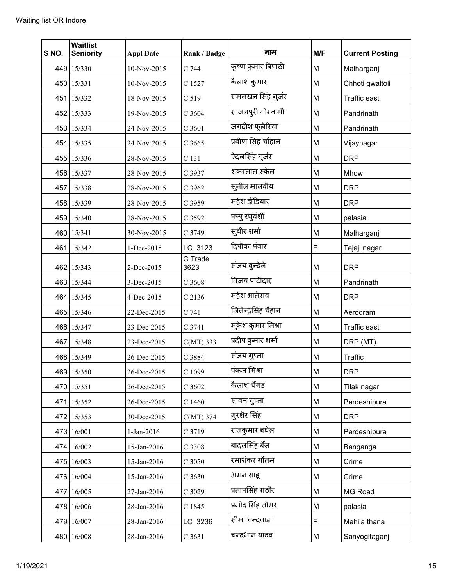| S NO. | <b>Waitlist</b><br><b>Seniority</b> | <b>Appl Date</b> | Rank / Badge    | नाम                  | M/F | <b>Current Posting</b> |
|-------|-------------------------------------|------------------|-----------------|----------------------|-----|------------------------|
|       | 449 15/330                          | 10-Nov-2015      | C 744           | कृष्ण कुमार त्रिपाठी | M   | Malharganj             |
|       | 450 15/331                          | 10-Nov-2015      | C 1527          | कैलाश कुमार          | M   | Chhoti gwaltoli        |
|       | 451 15/332                          | 18-Nov-2015      | C 519           | रामलखन सिंह गुर्जर   | M   | Traffic east           |
|       | 452 15/333                          | 19-Nov-2015      | C 3604          | साजनपुरी गोस्वामी    | M   | Pandrinath             |
|       | 453 15/334                          | 24-Nov-2015      | C 3601          | जगदीश फूलेरिया       | M   | Pandrinath             |
|       | 454 15/335                          | 24-Nov-2015      | C 3665          | प्रवीण सिंह चौहान    | M   | Vijaynagar             |
|       | 455 15/336                          | 28-Nov-2015      | C 131           | ऐदलसिंह गुर्जर       | M   | <b>DRP</b>             |
|       | 456 15/337                          | 28-Nov-2015      | C 3937          | शंकरलाल स्केल        | M   | Mhow                   |
|       | 457 15/338                          | 28-Nov-2015      | C 3962          | सुनील मालवीय         | M   | <b>DRP</b>             |
|       | 458 15/339                          | 28-Nov-2015      | C 3959          | महेश डोडियार         | M   | <b>DRP</b>             |
|       | 459 15/340                          | 28-Nov-2015      | C 3592          | पप्पु रघुवंशी        | M   | palasia                |
|       | 460 15/341                          | 30-Nov-2015      | C 3749          | सुधीर शर्मा          | M   | Malharganj             |
|       | 461 15/342                          | 1-Dec-2015       | LC 3123         | दिपीका पंवार         | F   | Tejaji nagar           |
|       | 462 15/343                          | 2-Dec-2015       | C Trade<br>3623 | संजय बुन्देले        | M   | <b>DRP</b>             |
|       | 463 15/344                          | 3-Dec-2015       | C 3608          | विजय पाटीदार         | M   | Pandrinath             |
|       | 464 15/345                          | 4-Dec-2015       | C 2136          | महेश भालेराव         | M   | <b>DRP</b>             |
|       | 465 15/346                          | 22-Dec-2015      | C 741           | जितेन्द्रसिंह चैहान  | M   | Aerodram               |
|       | 466 15/347                          | 23-Dec-2015      | C 3741          | मुकेश कुमार मिश्रा   | M   | Traffic east           |
|       | 467 15/348                          | 23-Dec-2015      | $C(MT)$ 333     | प्रदीप कुमार शर्मा   | M   | DRP (MT)               |
|       | 468 15/349                          | 26-Dec-2015      | C 3884          | संजय गुप्ता          | M   | Traffic                |
|       | 469 15/350                          | 26-Dec-2015      | C 1099          | पंकज मिश्रा          | M   | <b>DRP</b>             |
|       | 470 15/351                          | 26-Dec-2015      | C 3602          | कैलाश चैंगड          | M   | Tilak nagar            |
|       | 471 15/352                          | 26-Dec-2015      | C 1460          | सावन गुप्ता          | M   | Pardeshipura           |
|       | 472 15/353                          | 30-Dec-2015      | $C(MT)$ 374     | गुरशैर सिंह          | M   | <b>DRP</b>             |
|       | 473 16/001                          | 1-Jan-2016       | C 3719          | राजकुमार बघेल        | M   | Pardeshipura           |
|       | 474 16/002                          | 15-Jan-2016      | C 3308          | बादलसिंह बैंस        | M   | Banganga               |
|       | 475 16/003                          | 15-Jan-2016      | C 3050          | रमाशंकर गौतम         | M   | Crime                  |
|       | 476 16/004                          | 15-Jan-2016      | C 3630          | अमन साह्             | M   | Crime                  |
|       | 477 16/005                          | 27-Jan-2016      | C 3029          | प्रतापसिंह राठौर     | M   | MG Road                |
|       | 478 16/006                          | 28-Jan-2016      | C 1845          | प्रमोद सिंह तोमर     | M   | palasia                |
|       | 479 16/007                          | 28-Jan-2016      | LC 3236         | सीमा चन्दवाडा        | F   | Mahila thana           |
|       | 480 16/008                          | 28-Jan-2016      | C 3631          | चन्द्रभान यादव       | М   | Sanyogitaganj          |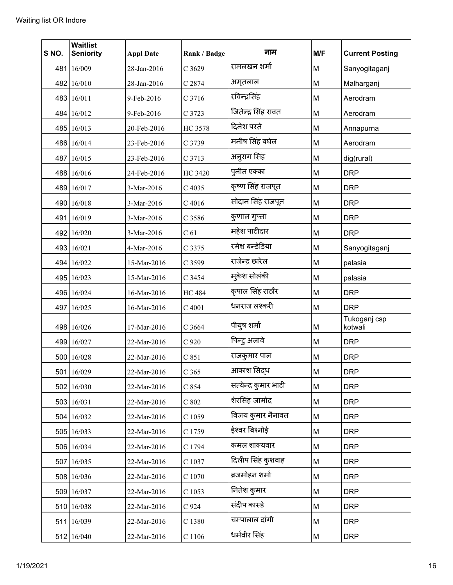| S NO. | <b>Waitlist</b><br><b>Seniority</b> | <b>Appl Date</b> | Rank / Badge    | नाम                   | M/F | <b>Current Posting</b>  |
|-------|-------------------------------------|------------------|-----------------|-----------------------|-----|-------------------------|
| 481   | 16/009                              | 28-Jan-2016      | C 3629          | रामलखन शर्मा          | M   | Sanyogitaganj           |
|       | 482 16/010                          | 28-Jan-2016      | C 2874          | अमृतलाल               | M   | Malharganj              |
|       | 483 16/011                          | 9-Feb-2016       | C 3716          | रविन्द्रसिंह          | M   | Aerodram                |
|       | 484 16/012                          | 9-Feb-2016       | C 3723          | जितेन्द्र सिंह रावत   | M   | Aerodram                |
|       | 485 16/013                          | 20-Feb-2016      | HC 3578         | दिनेश परते            | M   | Annapurna               |
|       | 486 16/014                          | 23-Feb-2016      | C 3739          | मनीष सिंह बघेल        | M   | Aerodram                |
|       | 487 16/015                          | 23-Feb-2016      | C 3713          | अनुराग सिंह           | M   | dig(rural)              |
|       | 488 16/016                          | 24-Feb-2016      | <b>HC 3420</b>  | पुनीत एक्का           | M   | <b>DRP</b>              |
|       | 489 16/017                          | 3-Mar-2016       | C 4035          | कृष्ण सिंह राजपूत     | M   | <b>DRP</b>              |
|       | 490 16/018                          | 3-Mar-2016       | $C$ 4016        | सोदान सिंह राजपूत     | M   | <b>DRP</b>              |
|       | 491 16/019                          | 3-Mar-2016       | C 3586          | कुणाल गुप्ता          | M   | <b>DRP</b>              |
|       | 492 16/020                          | 3-Mar-2016       | C <sub>61</sub> | महेश पाटीदार          | M   | <b>DRP</b>              |
|       | 493 16/021                          | 4-Mar-2016       | C 3375          | रमेश बन्डेडिया        | M   | Sanyogitaganj           |
|       | 494 16/022                          | 15-Mar-2016      | C 3599          | राजेन्द्र छारेल       | M   | palasia                 |
|       | 495 16/023                          | 15-Mar-2016      | C 3454          | मुकेश सोलंकी          | M   | palasia                 |
|       | 496 16/024                          | 16-Mar-2016      | <b>HC</b> 484   | कृपाल सिंह राठौर      | M   | <b>DRP</b>              |
|       | 497 16/025                          | 16-Mar-2016      | C 4001          | धनराज लश्करी          | M   | <b>DRP</b>              |
|       | 498 16/026                          | 17-Mar-2016      | C 3664          | पीयुष शर्मा           | M   | Tukoganj csp<br>kotwali |
|       | 499 16/027                          | 22-Mar-2016      | C 920           | पिन्ट्र अलावे         | M   | <b>DRP</b>              |
|       | 500 16/028                          | 22-Mar-2016      | C 851           | राजकुमार पाल          | M   | <b>DRP</b>              |
|       | 501 16/029                          | 22-Mar-2016      | C 365           | आकाश सिदध             | M   | <b>DRP</b>              |
|       | 502 16/030                          | 22-Mar-2016      | $C$ 854         | सत्येन्द्र कुमार भाटी | М   | <b>DRP</b>              |
|       | 503 16/031                          | 22-Mar-2016      | $C$ 802         | शेरसिंह जामोद         | M   | <b>DRP</b>              |
|       | 504 16/032                          | 22-Mar-2016      | C 1059          | विजय कुमार नैनावत     | М   | <b>DRP</b>              |
|       | 505 16/033                          | 22-Mar-2016      | C 1759          | ईश्वर बिश्नोई         | M   | <b>DRP</b>              |
|       | 506 16/034                          | 22-Mar-2016      | C 1794          | कमल शाक्यवार          | M   | <b>DRP</b>              |
|       | 507 16/035                          | 22-Mar-2016      | C 1037          | दिलीप सिंह कुशवाह     | М   | <b>DRP</b>              |
|       | 508 16/036                          | 22-Mar-2016      | C 1070          | ब्रजमोहन शर्मा        | M   | <b>DRP</b>              |
|       | 509 16/037                          | 22-Mar-2016      | C 1053          | नितेश कुमार           | М   | <b>DRP</b>              |
|       | 510 16/038                          | 22-Mar-2016      | C 924           | संदीप कास्डे          | М   | <b>DRP</b>              |
|       | 511 16/039                          | 22-Mar-2016      | C 1380          | चम्पालाल दांगी        | M   | <b>DRP</b>              |
|       | 512 16/040                          | 22-Mar-2016      | $\rm C$ 1106    | धर्मवीर सिंह          | M   | <b>DRP</b>              |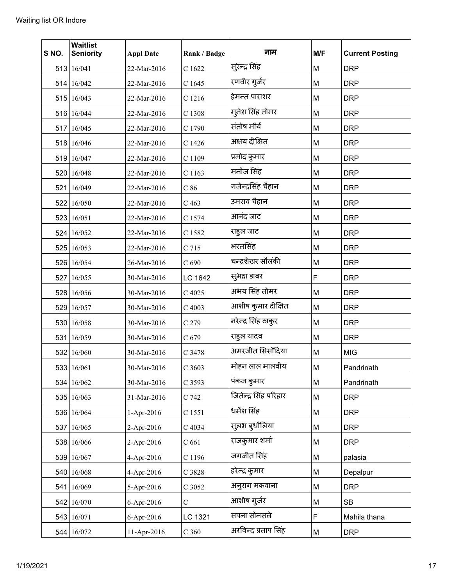| S NO. | <b>Waitlist</b><br><b>Seniority</b> | <b>Appl Date</b> | Rank / Badge     | नाम                   | M/F | <b>Current Posting</b> |
|-------|-------------------------------------|------------------|------------------|-----------------------|-----|------------------------|
|       | 513 16/041                          | 22-Mar-2016      | C 1622           | सुरेन्द्र सिंह        | M   | <b>DRP</b>             |
|       | 514 16/042                          | 22-Mar-2016      | C 1645           | रणवीर गुर्जर          | M   | <b>DRP</b>             |
|       | 515 16/043                          | 22-Mar-2016      | C 1216           | हेमन्त पाराशर         | M   | <b>DRP</b>             |
|       | 516 16/044                          | 22-Mar-2016      | C 1308           | मुनेश सिंह तोमर       | M   | <b>DRP</b>             |
|       | 517 16/045                          | 22-Mar-2016      | C 1790           | संतोष मौर्य           | M   | <b>DRP</b>             |
|       | 518 16/046                          | 22-Mar-2016      | C 1426           | अक्षय दीक्षित         | M   | <b>DRP</b>             |
|       | 519 16/047                          | 22-Mar-2016      | C 1109           | प्रमोद कुमार          | M   | <b>DRP</b>             |
|       | 520 16/048                          | 22-Mar-2016      | C 1163           | मनोज सिंह             | M   | <b>DRP</b>             |
|       | 521 16/049                          | 22-Mar-2016      | C86              | गजेन्द्रसिंह चैहान    | M   | <b>DRP</b>             |
|       | 522 16/050                          | 22-Mar-2016      | C <sub>463</sub> | उमराव चैहान           | M   | <b>DRP</b>             |
|       | 523 16/051                          | 22-Mar-2016      | C 1574           | आनंद जाट              | M   | <b>DRP</b>             |
|       | 524 16/052                          | 22-Mar-2016      | C 1582           | राहुल जाट             | M   | <b>DRP</b>             |
|       | 525 16/053                          | 22-Mar-2016      | C 715            | भरतसिंह               | M   | <b>DRP</b>             |
|       | 526 16/054                          | 26-Mar-2016      | C <sub>690</sub> | चन्द्रशेखर सौलंकी     | M   | <b>DRP</b>             |
|       | 527 16/055                          | 30-Mar-2016      | LC 1642          | सुभद्रा डाबर          | F   | <b>DRP</b>             |
|       | 528 16/056                          | 30-Mar-2016      | C 4025           | अभय सिंह तोमर         | M   | <b>DRP</b>             |
|       | 529 16/057                          | 30-Mar-2016      | C 4003           | आशीष कुमार दीक्षित    | M   | <b>DRP</b>             |
|       | 530 16/058                          | 30-Mar-2016      | C <sub>279</sub> | नरेन्द्र सिंह ठाकुर   | M   | <b>DRP</b>             |
|       | 531 16/059                          | 30-Mar-2016      | C 679            | राहुल यादव            | M   | <b>DRP</b>             |
|       | 532 16/060                          | 30-Mar-2016      | C 3478           | अमरजीत सिसौंदिया      | M   | <b>MIG</b>             |
|       | 533 16/061                          | 30-Mar-2016      | C 3603           | मोहन लाल मालवीय       | М   | Pandrinath             |
|       | 534 16/062                          | 30-Mar-2016      | C 3593           | पंकज कुमार            | М   | Pandrinath             |
|       | 535 16/063                          | 31-Mar-2016      | C 742            | जितेन्द्र सिंह परिहार | M   | <b>DRP</b>             |
|       | 536 16/064                          | 1-Apr-2016       | C 1551           | धर्मेश सिंह           | M   | <b>DRP</b>             |
|       | 537 16/065                          | 2-Apr-2016       | C 4034           | सुलभ बुधौलिया         | M   | <b>DRP</b>             |
|       | 538 16/066                          | 2-Apr-2016       | C <sub>661</sub> | राजकुमार शर्मा        | M   | <b>DRP</b>             |
|       | 539 16/067                          | 4-Apr-2016       | C 1196           | जगजीत सिंह            | M   | palasia                |
|       | 540 16/068                          | 4-Apr-2016       | C 3828           | हरेन्द्र कुमार        | М   | Depalpur               |
| 541   | 16/069                              | 5-Apr-2016       | C 3052           | अन् राग मकवाना        | M   | <b>DRP</b>             |
|       | 542 16/070                          | 6-Apr-2016       | $\mathcal{C}$    | आशीष गुर्जर           | M   | <b>SB</b>              |
|       | 543 16/071                          | 6-Apr-2016       | LC 1321          | सपना सोनसले           | F   | Mahila thana           |
|       | 544 16/072                          | 11-Apr-2016      | C <sub>360</sub> | अरविन्द प्रताप सिंह   | M   | <b>DRP</b>             |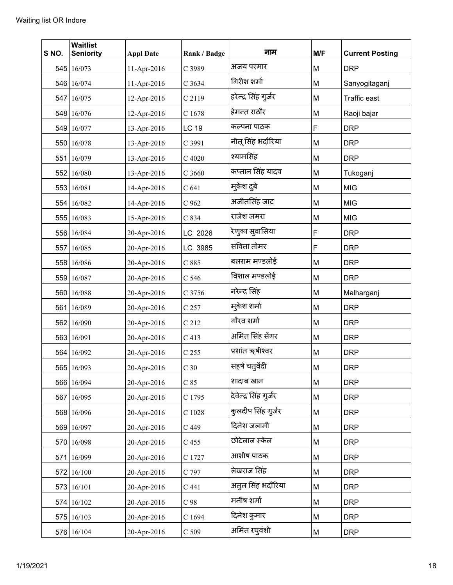| S NO. | <b>Waitlist</b><br><b>Seniority</b> | <b>Appl Date</b> | Rank / Badge     | नाम                   | M/F         | <b>Current Posting</b> |
|-------|-------------------------------------|------------------|------------------|-----------------------|-------------|------------------------|
|       | 545 16/073                          | 11-Apr-2016      | C 3989           | अजय परमार             | M           | <b>DRP</b>             |
|       | 546 16/074                          | 11-Apr-2016      | C 3634           | गिरीश शर्मा           | M           | Sanyogitaganj          |
|       | 547 16/075                          | 12-Apr-2016      | C 2119           | हरेन्द्र सिंह गुर्जर  | M           | Traffic east           |
|       | 548 16/076                          | 12-Apr-2016      | C 1678           | हेमन्त राठौर          | M           | Raoji bajar            |
|       | 549 16/077                          | 13-Apr-2016      | <b>LC 19</b>     | कल्पना पाठक           | $\mathsf F$ | <b>DRP</b>             |
|       | 550 16/078                          | 13-Apr-2016      | C 3991           | नीतू सिंह भदौरिया     | M           | <b>DRP</b>             |
|       | 551 16/079                          | 13-Apr-2016      | C 4020           | श्यामसिंह             | M           | <b>DRP</b>             |
| 552   | 16/080                              | 13-Apr-2016      | $C$ 3660         | कप्तान सिंह यादव      | M           | Tukoganj               |
|       | 553 16/081                          | 14-Apr-2016      | $C$ 641          | मुकेश दुबे            | M           | <b>MIG</b>             |
|       | 554 16/082                          | 14-Apr-2016      | C 962            | अजीतसिंह जाट          | M           | <b>MIG</b>             |
|       | 555 16/083                          | 15-Apr-2016      | C 834            | राजेश जमरा            | M           | <b>MIG</b>             |
|       | 556 16/084                          | 20-Apr-2016      | LC 2026          | रेणुका सुवासिया       | $\mathsf F$ | <b>DRP</b>             |
|       | 557 16/085                          | 20-Apr-2016      | LC 3985          | सविता तोमर            | F           | <b>DRP</b>             |
|       | 558 16/086                          | 20-Apr-2016      | C 885            | बलराम मण्डलोई         | M           | <b>DRP</b>             |
|       | 559 16/087                          | 20-Apr-2016      | C 546            | विशाल मण्डलोई         | M           | <b>DRP</b>             |
|       | 560 16/088                          | 20-Apr-2016      | C 3756           | नरेन्द्र सिंह         | M           | Malharganj             |
|       | 561 16/089                          | 20-Apr-2016      | C 257            | म्केश शर्मा           | M           | <b>DRP</b>             |
|       | 562 16/090                          | 20-Apr-2016      | C 212            | गौरव शर्मा            | M           | <b>DRP</b>             |
|       | 563 16/091                          | 20-Apr-2016      | C <sub>413</sub> | अमित सिंह सेंगर       | M           | <b>DRP</b>             |
|       | 564 16/092                          | 20-Apr-2016      | C <sub>255</sub> | प्रशांत ऋषीश्वर       | M           | <b>DRP</b>             |
|       | 565 16/093                          | 20-Apr-2016      | C <sub>30</sub>  | सहर्ष चतुर्वेदी       | М           | <b>DRP</b>             |
|       | 566 16/094                          | 20-Apr-2016      | $C$ 85           | शादाब खान             | М           | <b>DRP</b>             |
|       | 567 16/095                          | 20-Apr-2016      | C 1795           | देवेन्द्र सिंह गुर्जर | M           | <b>DRP</b>             |
|       | 568 16/096                          | 20-Apr-2016      | $\rm C$ 1028     | कुलदीप सिंह गुर्जर    | М           | <b>DRP</b>             |
|       | 569 16/097                          | 20-Apr-2016      | C 449            | दिनेश जलामी           | М           | <b>DRP</b>             |
|       | 570 16/098                          | 20-Apr-2016      | C 455            | छोटेलाल स्केल         | M           | <b>DRP</b>             |
|       | 571 16/099                          | 20-Apr-2016      | C 1727           | आशीष पाठक             | М           | <b>DRP</b>             |
|       | 572 16/100                          | 20-Apr-2016      | C 797            | लेखराज सिंह           | M           | <b>DRP</b>             |
|       | 573 16/101                          | 20-Apr-2016      | $C$ 441          | अतुल सिंह भदौरिया     | М           | <b>DRP</b>             |
|       | 574 16/102                          | 20-Apr-2016      | $C$ 98           | मनीष शर्मा            | M           | <b>DRP</b>             |
|       | 575 16/103                          | 20-Apr-2016      | C 1694           | दिनेश कुमार           | M           | <b>DRP</b>             |
|       | 576 16/104                          | 20-Apr-2016      | $C$ 509          | अमित रघुवंशी          | М           | <b>DRP</b>             |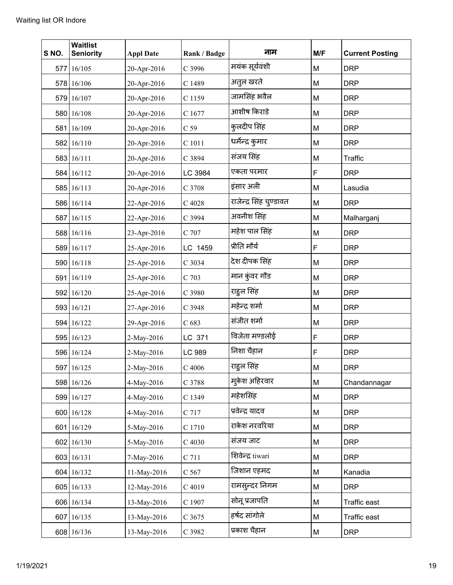| S NO. | <b>Waitlist</b><br><b>Seniority</b> | <b>Appl Date</b> | Rank / Badge    | नाम                     | M/F | <b>Current Posting</b> |
|-------|-------------------------------------|------------------|-----------------|-------------------------|-----|------------------------|
|       | 577 16/105                          | 20-Apr-2016      | C 3996          | मयंक सूर्यवंशी          | М   | <b>DRP</b>             |
|       | 578 16/106                          | 20-Apr-2016      | C 1489          | अतुल खरते               | M   | <b>DRP</b>             |
|       | 579 16/107                          | 20-Apr-2016      | C 1159          | जामसिंह भवैल            | M   | <b>DRP</b>             |
|       | 580 16/108                          | 20-Apr-2016      | C 1677          | आशीष किराडे             | M   | <b>DRP</b>             |
|       | 581 16/109                          | 20-Apr-2016      | C <sub>59</sub> | कुलदीप सिंह             | M   | <b>DRP</b>             |
|       | 582 16/110                          | 20-Apr-2016      | C 1011          | धर्मेन्द्र कुमार        | М   | <b>DRP</b>             |
|       | 583 16/111                          | 20-Apr-2016      | C 3894          | संजय सिंह               | M   | Traffic                |
|       | 584 16/112                          | 20-Apr-2016      | LC 3984         | एकता परमार              | F   | <b>DRP</b>             |
|       | 585 16/113                          | 20-Apr-2016      | C 3708          | इंसार अली               | M   | Lasudia                |
|       | 586 16/114                          | 22-Apr-2016      | C 4028          | राजेन्द्र सिंह चुण्डावत | М   | <b>DRP</b>             |
|       | 587 16/115                          | 22-Apr-2016      | C 3994          | अवनीश सिंह              | M   | Malharganj             |
|       | 588 16/116                          | 23-Apr-2016      | C 707           | महेश पाल सिंह           | M   | <b>DRP</b>             |
|       | 589 16/117                          | 25-Apr-2016      | LC 1459         | प्रीति मौर्य            | F   | <b>DRP</b>             |
|       | 590 16/118                          | 25-Apr-2016      | C 3034          | देश दीपक सिंह           | М   | <b>DRP</b>             |
|       | 591 16/119                          | 25-Apr-2016      | C 703           | मान कुंवर गौड           | M   | <b>DRP</b>             |
|       | 592 16/120                          | 25-Apr-2016      | C 3980          | राहुल सिंह              | M   | <b>DRP</b>             |
|       | 593 16/121                          | 27-Apr-2016      | C 3948          | महेन्द्र शर्मा          | М   | <b>DRP</b>             |
|       | 594 16/122                          | 29-Apr-2016      | C 683           | संजीत शर्मा             | M   | <b>DRP</b>             |
|       | 595 16/123                          | 2-May-2016       | LC 371          | विजेता मण्डलोई          | F   | <b>DRP</b>             |
|       | 596 16/124                          | 2-May-2016       | LC 989          | निशा चैहान              | F   | <b>DRP</b>             |
|       | 597 16/125                          | 2-May-2016       | $C$ 4006        | राहुल सिंह              | M   | <b>DRP</b>             |
|       | 598 16/126                          | 4-May-2016       | C 3788          | मुकेश अहिरवार           | М   | Chandannagar           |
|       | 599 16/127                          | 4-May-2016       | C 1349          | महेशसिंह                | M   | <b>DRP</b>             |
|       | 600 16/128                          | 4-May-2016       | C 717           | प्रवेन्द्र यादव         | M   | <b>DRP</b>             |
|       | 601 16/129                          | 5-May-2016       | C 1710          | राकेश नरवरिया           | М   | <b>DRP</b>             |
|       | 602 16/130                          | 5-May-2016       | C 4030          | संजय जाट                | M   | <b>DRP</b>             |
|       | 603 16/131                          | 7-May-2016       | $C$ 711         | शिवेन्द्र tiwari        | М   | <b>DRP</b>             |
|       | 604 16/132                          | 11-May-2016      | C 567           | जिशान एहमद              | М   | Kanadia                |
|       | 605 16/133                          | 12-May-2016      | C 4019          | रामसुन्दर निगम          | M   | <b>DRP</b>             |
|       | 606 16/134                          | 13-May-2016      | C 1907          | सोनू प्रजापति           | M   | Traffic east           |
|       | 607 16/135                          | 13-May-2016      | C 3675          | हर्षद सांगोले           | M   | Traffic east           |
|       | 608 16/136                          | 13-May-2016      | C 3982          | प्रकाश चैहान            | M   | <b>DRP</b>             |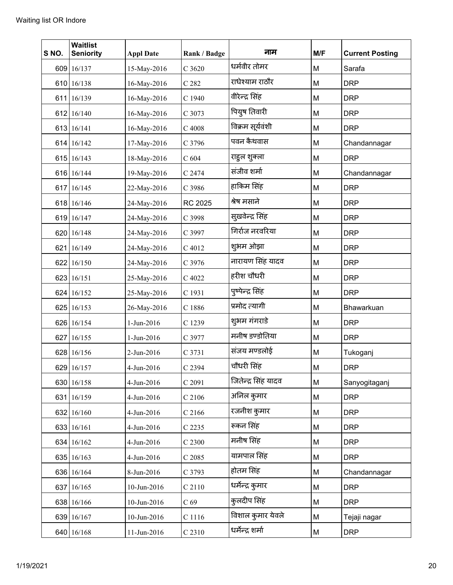| S NO. | <b>Waitlist</b><br><b>Seniority</b> | <b>Appl Date</b> | Rank / Badge    | नाम                 | M/F | <b>Current Posting</b> |
|-------|-------------------------------------|------------------|-----------------|---------------------|-----|------------------------|
|       | 609 16/137                          | 15-May-2016      | C 3620          | धर्मवीर तोमर        | M   | Sarafa                 |
|       | 610 16/138                          | 16-May-2016      | C 282           | राधेश्याम राठौर     | M   | <b>DRP</b>             |
|       | 611 16/139                          | 16-May-2016      | C 1940          | वीरेन्द्र सिंह      | M   | <b>DRP</b>             |
|       | 612 16/140                          | 16-May-2016      | C 3073          | पियुष तिवारी        | M   | <b>DRP</b>             |
|       | 613 16/141                          | 16-May-2016      | $C$ 4008        | विक्रम सूर्यवंशी    | M   | <b>DRP</b>             |
|       | 614 16/142                          | 17-May-2016      | C 3796          | पवन कैथवास          | M   | Chandannagar           |
|       | 615 16/143                          | 18-May-2016      | $C$ 604         | राहुल शुक्ला        | M   | <b>DRP</b>             |
|       | 616 16/144                          | 19-May-2016      | C 2474          | संजीव शर्मा         | M   | Chandannagar           |
|       | 617 16/145                          | 22-May-2016      | C 3986          | हाकिम सिंह          | M   | <b>DRP</b>             |
|       | 618 16/146                          | 24-May-2016      | RC 2025         | श्रेष मसाने         | M   | <b>DRP</b>             |
|       | 619 16/147                          | 24-May-2016      | C 3998          | सुखवेन्द्र सिंह     | M   | <b>DRP</b>             |
|       | 620 16/148                          | 24-May-2016      | C 3997          | गिर्राज नरवरिया     | M   | <b>DRP</b>             |
|       | 621 16/149                          | 24-May-2016      | C 4012          | शुभम ओझा            | M   | <b>DRP</b>             |
|       | 622 16/150                          | 24-May-2016      | C 3976          | नारायण सिंह यादव    | M   | <b>DRP</b>             |
|       | 623 16/151                          | 25-May-2016      | C 4022          | हरीश चौधरी          | M   | <b>DRP</b>             |
|       | 624 16/152                          | 25-May-2016      | C 1931          | पुष्पेन्द्र सिंह    | M   | <b>DRP</b>             |
|       | 625 16/153                          | 26-May-2016      | C 1886          | प्रमोद त्यागी       | M   | Bhawarkuan             |
|       | 626 16/154                          | 1-Jun-2016       | C 1239          | शुभम गंगराडे        | M   | <b>DRP</b>             |
|       | 627 16/155                          | 1-Jun-2016       | C 3977          | मनीष डण्डोतिया      | M   | <b>DRP</b>             |
|       | 628 16/156                          | 2-Jun-2016       | C 3731          | संजय मण्डलोई        | M   | Tukoganj               |
|       | 629 16/157                          | 4-Jun-2016       | C 2394          | चौधरी सिंह          | M   | <b>DRP</b>             |
|       | 630 16/158                          | 4-Jun-2016       | C 2091          | जितेन्द्र सिंह यादव | M   | Sanyogitaganj          |
|       | 631 16/159                          | 4-Jun-2016       | C 2106          | अनिल कुमार          | M   | <b>DRP</b>             |
|       | 632 16/160                          | 4-Jun-2016       | $C$ 2166        | रजनीश कुमार         | M   | <b>DRP</b>             |
|       | 633 16/161                          | 4-Jun-2016       | C 2235          | रूकन सिंह           | M   | <b>DRP</b>             |
|       | 634 16/162                          | 4-Jun-2016       | C 2300          | मनीष सिंह           | M   | <b>DRP</b>             |
|       | 635 16/163                          | 4-Jun-2016       | C 2085          | यामपाल सिंह         | M   | <b>DRP</b>             |
|       | 636 16/164                          | 8-Jun-2016       | C 3793          | होतम सिंह           | M   | Chandannagar           |
|       | 637 16/165                          | 10-Jun-2016      | C 2110          | धर्मेन्द्र कुमार    | M   | <b>DRP</b>             |
|       | 638 16/166                          | 10-Jun-2016      | C <sub>69</sub> | कुलदीप सिंह         | M   | <b>DRP</b>             |
|       | 639 16/167                          | 10-Jun-2016      | C 1116          | विशाल कुमार येवले   | M   | Tejaji nagar           |
|       | 640 16/168                          | 11-Jun-2016      | C 2310          | धर्मेन्द्र शर्मा    | M   | <b>DRP</b>             |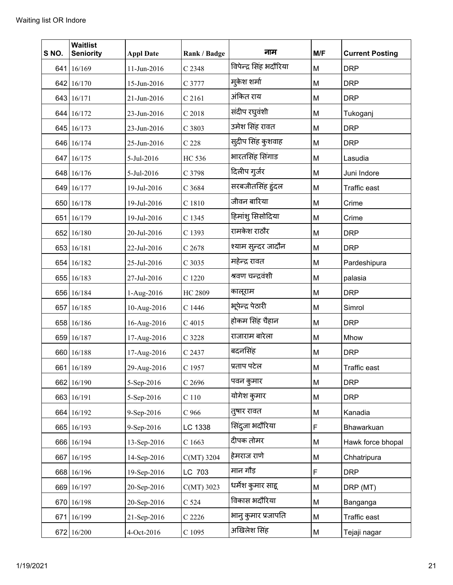| S NO. | <b>Waitlist</b><br><b>Seniority</b> | <b>Appl Date</b> | Rank / Badge | नाम                    | M/F | <b>Current Posting</b> |
|-------|-------------------------------------|------------------|--------------|------------------------|-----|------------------------|
|       | 641 16/169                          | 11-Jun-2016      | C 2348       | विपेन्द्र सिंह भदौरिया | M   | <b>DRP</b>             |
|       | 642 16/170                          | 15-Jun-2016      | C 3777       | म्केश शर्मा            | M   | <b>DRP</b>             |
|       | 643 16/171                          | 21-Jun-2016      | C 2161       | अंकित राय              | M   | <b>DRP</b>             |
|       | 644 16/172                          | 23-Jun-2016      | C 2018       | संदीप रघुवंशी          | M   | Tukoganj               |
|       | 645 16/173                          | 23-Jun-2016      | C 3803       | उमेश सिंह रावत         | M   | <b>DRP</b>             |
|       | 646 16/174                          | 25-Jun-2016      | $C$ 228      | सुदीप सिंह कुशवाह      | M   | <b>DRP</b>             |
|       | 647 16/175                          | 5-Jul-2016       | HC 536       | भारतसिंह सिंगाड        | M   | Lasudia                |
|       | 648 16/176                          | 5-Jul-2016       | C 3798       | दिलीप गुर्जर           | M   | Juni Indore            |
|       | 649 16/177                          | 19-Jul-2016      | C 3684       | सरबजीतसिंह हुंदल       | M   | Traffic east           |
|       | 650 16/178                          | 19-Jul-2016      | C 1810       | जीवन बारिया            | M   | Crime                  |
|       | 651 16/179                          | 19-Jul-2016      | C 1345       | हिमांशु सिसोदिया       | М   | Crime                  |
|       | 652 16/180                          | 20-Jul-2016      | C 1393       | रामकेश राठौर           | M   | <b>DRP</b>             |
|       | 653 16/181                          | 22-Jul-2016      | C 2678       | श्याम सुन्दर जादौन     | M   | <b>DRP</b>             |
|       | 654 16/182                          | 25-Jul-2016      | C 3035       | महेन्द्र रावत          | M   | Pardeshipura           |
|       | 655 16/183                          | 27-Jul-2016      | C 1220       | श्रवण चन्द्रवंशी       | M   | palasia                |
|       | 656 16/184                          | 1-Aug-2016       | HC 2809      | कालूराम                | M   | <b>DRP</b>             |
|       | 657 16/185                          | 10-Aug-2016      | C 1446       | भूपेन्द्र पेठारी       | М   | Simrol                 |
|       | 658 16/186                          | 16-Aug-2016      | C 4015       | होकम सिंह चैहान        | M   | <b>DRP</b>             |
|       | 659 16/187                          | 17-Aug-2016      | C 3228       | राजाराम बारेला         | M   | Mhow                   |
|       | 660 16/188                          | 17-Aug-2016      | C 2437       | बदनसिंह                | M   | <b>DRP</b>             |
|       | 661 16/189                          | 29-Aug-2016      | C 1957       | प्रताप पटेल            | M   | Traffic east           |
|       | 662 16/190                          | 5-Sep-2016       | $C$ 2696     | पवन कुमार              | М   | <b>DRP</b>             |
|       | 663 16/191                          | 5-Sep-2016       | C110         | योगेश कुमार            | M   | <b>DRP</b>             |
|       | 664 16/192                          | 9-Sep-2016       | $C$ 966      | तुषार रावत             | М   | Kanadia                |
|       | 665 16/193                          | 9-Sep-2016       | LC 1338      | सिंदुजा भदौरिया        | F   | Bhawarkuan             |
|       | 666 16/194                          | 13-Sep-2016      | C 1663       | दीपक तोमर              | M   | Hawk force bhopal      |
|       | 667 16/195                          | 14-Sep-2016      | C(MT) 3204   | हेमराज राणे            | M   | Chhatripura            |
|       | 668 16/196                          | 19-Sep-2016      | LC 703       | मान गौड़               | F   | <b>DRP</b>             |
|       | 669 16/197                          | 20-Sep-2016      | $C(MT)$ 3023 | धर्मेश कुमार साहू      | М   | DRP (MT)               |
|       | 670 16/198                          | 20-Sep-2016      | C 524        | विकास भदौरिया          | М   | Banganga               |
|       | 671 16/199                          | 21-Sep-2016      | C 2226       | भानु कुमार प्रजापति    | М   | Traffic east           |
|       | 672 16/200                          | 4-Oct-2016       | $C$ 1095     | अखिलेश सिंह            | М   | Tejaji nagar           |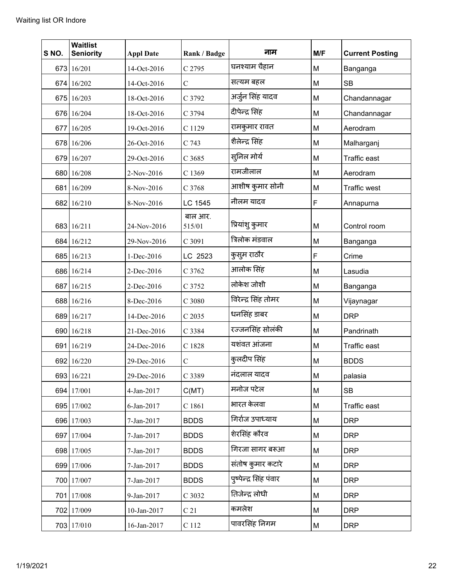| S NO. | <b>Waitlist</b><br><b>Seniority</b> | <b>Appl Date</b> | Rank / Badge    | नाम                    | M/F | <b>Current Posting</b> |
|-------|-------------------------------------|------------------|-----------------|------------------------|-----|------------------------|
|       | 673 16/201                          | 14-Oct-2016      | C 2795          | घनश्याम चैहान          | M   | Banganga               |
|       | 674 16/202                          | 14-Oct-2016      | $\mathcal{C}$   | सत्यम बहल              | M   | <b>SB</b>              |
|       | 675 16/203                          | 18-Oct-2016      | C 3792          | अर्जुन सिंह यादव       | M   | Chandannagar           |
|       | 676 16/204                          | 18-Oct-2016      | C 3794          | दीपेन्द्र सिंह         | M   | Chandannagar           |
|       | 677 16/205                          | 19-Oct-2016      | C 1129          | रामकुमार रावत          | M   | Aerodram               |
|       | 678 16/206                          | 26-Oct-2016      | C 743           | शैलेन्द्र सिंह         | M   | Malharganj             |
|       | 679 16/207                          | 29-Oct-2016      | C 3685          | सुनिल मोर्य            | M   | <b>Traffic east</b>    |
|       | 680 16/208                          | 2-Nov-2016       | C 1369          | रामजीलाल               | M   | Aerodram               |
|       | 681 16/209                          | 8-Nov-2016       | C 3768          | आशीष कुमार सोनी        | M   | <b>Traffic west</b>    |
|       | 682 16/210                          | 8-Nov-2016       | LC 1545         | नीलम यादव              | F   | Annapurna              |
|       |                                     |                  | बाल आर.         | प्रियांशु कुमार        |     |                        |
|       | 683 16/211                          | 24-Nov-2016      | 515/01          | त्रिलोक मंडवाल         | M   | Control room           |
|       | 684 16/212                          | 29-Nov-2016      | C 3091          |                        | M   | Banganga               |
|       | 685 16/213                          | 1-Dec-2016       | LC 2523         | कुसुम राठौर            | F   | Crime                  |
|       | 686 16/214                          | 2-Dec-2016       | C 3762          | आलोक सिंह              | M   | Lasudia                |
|       | 687 16/215                          | 2-Dec-2016       | C 3752          | लोकेश जोशी             | M   | Banganga               |
|       | 688 16/216                          | 8-Dec-2016       | C 3080          | विरेन्द्र सिंह तोमर    | M   | Vijaynagar             |
|       | 689 16/217                          | 14-Dec-2016      | C 2035          | धनसिंह डाबर            | M   | <b>DRP</b>             |
|       | 690 16/218                          | 21-Dec-2016      | C 3384          | रज्जनसिंह सोलंकी       | M   | Pandrinath             |
|       | 691 16/219                          | 24-Dec-2016      | C 1828          | यशंवत आंजना            | M   | <b>Traffic east</b>    |
|       | 692 16/220                          | 29-Dec-2016      | $\mathcal{C}$   | कुलदीप सिंह            | M   | <b>BDDS</b>            |
|       | 693 16/221                          | 29-Dec-2016      | C 3389          | नंदलाल यादव            | M   | palasia                |
|       | 694 17/001                          | 4-Jan-2017       | C(MT)           | मनोज पटेल              | M   | <b>SB</b>              |
|       | 695 17/002                          | 6-Jan-2017       | C 1861          | भारत केलवा             | М   | Traffic east           |
|       | 696 17/003                          | 7-Jan-2017       | <b>BDDS</b>     | गिर्राज उपाध्याय       | M   | <b>DRP</b>             |
|       | 697 17/004                          | 7-Jan-2017       | <b>BDDS</b>     | शेरसिंह कौरव           | М   | <b>DRP</b>             |
|       | 698 17/005                          | 7-Jan-2017       | <b>BDDS</b>     | गिरजा सागर बरूआ        | M   | <b>DRP</b>             |
|       | 699 17/006                          | 7-Jan-2017       | <b>BDDS</b>     | संतोष कुमार कटारे      | M   | <b>DRP</b>             |
|       | 700 17/007                          | 7-Jan-2017       | <b>BDDS</b>     | पुष्पेन्द्र सिंह पंवार | М   | <b>DRP</b>             |
|       | 701 17/008                          | 9-Jan-2017       | C 3032          | तिजेन्द्र लोधी         | M   | <b>DRP</b>             |
|       | 702 17/009                          | 10-Jan-2017      | C <sub>21</sub> | कमलेश                  | M   | <b>DRP</b>             |
|       | 703 17/010                          | 16-Jan-2017      | $\rm C$ 112     | पावरसिंह निगम          | M   | <b>DRP</b>             |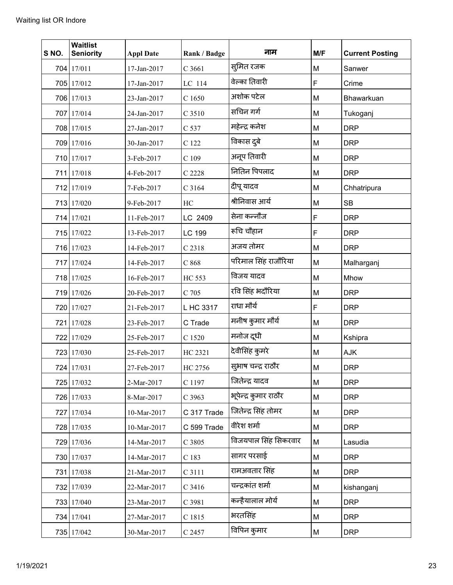| S NO. | <b>Waitlist</b><br><b>Seniority</b> | <b>Appl Date</b> | Rank / Badge  | नाम                   | M/F | <b>Current Posting</b> |
|-------|-------------------------------------|------------------|---------------|-----------------------|-----|------------------------|
|       | 704 17/011                          | 17-Jan-2017      | C 3661        | स्मित रजक             | M   | Sanwer                 |
|       | 705 17/012                          | 17-Jan-2017      | LC 114        | वेल्का तिवारी         | F   | Crime                  |
|       | 706 17/013                          | 23-Jan-2017      | C 1650        | अशोक पटेल             | M   | Bhawarkuan             |
|       | 707 17/014                          | 24-Jan-2017      | C 3510        | सचिन गर्ग             | M   | Tukoganj               |
|       | 708 17/015                          | 27-Jan-2017      | C 537         | महेन्द्र कनेश         | M   | <b>DRP</b>             |
|       | 709 17/016                          | 30-Jan-2017      | C 122         | विकास दुबे            | M   | <b>DRP</b>             |
|       | 710 17/017                          | 3-Feb-2017       | $C$ 109       | अनूप तिवारी           | M   | <b>DRP</b>             |
|       | 711 17/018                          | 4-Feb-2017       | C 2228        | नितिन पिपलाद          | M   | <b>DRP</b>             |
|       | 712 17/019                          | 7-Feb-2017       | C 3164        | दीपू यादव             | M   | Chhatripura            |
|       | 713 17/020                          | 9-Feb-2017       | HC            | श्रीनिवास आर्य        | M   | <b>SB</b>              |
|       | 714 17/021                          | 11-Feb-2017      | LC 2409       | सेना कन्नौज           | F   | <b>DRP</b>             |
|       | 715 17/022                          | 13-Feb-2017      | LC 199        | रूचि चौहान            | F   | <b>DRP</b>             |
|       | 716 17/023                          | 14-Feb-2017      | C 2318        | अजय तोमर              | M   | <b>DRP</b>             |
|       | 717 17/024                          | 14-Feb-2017      | C868          | परिमाल सिंह राजौरिया  | M   | Malharganj             |
|       | 718 17/025                          | 16-Feb-2017      | <b>HC 553</b> | विजय यादव             | M   | Mhow                   |
|       | 719 17/026                          | 20-Feb-2017      | C 705         | रवि सिंह भदौरिया      | M   | <b>DRP</b>             |
|       | 720 17/027                          | 21-Feb-2017      | L HC 3317     | राधा मौर्य            | F   | <b>DRP</b>             |
|       | 721 17/028                          | 23-Feb-2017      | C Trade       | मनीष कुमार मौर्य      | M   | <b>DRP</b>             |
|       | 722 17/029                          | 25-Feb-2017      | C 1520        | मनोज दूधी             | M   | Kshipra                |
|       | 723 17/030                          | 25-Feb-2017      | HC 2321       | देवीसिंह कुमरे        | M   | AJK                    |
|       | 724 17/031                          | 27-Feb-2017      | HC 2756       | सुभाष चन्द्र राठौर    | M   | <b>DRP</b>             |
|       | 725 17/032                          | 2-Mar-2017       | C 1197        | जितेन्द्र यादव        | M   | <b>DRP</b>             |
|       | 726 17/033                          | 8-Mar-2017       | C 3963        | भूपेन्द्र कुमार राठौर | M   | <b>DRP</b>             |
|       | 727 17/034                          | 10-Mar-2017      | C 317 Trade   | जितेन्द्र सिंह तोमर   | M   | <b>DRP</b>             |
|       | 728 17/035                          | 10-Mar-2017      | C 599 Trade   | वीरेश शर्मा           | M   | <b>DRP</b>             |
|       | 729 17/036                          | 14-Mar-2017      | C 3805        | विजयपाल सिंह सिकरवार  | M   | Lasudia                |
|       | 730 17/037                          | 14-Mar-2017      | C 183         | सागर परसाई            | M   | <b>DRP</b>             |
|       | 731 17/038                          | 21-Mar-2017      | C 3111        | रामअवतार सिंह         | M   | <b>DRP</b>             |
|       | 732 17/039                          | 22-Mar-2017      | $C$ 3416      | चन्द्रकांत शर्मा      | M   | kishanganj             |
|       | 733 17/040                          | 23-Mar-2017      | C 3981        | कन्हैयालाल मोर्य      | M   | <b>DRP</b>             |
|       | 734 17/041                          | 27-Mar-2017      | C 1815        | भरतसिंह               | М   | <b>DRP</b>             |
|       | 735 17/042                          | 30-Mar-2017      | C 2457        | विपिन कुमार           | М   | <b>DRP</b>             |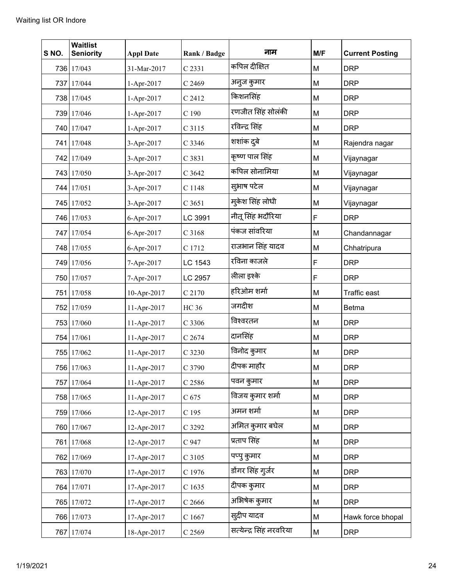| S NO. | <b>Waitlist</b><br><b>Seniority</b> | <b>Appl Date</b> | Rank / Badge     | नाम                     | M/F | <b>Current Posting</b> |
|-------|-------------------------------------|------------------|------------------|-------------------------|-----|------------------------|
|       | 736 17/043                          | 31-Mar-2017      | C 2331           | कपिल दीक्षित            | M   | <b>DRP</b>             |
|       | 737 17/044                          | 1-Apr-2017       | C 2469           | अनुज कुमार              | M   | <b>DRP</b>             |
|       | 738 17/045                          | 1-Apr-2017       | C 2412           | किशनसिंह                | M   | <b>DRP</b>             |
|       | 739 17/046                          | 1-Apr-2017       | C <sub>190</sub> | रणजीत सिंह सोलंकी       | M   | <b>DRP</b>             |
|       | 740 17/047                          | 1-Apr-2017       | C 3115           | रविन्द्र सिंह           | M   | <b>DRP</b>             |
|       | 741 17/048                          | 3-Apr-2017       | C 3346           | शशांक दुबे              | M   | Rajendra nagar         |
|       | 742 17/049                          | 3-Apr-2017       | C 3831           | कृष्ण पाल सिंह          | M   | Vijaynagar             |
| 743   | 17/050                              | 3-Apr-2017       | C 3642           | कपिल सोनामिया           | M   | Vijaynagar             |
|       | 744 17/051                          | 3-Apr-2017       | C 1148           | सुभाष पटेल              | M   | Vijaynagar             |
|       | 745 17/052                          | 3-Apr-2017       | C 3651           | मुकेश सिंह लोधी         | M   | Vijaynagar             |
|       | 746 17/053                          | 6-Apr-2017       | LC 3991          | नीतू सिंह भदौरिया       | F   | <b>DRP</b>             |
|       | 747 17/054                          | 6-Apr-2017       | C 3168           | पंकज सांवरिया           | M   | Chandannagar           |
|       | 748 17/055                          | 6-Apr-2017       | C 1712           | राजभान सिंह यादव        | M   | Chhatripura            |
|       | 749 17/056                          | 7-Apr-2017       | LC 1543          | रविना काजले             | F   | <b>DRP</b>             |
|       | 750 17/057                          | 7-Apr-2017       | LC 2957          | लीला इश्के              | F   | <b>DRP</b>             |
| 7511  | 17/058                              | 10-Apr-2017      | C 2170           | हरिओम शर्मा             | M   | <b>Traffic east</b>    |
|       | 752 17/059                          | 11-Apr-2017      | <b>HC 36</b>     | जगदीश                   | M   | <b>Betma</b>           |
|       | 753 17/060                          | 11-Apr-2017      | C 3306           | विश्वरतन                | M   | <b>DRP</b>             |
|       | 754 17/061                          | 11-Apr-2017      | C 2674           | दानसिंह                 | M   | <b>DRP</b>             |
|       | 755 17/062                          | 11-Apr-2017      | C 3230           | विनोद कुमार             | M   | <b>DRP</b>             |
|       | 756 17/063                          | 11-Apr-2017      | C 3790           | दीपक माहौर              | M   | <b>DRP</b>             |
|       | 757 17/064                          | 11-Apr-2017      | C 2586           | पवन कुमार               | M   | <b>DRP</b>             |
|       | 758 17/065                          | 11-Apr-2017      | $C$ 675          | विजय कुमार शर्मा        | M   | <b>DRP</b>             |
|       | 759 17/066                          | 12-Apr-2017      | C 195            | अमन शर्मा               | М   | <b>DRP</b>             |
|       | 760 17/067                          | 12-Apr-2017      | C 3292           | अमित कुमार बघेल         | М   | <b>DRP</b>             |
|       | 761 17/068                          | 12-Apr-2017      | C 947            | प्रताप सिंह             | M   | <b>DRP</b>             |
|       | 762 17/069                          | 17-Apr-2017      | C 3105           | पप्पु कुमार             | M   | <b>DRP</b>             |
|       | 763 17/070                          | 17-Apr-2017      | C 1976           | डोंगर सिंह गुर्जर       | М   | <b>DRP</b>             |
|       | 764 17/071                          | 17-Apr-2017      | C1635            | दीपक कुमार              | M   | <b>DRP</b>             |
|       | 765 17/072                          | 17-Apr-2017      | $C$ 2666         | अभिषेक कुमार            | M   | <b>DRP</b>             |
|       | 766 17/073                          | 17-Apr-2017      | C1667            | सुदीप यादव              | M   | Hawk force bhopal      |
| 767   | 17/074                              | 18-Apr-2017      | $C$ 2569         | सत्येन्द्र सिंह नरवरिया | М   | <b>DRP</b>             |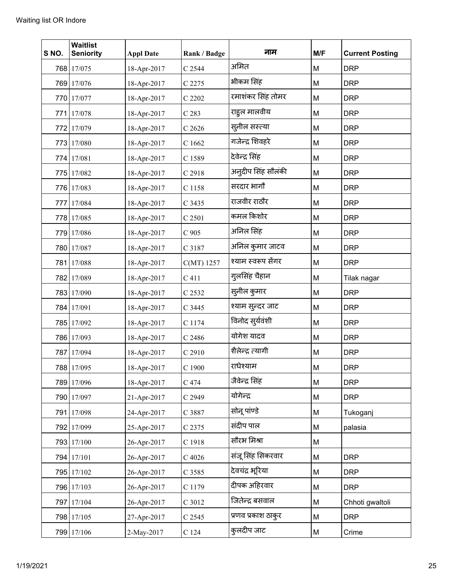| S NO. | <b>Waitlist</b><br><b>Seniority</b> | <b>Appl Date</b> | Rank / Badge     | नाम                | M/F | <b>Current Posting</b> |
|-------|-------------------------------------|------------------|------------------|--------------------|-----|------------------------|
|       | 768 17/075                          | 18-Apr-2017      | C 2544           | अमित               | M   | <b>DRP</b>             |
|       | 769 17/076                          | 18-Apr-2017      | C 2275           | भीकम सिंह          | M   | <b>DRP</b>             |
|       | 770 17/077                          | 18-Apr-2017      | C 2202           | रमाशंकर सिंह तोमर  | M   | <b>DRP</b>             |
|       | 771 17/078                          | 18-Apr-2017      | C <sub>283</sub> | राहूल मालवीय       | M   | <b>DRP</b>             |
|       | 772 17/079                          | 18-Apr-2017      | C2626            | स्लील सस्त्या      | M   | <b>DRP</b>             |
|       | 773 17/080                          | 18-Apr-2017      | C 1662           | गजेन्द्र शिवहरे    | M   | <b>DRP</b>             |
|       | 774 17/081                          | 18-Apr-2017      | C 1589           | देवेन्द्र सिंह     | M   | <b>DRP</b>             |
|       | 775 17/082                          | 18-Apr-2017      | C 2918           | अन्दीप सिंह सौलंकी | M   | <b>DRP</b>             |
|       | 776 17/083                          | 18-Apr-2017      | C 1158           | सरदार भागों        | M   | <b>DRP</b>             |
|       | 777 17/084                          | 18-Apr-2017      | C 3435           | राजवीर राठौर       | M   | <b>DRP</b>             |
|       | 778 17/085                          | 18-Apr-2017      | C 2501           | कमल किशोर          | M   | <b>DRP</b>             |
|       | 779 17/086                          | 18-Apr-2017      | $C$ 905          | अनिल सिंह          | M   | <b>DRP</b>             |
|       | 780 17/087                          | 18-Apr-2017      | C 3187           | अनिल कुमार जाटव    | M   | <b>DRP</b>             |
|       | 781 17/088                          | 18-Apr-2017      | C(MT) 1257       | श्याम स्वरूप सेंगर | M   | <b>DRP</b>             |
|       | 782 17/089                          | 18-Apr-2017      | C <sub>411</sub> | गुलसिंह चैहान      | M   | Tilak nagar            |
|       | 783 17/090                          | 18-Apr-2017      | C 2532           | सुनील कुमार        | M   | <b>DRP</b>             |
|       | 784 17/091                          | 18-Apr-2017      | C 3445           | श्याम सुन्दर जाट   | M   | <b>DRP</b>             |
|       | 785 17/092                          | 18-Apr-2017      | C 1174           | विनोद सुर्यवंशी    | M   | <b>DRP</b>             |
|       | 786 17/093                          | 18-Apr-2017      | C 2486           | योगेश यादव         | M   | <b>DRP</b>             |
|       | 787 17/094                          | 18-Apr-2017      | C 2910           | शैलेन्द्र त्यागी   | M   | <b>DRP</b>             |
|       | 788 17/095                          | 18-Apr-2017      | $C$ 1900         | राधेश्याम          | М   | <b>DRP</b>             |
|       | 789 17/096                          | 18-Apr-2017      | C 474            | जैवेन्द्र सिंह     | M   | <b>DRP</b>             |
|       | 790 17/097                          | 21-Apr-2017      | C 2949           | योगेन्द्र          | M   | <b>DRP</b>             |
|       | 791 17/098                          | 24-Apr-2017      | C 3887           | सोनू पांण्डे       | M   | Tukoganj               |
|       | 792 17/099                          | 25-Apr-2017      | C 2375           | संदीप पाल          | M   | palasia                |
|       | 793 17/100                          | 26-Apr-2017      | C 1918           | सौरभ मिश्रा        | M   |                        |
|       | 794 17/101                          | 26-Apr-2017      | $C$ 4026         | संजू सिंह सिकरवार  | M   | <b>DRP</b>             |
|       | 795 17/102                          | 26-Apr-2017      | C 3585           | देवचंद्र भूरिया    | M   | <b>DRP</b>             |
|       | 796 17/103                          | 26-Apr-2017      | C 1179           | दीपक अहिरवार       | M   | <b>DRP</b>             |
|       | 797 17/104                          | 26-Apr-2017      | C 3012           | जितेन्द्र बसवाल    | M   | Chhoti gwaltoli        |
|       | 798 17/105                          | 27-Apr-2017      | C 2545           | प्रणव प्रकाश ठाकुर | M   | <b>DRP</b>             |
|       | 799 17/106                          | 2-May-2017       | C <sub>124</sub> | कुलदीप जाट         | M   | Crime                  |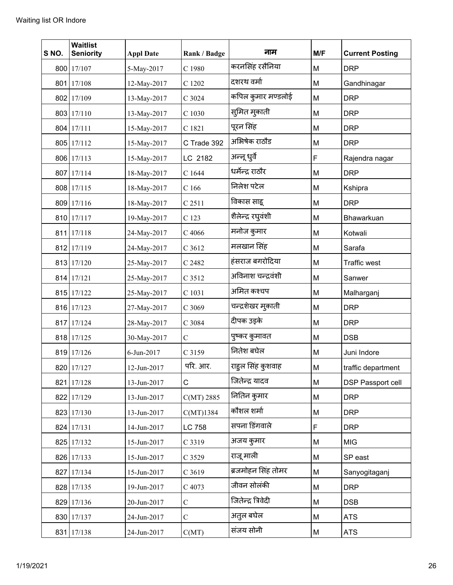| S NO. | <b>Waitlist</b><br><b>Seniority</b> | <b>Appl Date</b> | Rank / Badge  | नाम                | M/F | <b>Current Posting</b>   |
|-------|-------------------------------------|------------------|---------------|--------------------|-----|--------------------------|
|       | 800 17/107                          | 5-May-2017       | C 1980        | करनसिंह रसैनिया    | M   | <b>DRP</b>               |
|       | 801 17/108                          | 12-May-2017      | C 1202        | दशरथ वर्मा         | M   | Gandhinagar              |
|       | 802 17/109                          | 13-May-2017      | C 3024        | कपिल कुमार मण्डलोई | M   | <b>DRP</b>               |
|       | 803 17/110                          | 13-May-2017      | C 1030        | सुमित मुकाती       | M   | <b>DRP</b>               |
|       | 804 17/111                          | 15-May-2017      | C 1821        | पूरन सिंह          | M   | <b>DRP</b>               |
|       | 805 17/112                          | 15-May-2017      | C Trade 392   | अभिषेक राठौड       | M   | <b>DRP</b>               |
|       | 806 17/113                          | 15-May-2017      | LC 2182       | अन्नू धुर्वे       | F   | Rajendra nagar           |
|       | 807 17/114                          | 18-May-2017      | C 1644        | धर्मेन्द्र राठौर   | M   | <b>DRP</b>               |
|       | 808 17/115                          | 18-May-2017      | C166          | निलेश पटेल         | M   | Kshipra                  |
|       | 809 17/116                          | 18-May-2017      | C 2511        | विकास साह्         | M   | <b>DRP</b>               |
|       | 810 17/117                          | 19-May-2017      | C 123         | शैलेन्द्र रघुवंशी  | M   | Bhawarkuan               |
|       | 811 17/118                          | 24-May-2017      | C 4066        | मनोज कुमार         | M   | Kotwali                  |
|       | 812 17/119                          | 24-May-2017      | C 3612        | मलखान सिंह         | M   | Sarafa                   |
|       | 813 17/120                          | 25-May-2017      | C 2482        | हंसराज बगरोदिया    | M   | Traffic west             |
|       | 814 17/121                          | 25-May-2017      | C 3512        | अविनाश चन्द्रवंशी  | M   | Sanwer                   |
|       | 815 17/122                          | 25-May-2017      | C 1031        | अमित कश्चप         | M   | Malharganj               |
|       | 816 17/123                          | 27-May-2017      | C 3069        | चन्द्रशेखर म्@लाती | M   | <b>DRP</b>               |
|       | 817 17/124                          | 28-May-2017      | C 3084        | दीपक उइके          | M   | <b>DRP</b>               |
|       | 818 17/125                          | 30-May-2017      | $\mathsf C$   | पुष्कर कुमावत      | M   | <b>DSB</b>               |
|       | 819 17/126                          | 6-Jun-2017       | C 3159        | नितेश बघेल         | M   | Juni Indore              |
|       | 820 17/127                          | 12-Jun-2017      | परि. आर.      | राहुल सिंह कुशवाह  | M   | traffic department       |
|       | 821 17/128                          | 13-Jun-2017      | C             | जितेन्द्र यादव     | M   | <b>DSP Passport cell</b> |
|       | 822 17/129                          | 13-Jun-2017      | $C(MT)$ 2885  | नितिन कुमार        | M   | <b>DRP</b>               |
|       | 823 17/130                          | 13-Jun-2017      | C(MT)1384     | कौशल शर्मा         | M   | <b>DRP</b>               |
|       | 824 17/131                          | 14-Jun-2017      | LC 758        | सपना डिंगवाले      | F   | <b>DRP</b>               |
|       | 825 17/132                          | 15-Jun-2017      | C 3319        | अजय कुमार          | M   | <b>MIG</b>               |
|       | 826 17/133                          | 15-Jun-2017      | C 3529        | राजू माली          | M   | SP east                  |
|       | 827 17/134                          | 15-Jun-2017      | C 3619        | ब्रजमोहन सिंह तोमर | M   | Sanyogitaganj            |
|       | 828 17/135                          | 19-Jun-2017      | C 4073        | जीवन सोलंकी        | M   | <b>DRP</b>               |
|       | 829 17/136                          | 20-Jun-2017      | $\mathcal{C}$ | जितेन्द्र त्रिवेदी | M   | <b>DSB</b>               |
|       | 830 17/137                          | 24-Jun-2017      | $\mathbf C$   | अतुल बघेल          | M   | <b>ATS</b>               |
|       | 831 17/138                          | 24-Jun-2017      | C(MT)         | संजय सोनी          | M   | <b>ATS</b>               |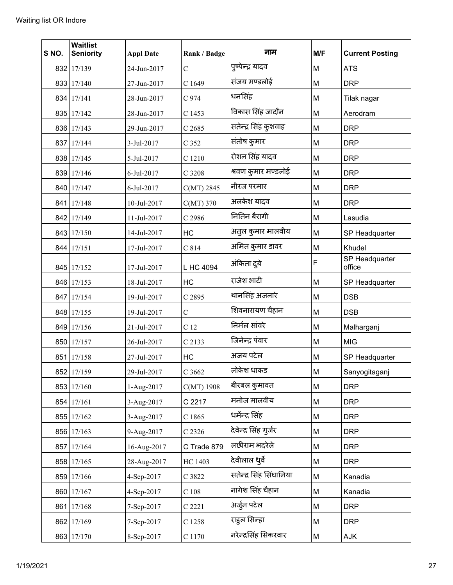| SNO. | <b>Waitlist</b><br><b>Seniority</b> | <b>Appl Date</b> | Rank / Badge    | नाम                     | M/F | <b>Current Posting</b>   |
|------|-------------------------------------|------------------|-----------------|-------------------------|-----|--------------------------|
|      | 832 17/139                          | 24-Jun-2017      | $\mathcal{C}$   | पुष्पेन्द्र यादव        | M   | <b>ATS</b>               |
|      | 833 17/140                          | 27-Jun-2017      | C 1649          | संजय मण्डलोई            | M   | <b>DRP</b>               |
|      | 834 17/141                          | 28-Jun-2017      | C 974           | धनसिंह                  | M   | Tilak nagar              |
|      | 835 17/142                          | 28-Jun-2017      | C 1453          | विकास सिंह जादौन        | M   | Aerodram                 |
|      | 836 17/143                          | 29-Jun-2017      | $C$ 2685        | सतेन्द्र सिंह कुशवाह    | M   | <b>DRP</b>               |
|      | 837 17/144                          | 3-Jul-2017       | C 352           | संतोष कुमार             | M   | <b>DRP</b>               |
|      | 838 17/145                          | 5-Jul-2017       | C 1210          | रोशन सिंह यादव          | M   | <b>DRP</b>               |
|      | 839 17/146                          | 6-Jul-2017       | C 3208          | श्रवण कुमार मण्डलोई     | M   | <b>DRP</b>               |
|      | 840 17/147                          | 6-Jul-2017       | $C(MT)$ 2845    | नीरज परमार              | M   | <b>DRP</b>               |
|      | 841 17/148                          | 10-Jul-2017      | $C(MT)$ 370     | अलकेश यादव              | M   | <b>DRP</b>               |
|      | 842 17/149                          | 11-Jul-2017      | C 2986          | नितिन बैरागी            | M   | Lasudia                  |
|      | 843 17/150                          | 14-Jul-2017      | HC              | अतुल कुमार मालवीय       | M   | SP Headquarter           |
|      | 844 17/151                          | 17-Jul-2017      | C814            | अमित कुमार डावर         | M   | Khudel                   |
|      | 845 17/152                          | 17-Jul-2017      | L HC 4094       | अंकिता दुबे             | F   | SP Headquarter<br>office |
|      | 846 17/153                          | 18-Jul-2017      | HC              | राजेश भाटी              | M   | SP Headquarter           |
|      | 847 17/154                          | 19-Jul-2017      | C 2895          | थानसिंह अजनारे          | M   | <b>DSB</b>               |
|      | 848 17/155                          | 19-Jul-2017      | $\mathcal{C}$   | शिवनारायण चैहान         | M   | <b>DSB</b>               |
|      | 849 17/156                          | 21-Jul-2017      | C <sub>12</sub> | निर्मल सांवरे           | M   | Malharganj               |
|      | 850 17/157                          | 26-Jul-2017      | C 2133          | जिनेन्द्र पंवार         | M   | <b>MIG</b>               |
| 851  | 17/158                              | 27-Jul-2017      | HC              | अजय पटेल                | M   | SP Headquarter           |
|      | 852 17/159                          | 29-Jul-2017      | C 3662          | लोकेश धाकड              | M   | Sanyogitaganj            |
|      | 853 17/160                          | 1-Aug-2017       | C(MT) 1908      | बीरबल कुमावत            | M   | <b>DRP</b>               |
|      | 854 17/161                          | 3-Aug-2017       | C 2217          | मनोज मालवीय             | M   | <b>DRP</b>               |
|      | 855 17/162                          | 3-Aug-2017       | C 1865          | धर्मेन्द्र सिंह         | M   | <b>DRP</b>               |
|      | 856 17/163                          | 9-Aug-2017       | C 2326          | देवेन्द्र सिंह गुर्जर   | M   | <b>DRP</b>               |
|      | 857 17/164                          | 16-Aug-2017      | C Trade 879     | लछीराम भदरेले           | M   | <b>DRP</b>               |
|      | 858 17/165                          | 28-Aug-2017      | HC 1403         | देवीलाल धुर्वे          | M   | <b>DRP</b>               |
|      | 859 17/166                          | 4-Sep-2017       | C 3822          | सतेन्द्र सिंह सिंघानिया | M   | Kanadia                  |
|      | 860 17/167                          | 4-Sep-2017       | $C$ 108         | नागेश सिंह चैहान        | M   | Kanadia                  |
|      | 861 17/168                          | 7-Sep-2017       | C 2221          | अर्जुन पटेल             | M   | <b>DRP</b>               |
|      | 862 17/169                          | 7-Sep-2017       | C 1258          | राहुल सिन्हा            | M   | <b>DRP</b>               |
|      | 863 17/170                          | 8-Sep-2017       | $\rm C$ 1170    | नरेन्द्रसिंह सिकरवार    | M   | AJK                      |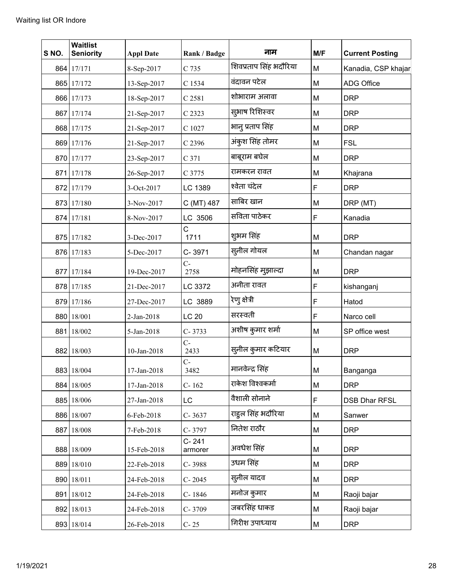| SNO. | <b>Waitlist</b><br><b>Seniority</b> | <b>Appl Date</b> | Rank / Badge         | नाम                    | M/F | <b>Current Posting</b> |
|------|-------------------------------------|------------------|----------------------|------------------------|-----|------------------------|
| 864  | 17/171                              | 8-Sep-2017       | C 735                | शिवप्रताप सिंह भदौरिया | M   | Kanadia, CSP khajar    |
|      | 865 17/172                          | 13-Sep-2017      | C 1534               | वंदावन पटेल            | M   | <b>ADG Office</b>      |
|      | 866 17/173                          | 18-Sep-2017      | C 2581               | शोभाराम अलावा          | M   | <b>DRP</b>             |
| 867  | 17/174                              | 21-Sep-2017      | C 2323               | सुभाष रिशिस्वर         | M   | <b>DRP</b>             |
|      | 868 17/175                          | 21-Sep-2017      | C 1027               | भानु प्रताप सिंह       | M   | <b>DRP</b>             |
|      | 869 17/176                          | 21-Sep-2017      | C 2396               | अंकुश सिंह तोमर        | M   | <b>FSL</b>             |
|      | 870 17/177                          | 23-Sep-2017      | C 371                | बाबूराम बघेल           | M   | <b>DRP</b>             |
| 871  | 17/178                              | 26-Sep-2017      | C 3775               | रामकरन रावत            | M   | Khajrana               |
|      | 872 17/179                          | 3-Oct-2017       | LC 1389              | श्वेता चंदेल           | F   | <b>DRP</b>             |
|      | 873 17/180                          | 3-Nov-2017       | C (MT) 487           | साबिर खान              | M   | DRP (MT)               |
| 874  | 17/181                              | 8-Nov-2017       | LC 3506              | सविता पाठेकर           | F   | Kanadia                |
| 875  | 17/182                              | 3-Dec-2017       | C<br>1711            | शुभम सिंह              | M   | <b>DRP</b>             |
|      | 876 17/183                          | 5-Dec-2017       | C-3971               | स्तनील गोयल            | M   | Chandan nagar          |
| 877  | 17/184                              | 19-Dec-2017      | $C-$<br>2758         | मोहनसिंह मुझाल्दा      | M   | <b>DRP</b>             |
| 878  | 17/185                              | 21-Dec-2017      | LC 3372              | अनीता रावत             | F   | kishanganj             |
|      | 879 17/186                          | 27-Dec-2017      | LC 3889              | रेणु क्षेत्री          | F   | Hatod                  |
|      | 880 18/001                          | 2-Jan-2018       | <b>LC 20</b>         | सरस्वती                | F   | Narco cell             |
| 881  | 18/002                              | 5-Jan-2018       | $C - 3733$           | अशीष कुमार शर्मा       | M   | SP office west         |
|      | 882 18/003                          | 10-Jan-2018      | $C-$<br>2433         | सुनील कुमार कटियार     | M   | <b>DRP</b>             |
|      | 883 18/004                          | 17-Jan-2018      | $C-$<br>3482         | मानवेन्द्र सिंह        | М   | Banganga               |
|      | 884 18/005                          | 17-Jan-2018      | $C-162$              | राकेश विश्वकर्मा       | M   | <b>DRP</b>             |
|      | 885 18/006                          | 27-Jan-2018      | LC                   | वैशाली सोनाने          | F   | <b>DSB Dhar RFSL</b>   |
|      | 886 18/007                          | 6-Feb-2018       | C-3637               | राहुल सिंह भदौरिया     | M   | Sanwer                 |
|      | 887 18/008                          | 7-Feb-2018       | C-3797               | नितेश राठौर            | M   | <b>DRP</b>             |
|      | 888 18/009                          | 15-Feb-2018      | $C - 241$<br>armorer | अवधेश सिंह             | M   | <b>DRP</b>             |
|      | 889 18/010                          | 22-Feb-2018      | C-3988               | उधम सिंह               | M   | <b>DRP</b>             |
| 890  | 18/011                              | 24-Feb-2018      | $C - 2045$           | स्लील यादव             | M   | <b>DRP</b>             |
| 891  | 18/012                              | 24-Feb-2018      | C-1846               | मनोज कुमार             | M   | Raoji bajar            |
|      | 892 18/013                          | 24-Feb-2018      | C-3709               | जबरसिंह धाकड           | M   | Raoji bajar            |
|      | 893 18/014                          | 26-Feb-2018      | $C-25$               | गिरीश उपाध्याय         | M   | <b>DRP</b>             |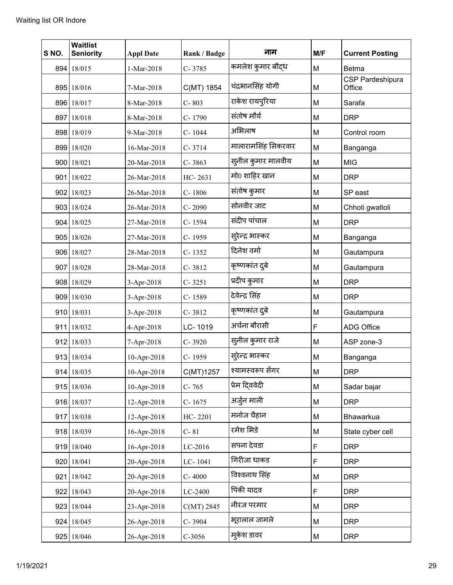| S NO. | <b>Waitlist</b><br><b>Seniority</b> | <b>Appl Date</b> | Rank / Badge | नाम                 | M/F | <b>Current Posting</b>     |
|-------|-------------------------------------|------------------|--------------|---------------------|-----|----------------------------|
|       | 894 18/015                          | 1-Mar-2018       | C-3785       | कमलेश कुमार बौद्ध   | M   | Betma                      |
|       | 895 18/016                          | 7-Mar-2018       | C(MT) 1854   | चंद्रभानसिंह योगी   | M   | CSP Pardeshipura<br>Office |
|       | 896 18/017                          | 8-Mar-2018       | C-803        | राकेश रायपुरिया     | M   | Sarafa                     |
|       | 897 18/018                          | 8-Mar-2018       | C-1790       | संतोष मौर्य         | M   | <b>DRP</b>                 |
|       | 898 18/019                          | 9-Mar-2018       | C-1044       | अभिलाष              | M   | Control room               |
|       | 899 18/020                          | 16-Mar-2018      | $C-3714$     | मालारामसिंह सिकरवार | M   | Banganga                   |
|       | 900 18/021                          | 20-Mar-2018      | $C - 3863$   | सुनील कुमार मालवीय  | M   | <b>MIG</b>                 |
|       | 901 18/022                          | 26-Mar-2018      | HC-2631      | मो0 शाहिर खान       | M   | <b>DRP</b>                 |
|       | 902 18/023                          | 26-Mar-2018      | C-1806       | संतोष कुमार         | M   | SP east                    |
|       | 903 18/024                          | 26-Mar-2018      | $C - 2090$   | सोनवीर जाट          | M   | Chhoti gwaltoli            |
|       | 904 18/025                          | 27-Mar-2018      | C-1594       | संदीप पांचाल        | M   | <b>DRP</b>                 |
|       | 905 18/026                          | 27-Mar-2018      | C-1959       | स्ऐन्द्र भास्कर     | M   | Banganga                   |
|       | 906 18/027                          | 28-Mar-2018      | $C-1352$     | दिनेश वर्मा         | M   | Gautampura                 |
|       | 907 18/028                          | 28-Mar-2018      | C-3812       | कृष्णकांत दुबे      | M   | Gautampura                 |
|       | 908 18/029                          | 3-Apr-2018       | $C-3251$     | प्रदीप कुमार        | M   | <b>DRP</b>                 |
|       | 909 18/030                          | 3-Apr-2018       | C-1589       | देवेन्द्र सिंह      | M   | <b>DRP</b>                 |
|       | 910 18/031                          | 3-Apr-2018       | C-3812       | कृष्णकांत दुबे      | M   | Gautampura                 |
|       | 911 18/032                          | 4-Apr-2018       | LC-1019      | अर्चना बौरासी       | F   | <b>ADG Office</b>          |
|       | 912 18/033                          | 7-Apr-2018       | C-3920       | सुनील कुमार राजे    | M   | ASP zone-3                 |
|       | 913 18/034                          | 10-Apr-2018      | C-1959       | सुरेन्द्र भास्कर    | M   | Banganga                   |
|       | 914 18/035                          | 10-Apr-2018      | C(MT)1257    | श्यामस्वरूप सेंगर   | M   | <b>DRP</b>                 |
|       | 915 18/036                          | 10-Apr-2018      | C-765        | प्रेम दिववेदी       | M   | Sadar bajar                |
|       | 916 18/037                          | 12-Apr-2018      | $C-1675$     | अर्जुन माली         | M   | <b>DRP</b>                 |
|       | 917 18/038                          | 12-Apr-2018      | HC-2201      | मनोज चैहान          | M   | Bhawarkua                  |
|       | 918 18/039                          | 16-Apr-2018      | $C-81$       | रमेश भिडे           | M   | State cyber cell           |
|       | 919 18/040                          | 16-Apr-2018      | LC-2016      | सपना देवडा          | F   | <b>DRP</b>                 |
|       | 920 18/041                          | 20-Apr-2018      | LC-1041      | गिरीजा धाकड         | F   | <b>DRP</b>                 |
|       | 921 18/042                          | 20-Apr-2018      | $C - 4000$   | विश्वनाथ सिंह       | M   | <b>DRP</b>                 |
|       | 922 18/043                          | 20-Apr-2018      | LC-2400      | पिंकी यादव          | F   | <b>DRP</b>                 |
|       | 923 18/044                          | 23-Apr-2018      | $C(MT)$ 2845 | नीरज परमार          | M   | <b>DRP</b>                 |
|       | 924 18/045                          | 26-Apr-2018      | C-3904       | भूरालाल जामले       | M   | <b>DRP</b>                 |
|       | 925 18/046                          | 26-Apr-2018      | $C-3056$     | म्केश डावर          | M   | <b>DRP</b>                 |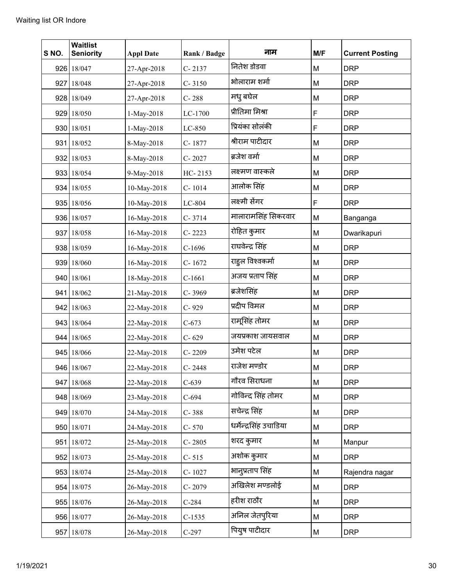| S NO. | <b>Waitlist</b><br><b>Seniority</b> | <b>Appl Date</b> | Rank / Badge | नाम                    | M/F | <b>Current Posting</b> |
|-------|-------------------------------------|------------------|--------------|------------------------|-----|------------------------|
|       | 926 18/047                          | 27-Apr-2018      | $C - 2137$   | नितेश डोडवा            | M   | <b>DRP</b>             |
|       | 927 18/048                          | 27-Apr-2018      | $C - 3150$   | भोलाराम शर्मा          | M   | <b>DRP</b>             |
|       | 928 18/049                          | 27-Apr-2018      | $C - 288$    | मध् बघेल               | M   | <b>DRP</b>             |
|       | 929 18/050                          | 1-May-2018       | LC-1700      | प्रीतिमा मिश्रा        | F   | <b>DRP</b>             |
| 930   | 18/051                              | 1-May-2018       | LC-850       | प्रियंका सोलंकी        | F   | <b>DRP</b>             |
|       | 931 18/052                          | 8-May-2018       | C-1877       | श्रीराम पाटीदार        | M   | <b>DRP</b>             |
|       | 932 18/053                          | 8-May-2018       | $C - 2027$   | ब्रजेश वर्मा           | M   | <b>DRP</b>             |
| 933   | 18/054                              | 9-May-2018       | HC-2153      | लक्ष्मण वास्कले        | M   | <b>DRP</b>             |
|       | 934 18/055                          | 10-May-2018      | C-1014       | आलोक सिंह              | M   | <b>DRP</b>             |
|       | 935 18/056                          | 10-May-2018      | LC-804       | लक्ष्मी सेंगर          | F   | <b>DRP</b>             |
|       | 936 18/057                          | 16-May-2018      | $C - 3714$   | मालारामसिंह सिकरवार    | M   | Banganga               |
|       | 937 18/058                          | 16-May-2018      | $C - 2223$   | रोहित कुमार            | M   | Dwarikapuri            |
|       | 938 18/059                          | 16-May-2018      | $C-1696$     | राघवेन्द्र सिंह        | M   | <b>DRP</b>             |
|       | 939 18/060                          | 16-May-2018      | $C - 1672$   | राहुल विश्वकर्मा       | M   | <b>DRP</b>             |
|       | 940 18/061                          | 18-May-2018      | $C-1661$     | अजय प्रताप सिंह        | M   | <b>DRP</b>             |
| 941   | 18/062                              | 21-May-2018      | C-3969       | ब्रजेशसिंह             | M   | <b>DRP</b>             |
|       | 942 18/063                          | 22-May-2018      | $C - 929$    | प्रदीप विमल            | M   | <b>DRP</b>             |
|       | 943 18/064                          | 22-May-2018      | $C-673$      | रामूसिंह तोमर          | M   | <b>DRP</b>             |
|       | 944 18/065                          | 22-May-2018      | $C - 629$    | जयप्रकाश जायसवाल       | M   | <b>DRP</b>             |
|       | 945 18/066                          | 22-May-2018      | $C - 2209$   | उमेश पटेल              | M   | <b>DRP</b>             |
|       | 946 18/067                          | 22-May-2018      | C-2448       | राजेश मण्डोर           | М   | <b>DRP</b>             |
|       | 947 18/068                          | 22-May-2018      | $C-639$      | गौरव सिराधना           | M   | <b>DRP</b>             |
|       | 948 18/069                          | 23-May-2018      | $C-694$      | गोविन्द सिंह तोमर      | M   | <b>DRP</b>             |
|       | 949 18/070                          | 24-May-2018      | $C - 388$    | सचेन्द्र सिंह          | M   | <b>DRP</b>             |
|       | 950 18/071                          | 24-May-2018      | $C - 570$    | धर्मेन्द्रसिंह उचाडिया | M   | <b>DRP</b>             |
|       | 951 18/072                          | 25-May-2018      | $C - 2805$   | शरद कुमार              | M   | Manpur                 |
|       | 952 18/073                          | 25-May-2018      | $C - 515$    | अशोक कुमार             | M   | <b>DRP</b>             |
|       | 953 18/074                          | 25-May-2018      | C-1027       | भानुप्रताप सिंह        | М   | Rajendra nagar         |
| 954   | 18/075                              | 26-May-2018      | $C - 2079$   | अखिलेश मण्डलोई         | M   | <b>DRP</b>             |
|       | 955 18/076                          | 26-May-2018      | $C-284$      | हरीश राठौर             | M   | <b>DRP</b>             |
|       | 956 18/077                          | 26-May-2018      | $C-1535$     | अनिल जेतपुरिया         | M   | <b>DRP</b>             |
| 957   | 18/078                              | 26-May-2018      | $C-297$      | पियुष पाटीदार          | M   | <b>DRP</b>             |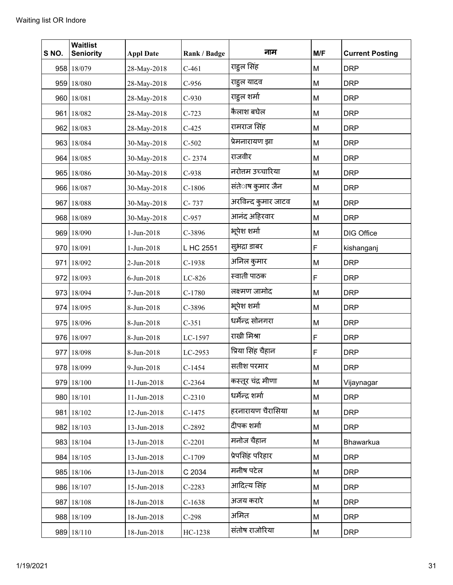| S NO. | <b>Waitlist</b><br><b>Seniority</b> | <b>Appl Date</b> | Rank / Badge | नाम                | M/F | <b>Current Posting</b> |
|-------|-------------------------------------|------------------|--------------|--------------------|-----|------------------------|
|       | 958 18/079                          | 28-May-2018      | $C-461$      | राहुल सिंह         | M   | <b>DRP</b>             |
|       | 959 18/080                          | 28-May-2018      | $C-956$      | राहुल यादव         | M   | <b>DRP</b>             |
|       | 960 18/081                          | 28-May-2018      | $C-930$      | राहूल शर्मा        | M   | <b>DRP</b>             |
|       | 961 18/082                          | 28-May-2018      | $C-723$      | कैलाश बघेल         | M   | <b>DRP</b>             |
|       | 962 18/083                          | 28-May-2018      | $C-425$      | रामराज सिंह        | M   | <b>DRP</b>             |
|       | 963 18/084                          | 30-May-2018      | $C-502$      | प्रेमनारायण झा     | M   | <b>DRP</b>             |
|       | 964 18/085                          | 30-May-2018      | C-2374       | राजवीर             | M   | <b>DRP</b>             |
|       | 965 18/086                          | 30-May-2018      | $C-938$      | नरोत्तम उच्चारिया  | M   | <b>DRP</b>             |
|       | 966 18/087                          | 30-May-2018      | $C-1806$     | संतेाष कुमार जैन   | М   | <b>DRP</b>             |
|       | 967 18/088                          | 30-May-2018      | C-737        | अरविन्द कुमार जाटव | M   | <b>DRP</b>             |
|       | 968 18/089                          | 30-May-2018      | $C-957$      | आनंद अहिरवार       | M   | <b>DRP</b>             |
|       | 969 18/090                          | 1-Jun-2018       | C-3896       | भूपेश शर्मा        | M   | <b>DIG Office</b>      |
|       | 970 18/091                          | 1-Jun-2018       | L HC 2551    | सुभद्रा डाबर       | F   | kishanganj             |
|       | 971 18/092                          | 2-Jun-2018       | $C-1938$     | अनिल कुमार         | M   | <b>DRP</b>             |
|       | 972 18/093                          | 6-Jun-2018       | LC-826       | स्वाती पाठक        | F   | <b>DRP</b>             |
|       | 973 18/094                          | 7-Jun-2018       | $C-1780$     | लक्ष्मण जामोद      | M   | <b>DRP</b>             |
|       | 974 18/095                          | 8-Jun-2018       | C-3896       | भूपेश शर्मा        | M   | <b>DRP</b>             |
|       | 975 18/096                          | 8-Jun-2018       | $C-351$      | धर्मेन्द्र सोनगरा  | M   | <b>DRP</b>             |
|       | 976 18/097                          | 8-Jun-2018       | LC-1597      | राखी मिश्रा        | F   | <b>DRP</b>             |
|       | 977 18/098                          | 8-Jun-2018       | LC-2953      | प्रिया सिंह चैहान  | F   | <b>DRP</b>             |
|       | 978 18/099                          | 9-Jun-2018       | $C-1454$     | सतीश परमार         | M   | <b>DRP</b>             |
|       | 979 18/100                          | 11-Jun-2018      | $C-2364$     | कस्तूर चंद्र मीणा  | М   | Vijaynagar             |
|       | 980 18/101                          | 11-Jun-2018      | $C-2310$     | धर्मेन्द्र शर्मा   | M   | <b>DRP</b>             |
|       | 981 18/102                          | 12-Jun-2018      | $C-1475$     | हरनारायण चैरासिया  | M   | <b>DRP</b>             |
|       | 982 18/103                          | 13-Jun-2018      | $C-2892$     | दीपक शर्मा         | M   | <b>DRP</b>             |
|       | 983 18/104                          | 13-Jun-2018      | $C-2201$     | मनोज चैहान         | M   | Bhawarkua              |
|       | 984 18/105                          | 13-Jun-2018      | $C-1709$     | प्रेपसिंह परिहार   | М   | <b>DRP</b>             |
|       | 985 18/106                          | 13-Jun-2018      | C 2034       | मनीष पटेल          | M   | <b>DRP</b>             |
|       | 986 18/107                          | 15-Jun-2018      | $C-2283$     | आदित्य सिंह        | M   | <b>DRP</b>             |
|       | 987 18/108                          | 18-Jun-2018      | $C-1638$     | अजय करारे          | M   | <b>DRP</b>             |
|       | 988 18/109                          | 18-Jun-2018      | $C-298$      | अमित               | M   | <b>DRP</b>             |
|       | 989 18/110                          | 18-Jun-2018      | HC-1238      | संतोष राजोरिया     | М   | <b>DRP</b>             |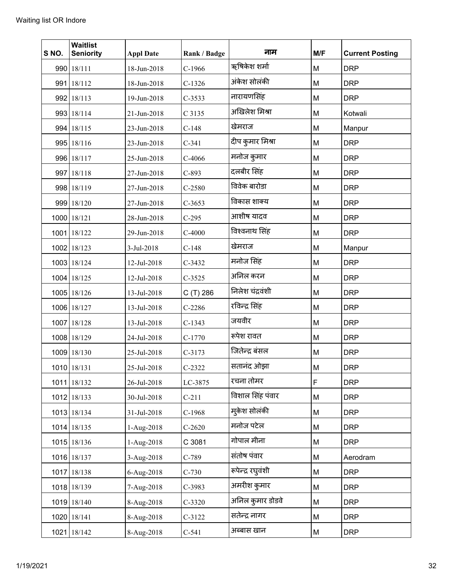| S NO. | <b>Waitlist</b><br><b>Seniority</b> | <b>Appl Date</b> | Rank / Badge | नाम               | M/F | <b>Current Posting</b> |
|-------|-------------------------------------|------------------|--------------|-------------------|-----|------------------------|
|       | 990 18/111                          | 18-Jun-2018      | $C-1966$     | ऋषिकेश शर्मा      | M   | <b>DRP</b>             |
|       | 991 18/112                          | 18-Jun-2018      | $C-1326$     | अंकेश सोलंकी      | M   | <b>DRP</b>             |
|       | 992 18/113                          | 19-Jun-2018      | $C-3533$     | नारायणसिंह        | M   | <b>DRP</b>             |
|       | 993 18/114                          | 21-Jun-2018      | C 3135       | अखिलेश मिश्रा     | M   | Kotwali                |
|       | 994 18/115                          | 23-Jun-2018      | $C-148$      | खेमराज            | M   | Manpur                 |
|       | 995 18/116                          | 23-Jun-2018      | $C-341$      | दीप कुमार मिश्रा  | M   | <b>DRP</b>             |
|       | 996 18/117                          | 25-Jun-2018      | $C-4066$     | मनोज कुमार        | M   | <b>DRP</b>             |
|       | 997 18/118                          | 27-Jun-2018      | $C-893$      | दलबीर सिंह        | M   | <b>DRP</b>             |
|       | 998 18/119                          | 27-Jun-2018      | $C-2580$     | विवेक बारोडा      | M   | <b>DRP</b>             |
|       | 999 18/120                          | 27-Jun-2018      | $C-3653$     | विकास शाक्य       | M   | <b>DRP</b>             |
|       | 1000 18/121                         | 28-Jun-2018      | $C-295$      | आशीष यादव         | M   | <b>DRP</b>             |
|       | 1001 18/122                         | 29-Jun-2018      | $C-4000$     | विश्वनाथ सिंह     | M   | <b>DRP</b>             |
|       | 1002 18/123                         | 3-Jul-2018       | $C-148$      | खेमराज            | M   | Manpur                 |
|       | 1003 18/124                         | 12-Jul-2018      | $C-3432$     | मनोज सिंह         | M   | <b>DRP</b>             |
|       | 1004 18/125                         | 12-Jul-2018      | $C-3525$     | अनिल करन          | M   | <b>DRP</b>             |
|       | 1005 18/126                         | 13-Jul-2018      | C (T) 286    | निलेश चंद्रवंशी   | M   | <b>DRP</b>             |
|       | 1006 18/127                         | 13-Jul-2018      | $C-2286$     | रविन्द्र सिंह     | M   | <b>DRP</b>             |
|       | 1007 18/128                         | 13-Jul-2018      | $C-1343$     | जयवीर             | M   | <b>DRP</b>             |
|       | 1008 18/129                         | 24-Jul-2018      | $C-1770$     | रूपेश रावत        | M   | <b>DRP</b>             |
|       | 1009 18/130                         | 25-Jul-2018      | $C-3173$     | जितेन्द्र बंसल    | M   | <b>DRP</b>             |
|       | 1010 18/131                         | 25-Jul-2018      | $C-2322$     | सतानंद ओझा        | M   | <b>DRP</b>             |
|       | 1011 18/132                         | 26-Jul-2018      | LC-3875      | रचना तोमर         | F   | <b>DRP</b>             |
|       | 1012 18/133                         | 30-Jul-2018      | $C-211$      | विशाल सिंह पंवार  | M   | <b>DRP</b>             |
|       | 1013 18/134                         | 31-Jul-2018      | $C-1968$     | मुकेश सोलंकी      | M   | <b>DRP</b>             |
|       | 1014 18/135                         | 1-Aug-2018       | $C-2620$     | मनोज पटेल         | M   | <b>DRP</b>             |
|       | 1015 18/136                         | 1-Aug-2018       | C 3081       | गोपाल मीना        | M   | <b>DRP</b>             |
|       | 1016 18/137                         | 3-Aug-2018       | $C-789$      | संतोष पंवार       | M   | Aerodram               |
|       | 1017 18/138                         | 6-Aug-2018       | $C-730$      | रूपेन्द्र रघुवंशी | M   | <b>DRP</b>             |
|       | 1018 18/139                         | 7-Aug-2018       | $C-3983$     | अमरीश कुमार       | M   | <b>DRP</b>             |
|       | 1019 18/140                         | 8-Aug-2018       | $C-3320$     | अनिल कुमार डोडवे  | M   | <b>DRP</b>             |
|       | 1020 18/141                         | 8-Aug-2018       | $C-3122$     | सतेन्द्र नागर     | M   | <b>DRP</b>             |
|       | 1021 18/142                         | 8-Aug-2018       | $C-541$      | अब्बास खान        | M   | <b>DRP</b>             |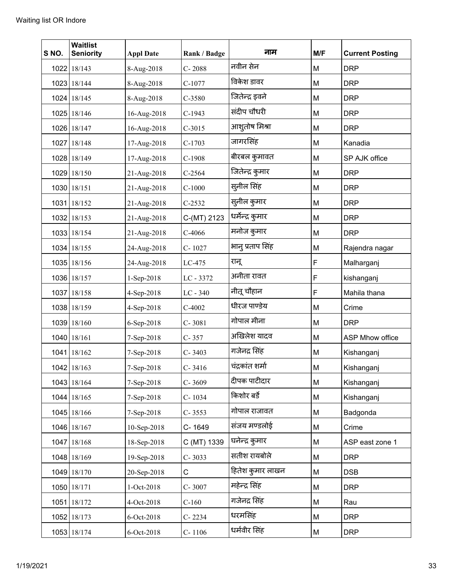| S NO. | <b>Waitlist</b><br><b>Seniority</b> | <b>Appl Date</b> | Rank / Badge | नाम              | M/F | <b>Current Posting</b> |
|-------|-------------------------------------|------------------|--------------|------------------|-----|------------------------|
|       | 1022 18/143                         | 8-Aug-2018       | $C - 2088$   | नवीन सेन         | M   | <b>DRP</b>             |
|       | 1023 18/144                         | 8-Aug-2018       | $C-1077$     | विकेश डावर       | M   | <b>DRP</b>             |
|       | 1024 18/145                         | 8-Aug-2018       | $C-3580$     | जितेन्द्र इवने   | M   | <b>DRP</b>             |
|       | 1025 18/146                         | 16-Aug-2018      | $C-1943$     | संदीप चौधरी      | M   | <b>DRP</b>             |
|       | 1026 18/147                         | 16-Aug-2018      | $C-3015$     | आशूतोष मिश्रा    | M   | <b>DRP</b>             |
|       | 1027 18/148                         | 17-Aug-2018      | $C-1703$     | जागरसिंह         | M   | Kanadia                |
|       | 1028 18/149                         | 17-Aug-2018      | $C-1908$     | बीरबल कुमावत     | M   | SP AJK office          |
|       | 1029 18/150                         | 21-Aug-2018      | $C-2564$     | जितेन्द्र कुमार  | M   | <b>DRP</b>             |
|       | 1030 18/151                         | 21-Aug-2018      | $C-1000$     | सुनील सिंह       | M   | <b>DRP</b>             |
|       | 1031 18/152                         | 21-Aug-2018      | $C-2532$     | सुनील कुमार      | M   | <b>DRP</b>             |
|       | 1032 18/153                         | 21-Aug-2018      | C-(MT) 2123  | धर्मेन्द्र कुमार | M   | <b>DRP</b>             |
|       | 1033 18/154                         | 21-Aug-2018      | $C-4066$     | मनोज कुमार       | M   | <b>DRP</b>             |
|       | 1034 18/155                         | 24-Aug-2018      | C-1027       | भानु प्रताप सिंह | M   | Rajendra nagar         |
|       | 1035 18/156                         | 24-Aug-2018      | LC-475       | रानू             | F   | Malharganj             |
|       | 1036 18/157                         | 1-Sep-2018       | LC - 3372    | अनीता रावत       | F   | kishanganj             |
|       | 1037 18/158                         | 4-Sep-2018       | $LC - 340$   | नीतू चौहान       | F   | Mahila thana           |
|       | 1038 18/159                         | 4-Sep-2018       | $C-4002$     | धीरज पाण्डेय     | M   | Crime                  |
|       | 1039 18/160                         | 6-Sep-2018       | $C - 3081$   | गोपाल मीना       | M   | <b>DRP</b>             |
|       | 1040 18/161                         | 7-Sep-2018       | $C - 357$    | अखिलेश यादव      | M   | ASP Mhow office        |
|       | 1041 18/162                         | 7-Sep-2018       | $C - 3403$   | गजेनद्र सिंह     | M   | Kishanganj             |
|       | 1042 18/163                         | 7-Sep-2018       | $C - 3416$   | चंद्रकांत शर्मा  | M   | Kishanganj             |
|       | 1043 18/164                         | 7-Sep-2018       | $C - 3609$   | दीपक पाटीदार     | M   | Kishanganj             |
|       | 1044 18/165                         | 7-Sep-2018       | C-1034       | किशोर बर्डे      | M   | Kishanganj             |
|       | 1045 18/166                         | 7-Sep-2018       | $C - 3553$   | गोपाल राजावत     | M   | Badgonda               |
|       | 1046 18/167                         | 10-Sep-2018      | C-1649       | संजय मण्डलोई     | M   | Crime                  |
|       | 1047 18/168                         | 18-Sep-2018      | C (MT) 1339  | घनेन्द्र कुमार   | M   | ASP east zone 1        |
|       | 1048 18/169                         | 19-Sep-2018      | $C - 3033$   | सतीश रायबोले     | M   | <b>DRP</b>             |
|       | 1049 18/170                         | 20-Sep-2018      | C            | हितेश कुमार लाखन | M   | <b>DSB</b>             |
|       | 1050 18/171                         | 1-Oct-2018       | C-3007       | महेन्द्र सिंह    | M   | <b>DRP</b>             |
|       | 1051 18/172                         | 4-Oct-2018       | $C-160$      | गजेनद्र सिंह     | M   | Rau                    |
|       | 1052 18/173                         | 6-Oct-2018       | $C - 2234$   | धरमसिंह          | M   | <b>DRP</b>             |
|       | 1053 18/174                         | 6-Oct-2018       | C-1106       | धर्मवीर सिंह     | M   | <b>DRP</b>             |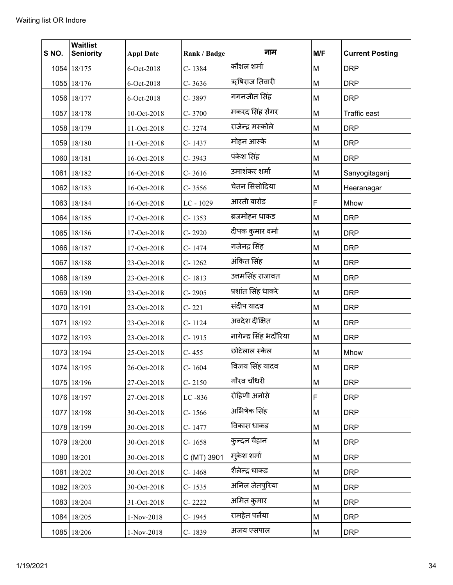| S NO. | <b>Waitlist</b><br><b>Seniority</b> | <b>Appl Date</b> | Rank / Badge | नाम                    | M/F | <b>Current Posting</b> |
|-------|-------------------------------------|------------------|--------------|------------------------|-----|------------------------|
|       | 1054 18/175                         | 6-Oct-2018       | C-1384       | कौशल शर्मा             | M   | <b>DRP</b>             |
|       | 1055 18/176                         | 6-Oct-2018       | $C - 3636$   | ऋषिराज तिवारी          | M   | <b>DRP</b>             |
|       | 1056 18/177                         | 6-Oct-2018       | C-3897       | गगनजीत सिंह            | M   | <b>DRP</b>             |
|       | 1057 18/178                         | 10-Oct-2018      | $C - 3700$   | मकरद सिंह सेंगर        | M   | <b>Traffic east</b>    |
|       | 1058 18/179                         | 11-Oct-2018      | $C - 3274$   | राजेन्द्र मस्कोले      | M   | <b>DRP</b>             |
|       | 1059 18/180                         | 11-Oct-2018      | C-1437       | मोहन आस्के             | M   | <b>DRP</b>             |
|       | 1060 18/181                         | 16-Oct-2018      | C-3943       | पंकेश सिंह             | M   | <b>DRP</b>             |
|       | 1061 18/182                         | 16-Oct-2018      | $C - 3616$   | उमाशंकर शर्मा          | M   | Sanyogitaganj          |
|       | 1062 18/183                         | 16-Oct-2018      | $C - 3556$   | चेतन सिसोदिया          | M   | Heeranagar             |
|       | 1063 18/184                         | 16-Oct-2018      | LC-1029      | आरती बारोड             | F   | Mhow                   |
|       | 1064 18/185                         | 17-Oct-2018      | $C - 1353$   | ब्रजमोहन धाकड          | M   | <b>DRP</b>             |
|       | 1065 18/186                         | 17-Oct-2018      | $C - 2920$   | दीपक कुमार वर्मा       | M   | <b>DRP</b>             |
|       | 1066 18/187                         | 17-Oct-2018      | C-1474       | गजेनद्र सिंह           | M   | <b>DRP</b>             |
|       | 1067 18/188                         | 23-Oct-2018      | $C - 1262$   | अंकित सिंह             | M   | <b>DRP</b>             |
|       | 1068 18/189                         | 23-Oct-2018      | $C - 1813$   | उत्तमसिंह राजावत       | M   | <b>DRP</b>             |
|       | 1069 18/190                         | 23-Oct-2018      | C-2905       | प्रशांत सिंह धाकरे     | M   | <b>DRP</b>             |
|       | 1070 18/191                         | 23-Oct-2018      | $C - 221$    | संदीप यादव             | M   | <b>DRP</b>             |
|       | 1071 18/192                         | 23-Oct-2018      | $C - 1124$   | अवदेश दीक्षित          | M   | <b>DRP</b>             |
|       | 1072 18/193                         | 23-Oct-2018      | C-1915       | नागेन्द्र सिंह भदौरिया | M   | <b>DRP</b>             |
|       | 1073 18/194                         | 25-Oct-2018      | $C - 455$    | छोटेलाल स्केल          | M   | Mhow                   |
|       | 1074 18/195                         | 26-Oct-2018      | C-1604       | विजय सिंह यादव         | М   | <b>DRP</b>             |
|       | 1075 18/196                         | 27-Oct-2018      | $C - 2150$   | गौरव चौधरी             | M   | <b>DRP</b>             |
|       | 1076 18/197                         | 27-Oct-2018      | $LC - 836$   | रोहिणी अनोसे           | F   | <b>DRP</b>             |
|       | 1077 18/198                         | 30-Oct-2018      | $C - 1566$   | अभिषेक सिंह            | M   | <b>DRP</b>             |
|       | 1078 18/199                         | 30-Oct-2018      | C-1477       | विकास धाकड             | M   | <b>DRP</b>             |
|       | 1079 18/200                         | 30-Oct-2018      | $C - 1658$   | कुन्दन चैहान           | M   | <b>DRP</b>             |
|       | 1080 18/201                         | 30-Oct-2018      | C (MT) 3901  | मुकेश शर्मा            | M   | <b>DRP</b>             |
|       | 1081 18/202                         | 30-Oct-2018      | $C - 1468$   | शैलेन्द्र धाकड         | M   | <b>DRP</b>             |
|       | 1082 18/203                         | 30-Oct-2018      | $C-1535$     | अनिल जेतपुरिया         | M   | <b>DRP</b>             |
|       | 1083 18/204                         | 31-Oct-2018      | $C - 2222$   | अमित कुमार             | M   | <b>DRP</b>             |
|       | 1084 18/205                         | 1-Nov-2018       | C-1945       | रामहेत पलैया           | M   | <b>DRP</b>             |
|       | 1085 18/206                         | 1-Nov-2018       | C-1839       | अजय एसपाल              | M   | <b>DRP</b>             |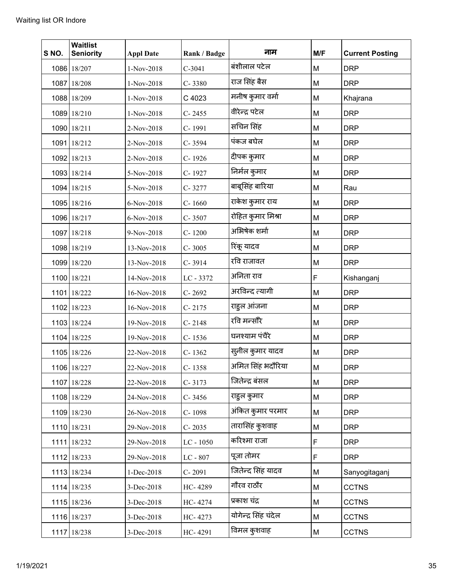| S NO. | <b>Waitlist</b><br><b>Seniority</b> | <b>Appl Date</b> | Rank / Badge | नाम                  | M/F | <b>Current Posting</b> |
|-------|-------------------------------------|------------------|--------------|----------------------|-----|------------------------|
|       | 1086 18/207                         | 1-Nov-2018       | $C-3041$     | बंशीलाल पटेल         | M   | <b>DRP</b>             |
|       | 1087 18/208                         | 1-Nov-2018       | $C - 3380$   | राज सिंह बैस         | M   | <b>DRP</b>             |
|       | 1088 18/209                         | 1-Nov-2018       | C 4023       | मनीष कुमार वर्मा     | M   | Khajrana               |
|       | 1089 18/210                         | 1-Nov-2018       | $C - 2455$   | वीरेन्द्र पटेल       | M   | <b>DRP</b>             |
|       | 1090 18/211                         | 2-Nov-2018       | C-1991       | सचिन सिंह            | M   | <b>DRP</b>             |
|       | 1091 18/212                         | 2-Nov-2018       | C-3594       | पंकज बघेल            | M   | <b>DRP</b>             |
|       | 1092 18/213                         | 2-Nov-2018       | C-1926       | दीपक कुमार           | M   | <b>DRP</b>             |
|       | 1093 18/214                         | 5-Nov-2018       | C-1927       | निर्मल कुमार         | M   | <b>DRP</b>             |
|       | 1094 18/215                         | 5-Nov-2018       | C-3277       | बाबूसिंह बारिया      | M   | Rau                    |
|       | 1095 18/216                         | 6-Nov-2018       | $C - 1660$   | राकेश कुमार राय      | M   | <b>DRP</b>             |
|       | 1096 18/217                         | 6-Nov-2018       | C-3507       | रोहित कुमार मिश्रा   | M   | <b>DRP</b>             |
|       | 1097 18/218                         | 9-Nov-2018       | C-1200       | अभिषेक शर्मा         | M   | <b>DRP</b>             |
|       | 1098 18/219                         | 13-Nov-2018      | $C - 3005$   | रिंकू यादव           | M   | <b>DRP</b>             |
|       | 1099 18/220                         | 13-Nov-2018      | $C - 3914$   | रवि राजावत           | M   | <b>DRP</b>             |
|       | 1100 18/221                         | 14-Nov-2018      | LC - 3372    | अनिता राव            | F   | Kishanganj             |
|       | 1101 18/222                         | 16-Nov-2018      | $C - 2692$   | अरविन्द त्यागी       | M   | <b>DRP</b>             |
|       | 1102 18/223                         | 16-Nov-2018      | $C - 2175$   | राहुल आंजना          | M   | <b>DRP</b>             |
|       | 1103 18/224                         | 19-Nov-2018      | $C - 2148$   | रवि मन्सौरै          | M   | <b>DRP</b>             |
|       | 1104 18/225                         | 19-Nov-2018      | C-1536       | घनश्याम पंचैरे       | M   | <b>DRP</b>             |
|       | 1105 18/226                         | 22-Nov-2018      | $C - 1362$   | स्लील कुमार यादव     | M   | <b>DRP</b>             |
|       | 1106 18/227                         | 22-Nov-2018      | C-1358       | अमित सिंह भदौरिया    | M   | <b>DRP</b>             |
|       | 1107 18/228                         | 22-Nov-2018      | $C - 3173$   | जितेन्द्र बंसल       | M   | <b>DRP</b>             |
|       | 1108 18/229                         | 24-Nov-2018      | $C - 3456$   | राहुल कुमार          | M   | <b>DRP</b>             |
|       | 1109 18/230                         | 26-Nov-2018      | C-1098       | अंकित कुमार परमार    | M   | <b>DRP</b>             |
|       | 1110 18/231                         | 29-Nov-2018      | $C - 2035$   | तारासिंह कुशवाह      | M   | <b>DRP</b>             |
|       | 1111 18/232                         | 29-Nov-2018      | $LC - 1050$  | करिश्मा राजा         | F   | <b>DRP</b>             |
|       | 1112 18/233                         | 29-Nov-2018      | LC - 807     | पूजा तोमर            | F   | <b>DRP</b>             |
|       | 1113 18/234                         | 1-Dec-2018       | $C - 2091$   | जितेन्द सिंह यादव    | М   | Sanyogitaganj          |
|       | 1114 18/235                         | 3-Dec-2018       | HC-4289      | गौरव राठौर           | M   | <b>CCTNS</b>           |
|       | 1115 18/236                         | 3-Dec-2018       | HC-4274      | प्रकाश चंद्र         | M   | <b>CCTNS</b>           |
|       | 1116 18/237                         | 3-Dec-2018       | HC-4273      | योगेन्द्र सिंह चंदेल | M   | <b>CCTNS</b>           |
|       | 1117 18/238                         | 3-Dec-2018       | HC-4291      | विमल कुशवाह          | M   | <b>CCTNS</b>           |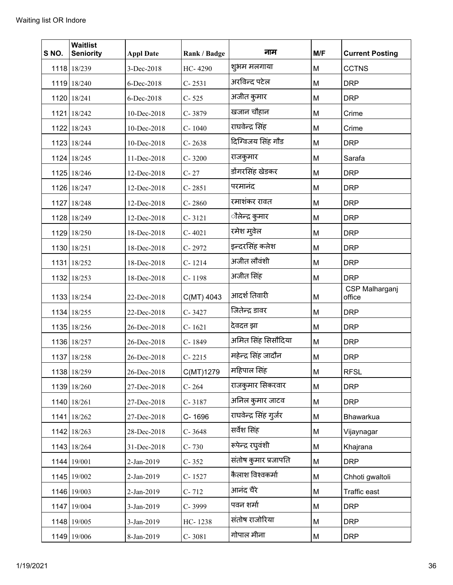| S NO.  | <b>Waitlist</b><br><b>Seniority</b> | <b>Appl Date</b> | Rank / Badge | नाम                    | M/F | <b>Current Posting</b>   |
|--------|-------------------------------------|------------------|--------------|------------------------|-----|--------------------------|
|        | 1118 18/239                         | 3-Dec-2018       | HC-4290      | शुभम मलगाया            | M   | <b>CCTNS</b>             |
|        | 1119 18/240                         | 6-Dec-2018       | $C - 2531$   | अरविन्द पटेल           | M   | <b>DRP</b>               |
|        | 1120 18/241                         | 6-Dec-2018       | $C - 525$    | अजीत कुमार             | M   | <b>DRP</b>               |
|        | 1121 18/242                         | 10-Dec-2018      | C-3879       | खजान चौहान             | M   | Crime                    |
|        | 1122 18/243                         | 10-Dec-2018      | C-1040       | राघवेन्द्र सिंह        | M   | Crime                    |
|        | 1123 18/244                         | 10-Dec-2018      | $C - 2638$   | दिग्विजय सिंह गौड      | M   | <b>DRP</b>               |
|        | 1124 18/245                         | 11-Dec-2018      | $C - 3200$   | राजकुमार               | M   | Sarafa                   |
|        | 1125 18/246                         | 12-Dec-2018      | $C - 27$     | डोंगरसिंह खेडकर        | M   | <b>DRP</b>               |
|        | 1126 18/247                         | 12-Dec-2018      | $C - 2851$   | परमानंद                | M   | <b>DRP</b>               |
|        | 1127 18/248                         | 12-Dec-2018      | $C - 2860$   | रमाशंकर रावत           | M   | <b>DRP</b>               |
|        | 1128 18/249                         | 12-Dec-2018      | $C - 3121$   | ौलेन्द्र कुमार         | M   | <b>DRP</b>               |
|        | 1129 18/250                         | 18-Dec-2018      | $C - 4021$   | रमेश मुवेल             | M   | <b>DRP</b>               |
|        | 1130 18/251                         | 18-Dec-2018      | C-2972       | इन्दरसिंह कलेश         | M   | <b>DRP</b>               |
|        | 1131 18/252                         | 18-Dec-2018      | $C - 1214$   | अजीत लौवंशी            | M   | <b>DRP</b>               |
|        | 1132 18/253                         | 18-Dec-2018      | C-1198       | अजीत सिंह              | M   | <b>DRP</b>               |
|        | 1133 18/254                         | 22-Dec-2018      | C(MT) 4043   | आदर्श तिवारी           | M   | CSP Malharganj<br>office |
|        | 1134 18/255                         | 22-Dec-2018      | C-3427       | जितेन्द्र डावर         | M   | <b>DRP</b>               |
|        | 1135 18/256                         | 26-Dec-2018      | $C - 1621$   | देवदत्त झा             | M   | <b>DRP</b>               |
|        | 1136 18/257                         | 26-Dec-2018      | C-1849       | अमित सिंह सिसौदिया     | M   | <b>DRP</b>               |
|        | 1137 18/258                         | 26-Dec-2018      | $C - 2215$   | महेन्द्र सिंह जादौन    | M   | <b>DRP</b>               |
|        | 1138 18/259                         | 26-Dec-2018      | C(MT)1279    | महिपाल सिंह            | M   | <b>RFSL</b>              |
|        | 1139 18/260                         | 27-Dec-2018      | $C - 264$    | राजकुमार सिकरवार       | M   | <b>DRP</b>               |
|        | 1140 18/261                         | 27-Dec-2018      | $C - 3187$   | अनिल कुमार जाटव        | M   | <b>DRP</b>               |
| $1141$ | 18/262                              | 27-Dec-2018      | C-1696       | राघवेन्द्र सिंह गुर्जर | M   | Bhawarkua                |
|        | 1142 18/263                         | 28-Dec-2018      | C-3648       | सर्वेश सिंह            | M   | Vijaynagar               |
|        | 1143 18/264                         | 31-Dec-2018      | $C - 730$    | रूपेन्द्र रघुवंशी      | M   | Khajrana                 |
|        | 1144 19/001                         | 2-Jan-2019       | $C - 352$    | संतोष कुमार प्रजापति   | M   | <b>DRP</b>               |
|        | 1145 19/002                         | 2-Jan-2019       | C-1527       | कैलाश विश्वकर्मा       | M   | Chhoti gwaltoli          |
|        | 1146 19/003                         | 2-Jan-2019       | $C - 712$    | आनंद चैरे              | M   | Traffic east             |
|        | 1147 19/004                         | 3-Jan-2019       | C-3999       | पवन शर्मा              | M   | <b>DRP</b>               |
|        | 1148 19/005                         | 3-Jan-2019       | HC-1238      | संतोष राजोरिया         | M   | <b>DRP</b>               |
|        | 1149 19/006                         | 8-Jan-2019       | $C - 3081$   | गोपाल मीना             | M   | <b>DRP</b>               |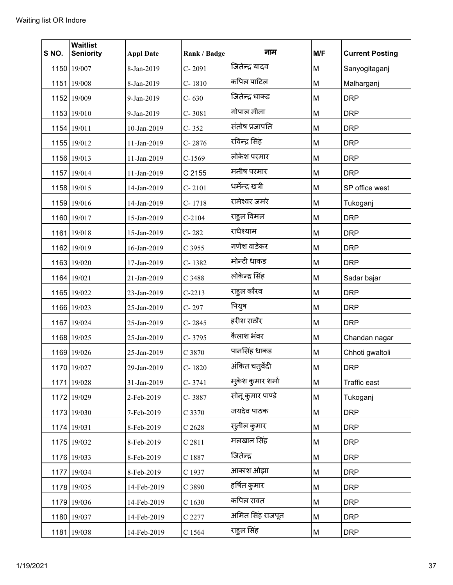| S NO. | <b>Waitlist</b><br><b>Seniority</b> | <b>Appl Date</b> | Rank / Badge | नाम               | M/F | <b>Current Posting</b> |
|-------|-------------------------------------|------------------|--------------|-------------------|-----|------------------------|
|       | 1150 19/007                         | 8-Jan-2019       | $C - 2091$   | जितेन्द्र यादव    | M   | Sanyogitaganj          |
|       | 1151 19/008                         | 8-Jan-2019       | $C - 1810$   | कपिल पाटिल        | M   | Malharganj             |
|       | 1152 19/009                         | 9-Jan-2019       | $C - 630$    | जितेन्द्र धाकड    | M   | <b>DRP</b>             |
|       | 1153 19/010                         | 9-Jan-2019       | $C - 3081$   | गोपाल मीना        | M   | <b>DRP</b>             |
|       | 1154 19/011                         | 10-Jan-2019      | $C - 352$    | संतोष प्रजापति    | M   | <b>DRP</b>             |
|       | 1155 19/012                         | 11-Jan-2019      | $C - 2876$   | रविन्द्र सिंह     | M   | <b>DRP</b>             |
|       | 1156 19/013                         | 11-Jan-2019      | $C-1569$     | लोकेश परमार       | M   | <b>DRP</b>             |
|       | 1157 19/014                         | 11-Jan-2019      | C 2155       | मनीष परमार        | M   | <b>DRP</b>             |
|       | 1158 19/015                         | 14-Jan-2019      | $C - 2101$   | धर्मेन्द्र खत्री  | M   | SP office west         |
|       | 1159 19/016                         | 14-Jan-2019      | $C - 1718$   | रामेश्वर जमरे     | M   | Tukoganj               |
|       | 1160 19/017                         | 15-Jan-2019      | $C-2104$     | राहुल विमल        | M   | <b>DRP</b>             |
|       | 1161 19/018                         | 15-Jan-2019      | $C-282$      | राधेश्याम         | M   | <b>DRP</b>             |
|       | 1162 19/019                         | 16-Jan-2019      | C 3955       | गणेश वाडेकर       | M   | <b>DRP</b>             |
|       | 1163 19/020                         | 17-Jan-2019      | C-1382       | मोन्टी धाकड       | M   | <b>DRP</b>             |
|       | 1164 19/021                         | 21-Jan-2019      | C 3488       | लोकेन्द्र सिंह    | M   | Sadar bajar            |
|       | 1165 19/022                         | 23-Jan-2019      | $C-2213$     | राहुल कौरव        | M   | <b>DRP</b>             |
|       | 1166 19/023                         | 25-Jan-2019      | $C - 297$    | पियुष             | M   | <b>DRP</b>             |
|       | 1167 19/024                         | 25-Jan-2019      | $C - 2845$   | हरीश राठौर        | M   | <b>DRP</b>             |
|       | 1168 19/025                         | 25-Jan-2019      | C-3795       | कैलाश भंवर        | M   | Chandan nagar          |
|       | 1169 19/026                         | 25-Jan-2019      | C 3870       | पानसिंह धाकड      | M   | Chhoti gwaltoli        |
|       | 1170 19/027                         | 29-Jan-2019      | C-1820       | अंकित चतुर्वेदी   | М   | <b>DRP</b>             |
|       | 1171 19/028                         | 31-Jan-2019      | $C - 3741$   | मुकेश कुमार शर्मा | M   | Traffic east           |
|       | 1172 19/029                         | 2-Feb-2019       | C-3887       | सोनू कुमार पाण्डे | M   | Tukoganj               |
|       | 1173 19/030                         | 7-Feb-2019       | C 3370       | जयदेव पाठक        | M   | <b>DRP</b>             |
|       | 1174 19/031                         | 8-Feb-2019       | $C$ 2628     | सुनील कुमार       | M   | <b>DRP</b>             |
|       | 1175 19/032                         | 8-Feb-2019       | C 2811       | मलखान सिंह        | M   | <b>DRP</b>             |
|       | 1176 19/033                         | 8-Feb-2019       | C 1887       | जितेन्द्र         | M   | <b>DRP</b>             |
|       | 1177 19/034                         | 8-Feb-2019       | C 1937       | आकाश ओझा          | M   | <b>DRP</b>             |
|       | 1178 19/035                         | 14-Feb-2019      | C 3890       | हर्षित कुमार      | M   | <b>DRP</b>             |
|       | 1179 19/036                         | 14-Feb-2019      | C1630        | कपिल रावत         | M   | <b>DRP</b>             |
|       | 1180 19/037                         | 14-Feb-2019      | C 2277       | अमित सिंह राजपूत  | M   | <b>DRP</b>             |
|       | 1181 19/038                         | 14-Feb-2019      | C 1564       | राहुल सिंह        | M   | <b>DRP</b>             |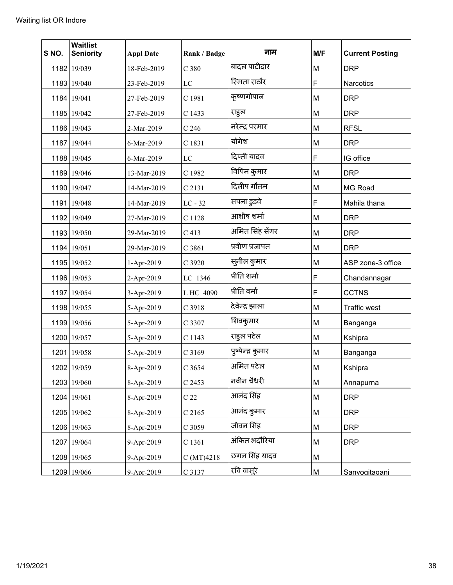| S NO. | <b>Waitlist</b><br><b>Seniority</b> | <b>Appl Date</b> | Rank / Badge     | नाम               | M/F | <b>Current Posting</b> |
|-------|-------------------------------------|------------------|------------------|-------------------|-----|------------------------|
|       | 1182 19/039                         | 18-Feb-2019      | C <sub>380</sub> | बादल पाटीदार      | M   | <b>DRP</b>             |
|       | 1183 19/040                         | 23-Feb-2019      | LC               | स्मिता राठौर      | F   | <b>Narcotics</b>       |
|       | 1184 19/041                         | 27-Feb-2019      | C 1981           | कृष्णगोपाल        | M   | <b>DRP</b>             |
|       | 1185 19/042                         | 27-Feb-2019      | C 1433           | राहुल             | M   | <b>DRP</b>             |
|       | 1186 19/043                         | 2-Mar-2019       | C <sub>246</sub> | नरेन्द्र परमार    | M   | <b>RFSL</b>            |
|       | 1187 19/044                         | 6-Mar-2019       | C 1831           | योगेश             | M   | <b>DRP</b>             |
|       | 1188 19/045                         | 6-Mar-2019       | LC               | दिप्ती यादव       | F   | IG office              |
|       | 1189 19/046                         | 13-Mar-2019      | C 1982           | विपिन कुमार       | M   | <b>DRP</b>             |
|       | 1190 19/047                         | 14-Mar-2019      | C 2131           | दिलीप गौतम        | M   | MG Road                |
|       | 1191 19/048                         | 14-Mar-2019      | $LC - 32$        | सपना डुडवे        | F   | Mahila thana           |
|       | 1192 19/049                         | 27-Mar-2019      | C 1128           | आशीष शर्मा        | M   | <b>DRP</b>             |
|       | 1193 19/050                         | 29-Mar-2019      | C <sub>413</sub> | अमित सिंह सेंगर   | M   | <b>DRP</b>             |
|       | 1194 19/051                         | 29-Mar-2019      | C 3861           | प्रवीण प्रजापत    | M   | <b>DRP</b>             |
|       | 1195 19/052                         | 1-Apr-2019       | C 3920           | सुनील कुमार       | M   | ASP zone-3 office      |
|       | 1196 19/053                         | 2-Apr-2019       | LC 1346          | प्रीति शर्मा      | F   | Chandannagar           |
|       | 1197 19/054                         | 3-Apr-2019       | L HC 4090        | प्रीति वर्मा      | F   | <b>CCTNS</b>           |
|       | 1198 19/055                         | 5-Apr-2019       | C 3918           | देवेन्द्र झाला    | M   | Traffic west           |
|       | 1199 19/056                         | 5-Apr-2019       | C 3307           | शिवकुमार          | M   | Banganga               |
|       | 1200 19/057                         | 5-Apr-2019       | C 1143           | राहुल पटेल        | M   | Kshipra                |
|       | 1201 19/058                         | 5-Apr-2019       | C 3169           | पुष्पेन्द्र कुमार | M   | Banganga               |
|       | 1202 19/059                         | 8-Apr-2019       | C 3654           | अमित पटेल         | M   | Kshipra                |
|       | 1203 19/060                         | 8-Apr-2019       | C 2453           | नवीन चैधरी        | M   | Annapurna              |
|       | 1204 19/061                         | 8-Apr-2019       | C <sub>22</sub>  | आनंद सिंह         | M   | <b>DRP</b>             |
|       | 1205 19/062                         | 8-Apr-2019       | $C$ 2165         | आनंद कुमार        | M   | <b>DRP</b>             |
|       | 1206 19/063                         | 8-Apr-2019       | C 3059           | जीवन सिंह         | M   | <b>DRP</b>             |
|       | 1207 19/064                         | 9-Apr-2019       | C 1361           | अंकित भदौरिया     | M   | <b>DRP</b>             |
|       | 1208 19/065                         | 9-Apr-2019       | C (MT)4218       | छगन सिंह यादव     | M   |                        |
|       | 1209 19/066                         | 9-Apr-2019       | C 3137           | रवि वास्`र        | M   | Sanyogitaganj          |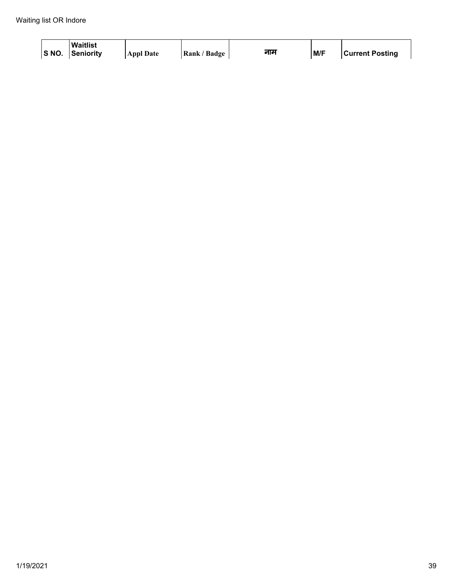| S NO. | <b>Waitlist</b><br><b>Senioritv</b> | <b>Appl Date</b> | Rank / Badge | नाम | M/F | <b>Current Posting</b> |
|-------|-------------------------------------|------------------|--------------|-----|-----|------------------------|
|-------|-------------------------------------|------------------|--------------|-----|-----|------------------------|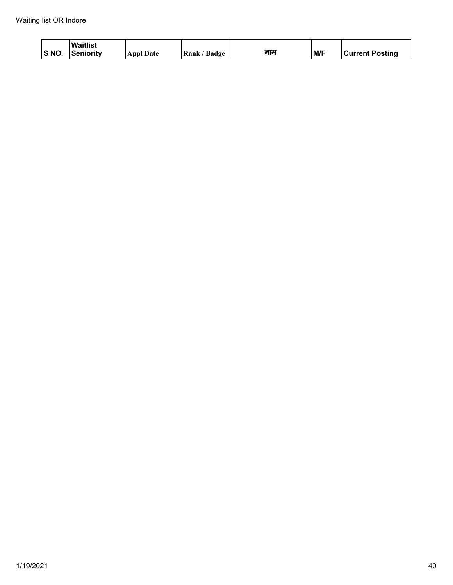| S NO. | <b>Waitlist</b><br><b>Senioritv</b> | <b>Appl Date</b> | Rank / Badge | नाम | M/F | <b>Current Posting</b> |
|-------|-------------------------------------|------------------|--------------|-----|-----|------------------------|
|-------|-------------------------------------|------------------|--------------|-----|-----|------------------------|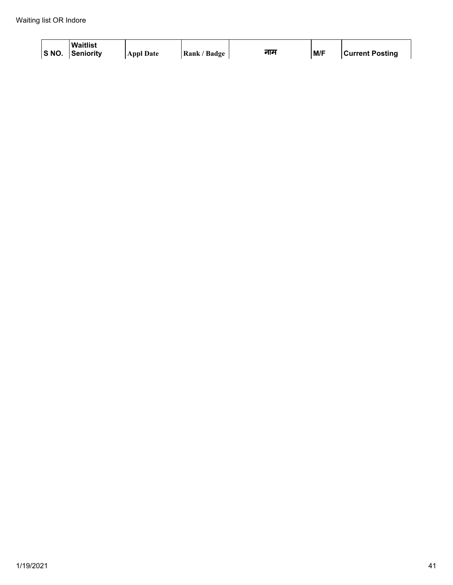| S NO. | <b>Waitlist</b><br><b>Senioritv</b> | <b>Appl Date</b> | Rank / Badge | नाम | M/F | <b>Current Posting</b> |
|-------|-------------------------------------|------------------|--------------|-----|-----|------------------------|
|-------|-------------------------------------|------------------|--------------|-----|-----|------------------------|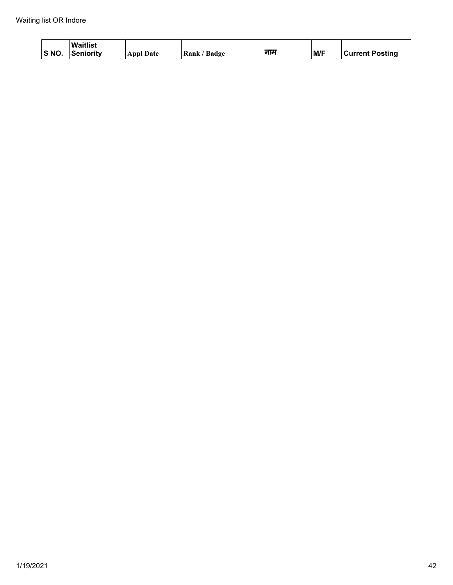| S NO. | <b>Waitlist</b><br><b>Senioritv</b> | <b>Appl Date</b> | Rank / Badge | नाम | M/F | <b>Current Posting</b> |
|-------|-------------------------------------|------------------|--------------|-----|-----|------------------------|
|-------|-------------------------------------|------------------|--------------|-----|-----|------------------------|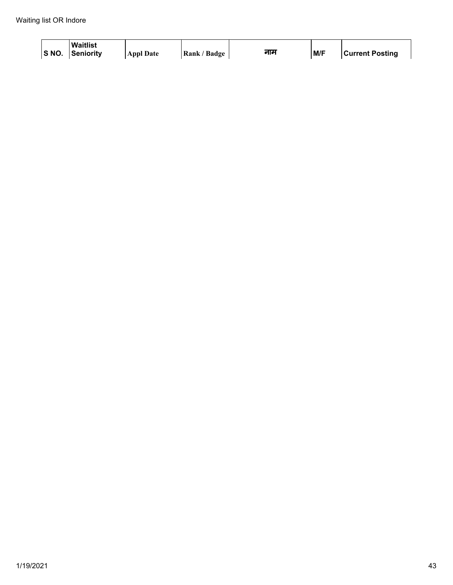| S NO. | <b>Waitlist</b><br><b>Senioritv</b> | <b>Appl Date</b> | Rank / Badge | नाम | M/F | <b>Current Posting</b> |
|-------|-------------------------------------|------------------|--------------|-----|-----|------------------------|
|-------|-------------------------------------|------------------|--------------|-----|-----|------------------------|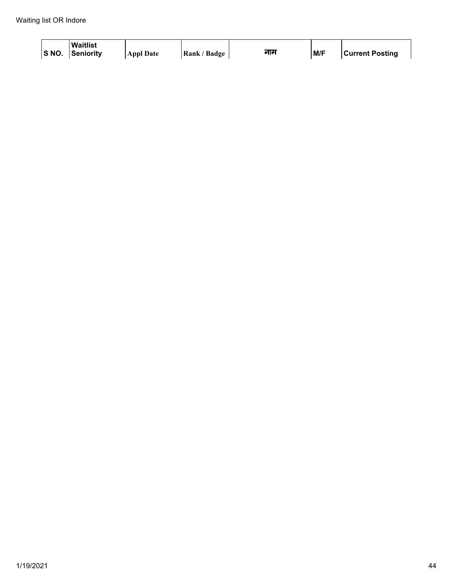| S NO. | <b>Waitlist</b><br><b>Senioritv</b> | <b>Appl Date</b> | Rank / Badge | नाम | M/F | <b>Current Posting</b> |
|-------|-------------------------------------|------------------|--------------|-----|-----|------------------------|
|-------|-------------------------------------|------------------|--------------|-----|-----|------------------------|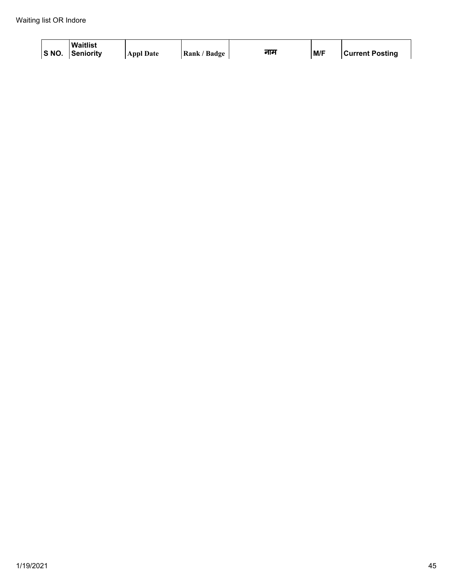| S NO. | <b>Waitlist</b><br><b>Senioritv</b> | <b>Appl Date</b> | Rank / Badge | नाम | M/F | <b>Current Posting</b> |
|-------|-------------------------------------|------------------|--------------|-----|-----|------------------------|
|-------|-------------------------------------|------------------|--------------|-----|-----|------------------------|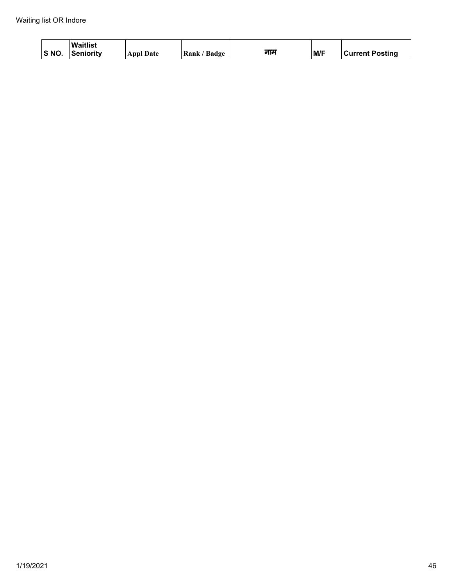| S NO. | <b>Waitlist</b><br><b>Senioritv</b> | <b>Appl Date</b> | Rank / Badge | नाम | M/F | <b>Current Posting</b> |
|-------|-------------------------------------|------------------|--------------|-----|-----|------------------------|
|-------|-------------------------------------|------------------|--------------|-----|-----|------------------------|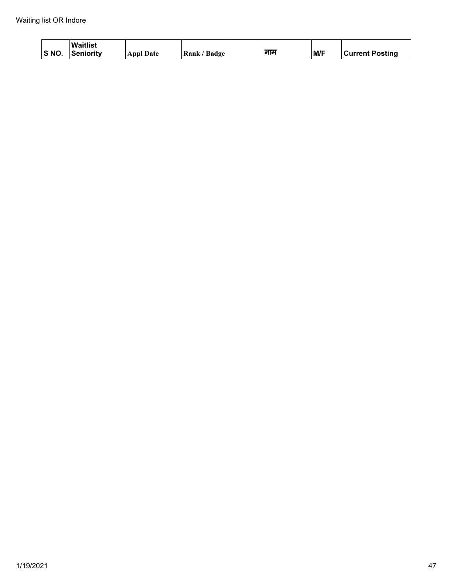| S NO. | <b>Waitlist</b><br><b>Senioritv</b> | <b>Appl Date</b> | Rank / Badge | नाम | M/F | <b>Current Posting</b> |
|-------|-------------------------------------|------------------|--------------|-----|-----|------------------------|
|-------|-------------------------------------|------------------|--------------|-----|-----|------------------------|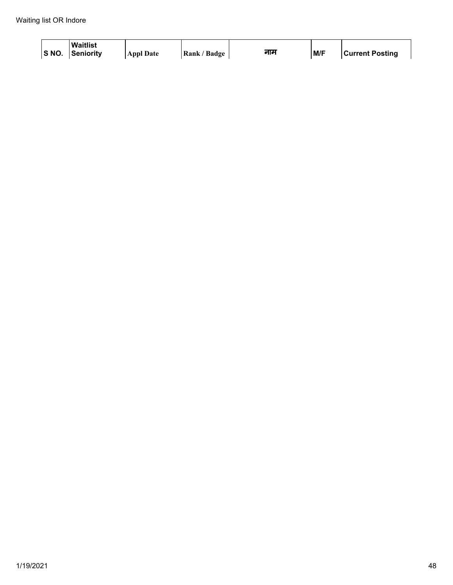| S NO. | <b>Waitlist</b><br><b>Senioritv</b> | <b>Appl Date</b> | Rank / Badge | नाम | M/F | <b>Current Posting</b> |
|-------|-------------------------------------|------------------|--------------|-----|-----|------------------------|
|-------|-------------------------------------|------------------|--------------|-----|-----|------------------------|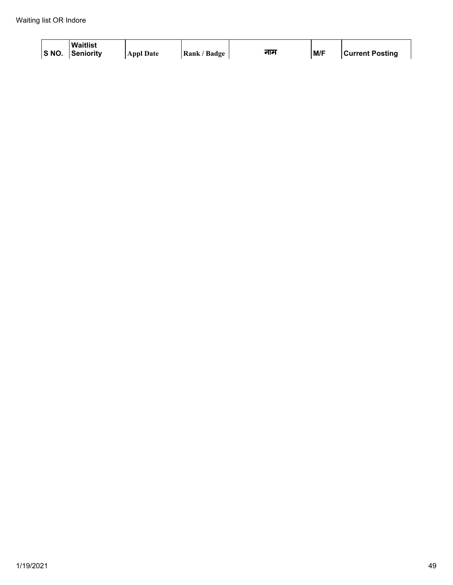| S NO. | <b>Waitlist</b><br><b>Senioritv</b> | <b>Appl Date</b> | Rank / Badge | नाम | M/F | <b>Current Posting</b> |
|-------|-------------------------------------|------------------|--------------|-----|-----|------------------------|
|-------|-------------------------------------|------------------|--------------|-----|-----|------------------------|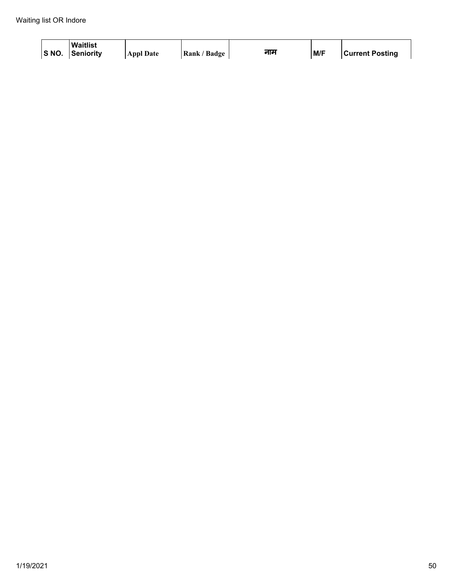| S NO. | <b>Waitlist</b><br><b>Senioritv</b> | <b>Appl Date</b> | Rank / Badge | नाम | M/F | <b>Current Posting</b> |
|-------|-------------------------------------|------------------|--------------|-----|-----|------------------------|
|-------|-------------------------------------|------------------|--------------|-----|-----|------------------------|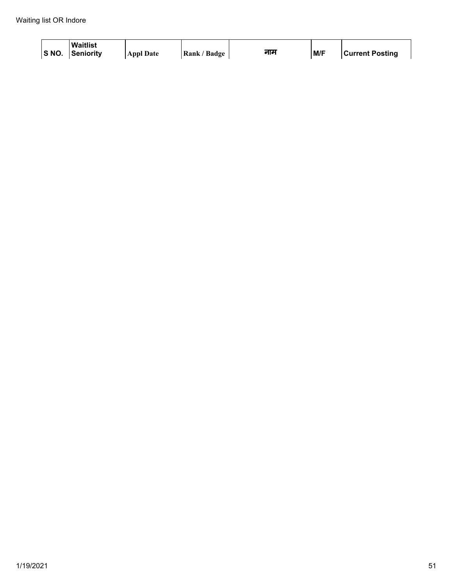| S NO. | <b>Waitlist</b><br><b>Senioritv</b> | <b>Appl Date</b> | Rank / Badge | नाम | M/F | <b>Current Posting</b> |
|-------|-------------------------------------|------------------|--------------|-----|-----|------------------------|
|-------|-------------------------------------|------------------|--------------|-----|-----|------------------------|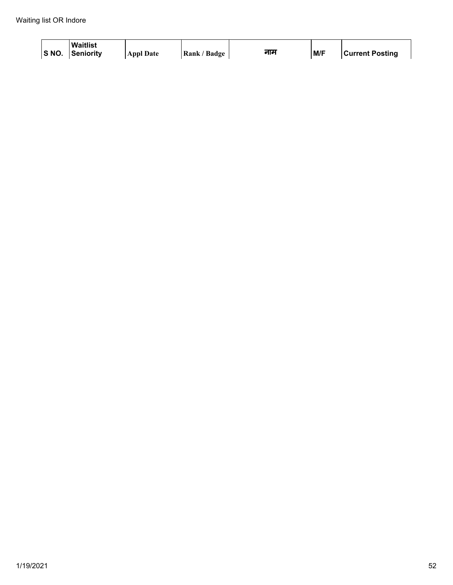| S NO. | <b>Waitlist</b><br><b>Senioritv</b> | <b>Appl Date</b> | Rank / Badge | नाम | M/F | <b>Current Posting</b> |
|-------|-------------------------------------|------------------|--------------|-----|-----|------------------------|
|-------|-------------------------------------|------------------|--------------|-----|-----|------------------------|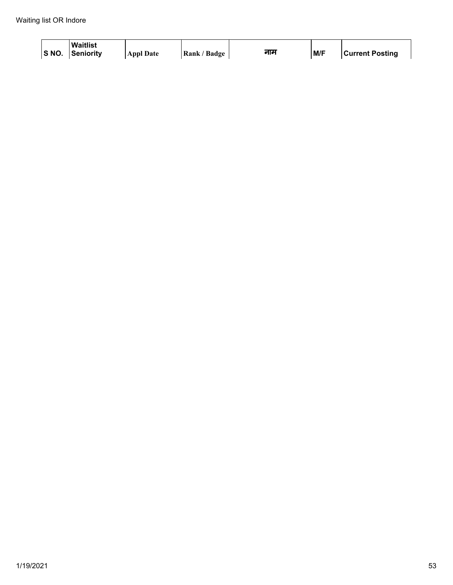| S NO. | <b>Waitlist</b><br><b>Senioritv</b> | <b>Appl Date</b> | Rank / Badge | नाम | M/F | <b>Current Posting</b> |
|-------|-------------------------------------|------------------|--------------|-----|-----|------------------------|
|-------|-------------------------------------|------------------|--------------|-----|-----|------------------------|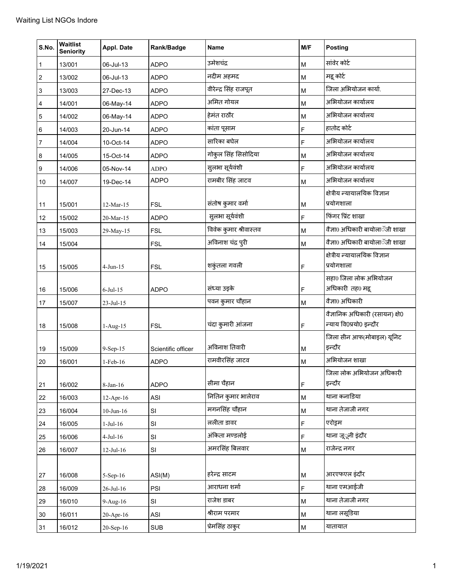| S.No.          | Waitlist<br><b>Seniority</b> | Appl. Date      | Rank/Badge         | <b>Name</b>            | M/F                                                                                   | <b>Posting</b>                           |
|----------------|------------------------------|-----------------|--------------------|------------------------|---------------------------------------------------------------------------------------|------------------------------------------|
| $\mathbf{1}$   | 13/001                       | 06-Jul-13       | <b>ADPO</b>        | उमेशचंद्र              | M                                                                                     | सांवेर कोर्ट                             |
| 2              | 13/002                       | 06-Jul-13       | <b>ADPO</b>        | नदीम अहमद              | M                                                                                     | मद्ग कोर्ट                               |
| 3              | 13/003                       | 27-Dec-13       | <b>ADPO</b>        | वीरेन्द्र सिंह राजपूत  | M                                                                                     | जिला अभियोजन कार्या.                     |
| 4              | 14/001                       | 06-May-14       | <b>ADPO</b>        | अमित गोयल              | M                                                                                     | अभियोजन कार्यालय                         |
| 5              | 14/002                       | 06-May-14       | <b>ADPO</b>        | हेमंत राठौर            | M                                                                                     | अभियोजन कार्यालय                         |
| 6              | 14/003                       | 20-Jun-14       | <b>ADPO</b>        | कांता पूसाम            | F                                                                                     | हातोद कोर्ट                              |
| $\overline{7}$ | 14/004                       | 10-Oct-14       | <b>ADPO</b>        | सारिका बघेल            | F                                                                                     | अभियोजन कार्यालय                         |
| 8              | 14/005                       | 15-Oct-14       | <b>ADPO</b>        | गोकुल सिंह सिसोदिया    | M                                                                                     | अभियोजन कार्यालय                         |
| 9              | 14/006                       | 05-Nov-14       | <b>ADPO</b>        | सुलभा सूर्यवंशी        | F                                                                                     | अभियोजन कार्यालय                         |
| 10             | 14/007                       | 19-Dec-14       | <b>ADPO</b>        | रामबीर सिंह जाटव       | M                                                                                     | अभियोजन कार्यालय                         |
|                |                              |                 |                    |                        |                                                                                       | क्षेत्रीय न्यायालयिक विज्ञान             |
| 11             | 15/001                       | 12-Mar-15       | <b>FSL</b>         | संतोष कुमार वर्मा      | M                                                                                     | प्रयोगशाला                               |
| 12             | 15/002                       | 20-Mar-15       | <b>ADPO</b>        | सुलभा सूर्यवंशी        | F                                                                                     | फिंगर प्रिंट शाखा                        |
| 13             | 15/003                       | 29-May-15       | <b>FSL</b>         | विवेक कुमार श्रीवास्तव | M                                                                                     | वैज्ञा0 अधिकारी बायोलाॅजी शाखा           |
| 14             | 15/004                       |                 | <b>FSL</b>         | अविनाश चंद्र पुरी      | M                                                                                     | वैज्ञा0 अधिकारी बायोलाॅजी शाखा           |
|                |                              |                 |                    |                        |                                                                                       | क्षेत्रीय न्यायालयिक विज्ञान             |
| 15             | 15/005                       | $4$ -Jun- $15$  | <b>FSL</b>         | शकुंतला गवली           | F                                                                                     | प्रयोगशाला                               |
|                |                              |                 |                    | संध्या उइके            |                                                                                       | सहा0 जिला लोक अभियोजन<br>अधिकारी तह0 महू |
| 16             | 15/006                       | $6$ -Jul-15     | <b>ADPO</b>        |                        | F                                                                                     | वैज्ञा0 अधिकारी                          |
| 17             | 15/007                       | 23-Jul-15       |                    | पवन कुमार चौहान        | M                                                                                     | वैज्ञानिक अधिकारी (रसायन) क्षे0          |
| 18             | 15/008                       | 1-Aug-15        | <b>FSL</b>         | चंदा कुमारी आंजना      | F                                                                                     | न्याय वि0प्रयो0 इन्दौर                   |
|                |                              |                 |                    |                        |                                                                                       | जिला सीन आफ(मोबाइल) यूनिट                |
| 19             | 15/009                       | 9-Sep-15        | Scientific officer | अविनाश तिवारी          | M                                                                                     | इन्दौर                                   |
| 20             | 16/001                       | 1-Feb-16        | <b>ADPO</b>        | रामवीरसिंह जाटव        | M                                                                                     | अभियोजन शाखा                             |
| 21             | 16/002                       | 8-Jan-16        | <b>ADPO</b>        | सीमा चैहान             | F                                                                                     | जिला लोक अभियोजन अधिकारी<br>इन्दौर       |
| 22             | 16/003                       | 12-Apr-16       | ASI                | नितिन कुमार भालेराव    | M                                                                                     | थाना कनाडिया                             |
| 23             | 16/004                       | $10$ -Jun- $16$ | SI                 | मगनसिंह चौहान          | M                                                                                     | थाना तेजाजी नगर                          |
| 24             | 16/005                       | $1-Jul-16$      | SI                 | ललीता डावर             | F                                                                                     | एरोड्रम                                  |
| 25             | 16/006                       | $4-Jul-16$      | SI                 | अंकिता मण्डलोई         | F                                                                                     | थाना जू्नी इंदौर                         |
| 26             | 16/007                       | $12$ -Jul- $16$ | SI                 | अमरसिंह बिलवार         | M                                                                                     | राजेन्द्र नगर                            |
|                |                              |                 |                    |                        |                                                                                       |                                          |
| $27\,$         | 16/008                       | 5-Sep-16        | ASI(M)             | हरेन्द्र साटम          | M                                                                                     | आरएफएल इंदौर                             |
| 28             | 16/009                       | 26-Jul-16       | PSI                | आराधना शर्मा           | F                                                                                     | थाना एमआईजी                              |
| 29             | 16/010                       | 9-Aug-16        | SI                 | राजेश डाबर             | M                                                                                     | थाना तेजाजी नगर                          |
| 30             | 16/011                       | 20-Apr-16       | ASI                | श्रीराम परमार          | M                                                                                     | थाना लसूडिया                             |
| 31             | 16/012                       | 20-Sep-16       | <b>SUB</b>         | प्रेमसिंह ठाकुर        | $\mathsf{M}% _{T}=\mathsf{M}_{T}\!\left( a,b\right) ,\ \mathsf{M}_{T}=\mathsf{M}_{T}$ | यातायात                                  |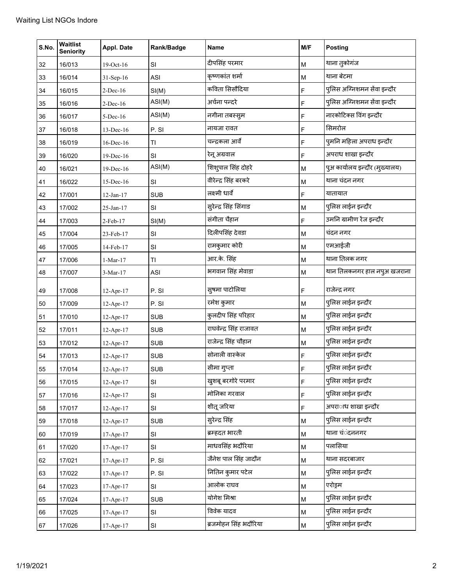| S.No. | Waitlist<br><b>Seniority</b> | Appl. Date      | Rank/Badge | Name                   | M/F | <b>Posting</b>                 |
|-------|------------------------------|-----------------|------------|------------------------|-----|--------------------------------|
| 32    | 16/013                       | 19-Oct-16       | SI         | दीपसिंह परमार          | M   | थाना तुकोगंज                   |
| 33    | 16/014                       | 31-Sep-16       | <b>ASI</b> | कृष्णकांत शर्मा        | M   | थाना बेटमा                     |
| 34    | 16/015                       | $2$ -Dec-16     | SI(M)      | कविता सिसौंदिया        | F   | पुलिस अग्न्निशमन सेंवा इन्दौर  |
| 35    | 16/016                       | $2-Dec-16$      | ASI(M)     | अर्चना पन्दरे          | F   | पुलिस अग्निशमन सेंवा इन्दौर    |
| 36    | 16/017                       | 5-Dec-16        | ASI(M)     | नगीना तबस्सुम          | F   | नारकोटिक्स विंग इन्दौर         |
| 37    | 16/018                       | $13$ -Dec-16    | P.SI       | नायजा रावत             | F   | सिमरोल                         |
| 38    | 16/019                       | 16-Dec-16       | TI         | चन्द्रकला आर्वे        | F   | पुमनि महिला अपराध इन्दौर       |
| 39    | 16/020                       | 19-Dec-16       | SI         | रेनू अग्रवाल           | F   | अपराध शाखा इन्दौर              |
| 40    | 16/021                       | 19-Dec-16       | ASI(M)     | शिशुपाल सिंह दोहरे     | M   | पुअ कार्यालय इन्दौर (मुख्यालय) |
| 41    | 16/022                       | 15-Dec-16       | SI         | वीरेन्द्र सिंह बरकरे   | M   | थाना चंदन नगर                  |
| 42    | 17/001                       | $12$ -Jan- $17$ | <b>SUB</b> | लक्ष्मी धार्वे         | F   | यातायात                        |
| 43    | 17/002                       | 25-Jan-17       | SI         | सुरेन्द्र सिंह सिंगाड  | M   | पुलिस लाईन इन्दौर              |
| 44    | 17/003                       | 2-Feb-17        | SI(M)      | संगीता चैहान           | F   | उमनि ग्रामीण रेंज इन्दौर       |
| 45    | 17/004                       | 23-Feb-17       | SI         | दिलीपसिंह देवडा        | M   | चंदन नगर                       |
| 46    | 17/005                       | 14-Feb-17       | SI         | रामकुमार कोरी          | M   | एमआईजी                         |
| 47    | 17/006                       | $1-Mar-17$      | TI         | आर.के. सिंह            | M   | थाना तिलक नगर                  |
| 48    | 17/007                       | 3-Mar-17        | <b>ASI</b> | भगवान सिंह मेवाडा      | M   | थान तिलकनगर हाल नपुअ खजराना    |
| 49    | 17/008                       | 12-Apr-17       | P.SI       | सूषमा पाटोलिया         | F   | राजेन्द्र नगर                  |
| 50    | 17/009                       | 12-Apr-17       | P.SI       | रमेश कुमार             | M   | पुलिस लाईन इन्दौर              |
| 51    | 17/010                       | 12-Apr-17       | <b>SUB</b> | कुलदीप सिंह परिहार     | M   | पुलिस लाईन इन्दौर              |
| 52    | 17/011                       | 12-Apr-17       | <b>SUB</b> | राघवेन्द्र सिंह राजावत | M   | पुलिस लाईन इन्दौर              |
| 53    | 17/012                       | 12-Apr-17       | <b>SUB</b> | राजेन्द्र सिंह चौहान   | M   | पुलिस लाईन इन्दौर              |
| 54    | 17/013                       | 12-Apr-17       | <b>SUB</b> | सोनाली वास्केल         | F   | पुलिस लाईन इन्दौर              |
| 55    | 17/014                       | 12-Apr-17       | <b>SUB</b> | सीमा गुप्ता            | F   | पुलिस लाईन इन्दौर              |
| 56    | 17/015                       | 12-Apr-17       | <b>SI</b>  | खुशबू बरगोरे परमार     | F   | पुलिस लाईन इन्दौर              |
| 57    | 17/016                       | $12-Apr-17$     | SI         | मोनिका गरवाल           | F   | पुलिस लाईन इन्दौर              |
| 58    | 17/017                       | 12-Apr-17       | SI         | शीतू जरिया             | F   | अपरााध शाखा इन्दौर             |
| 59    | 17/018                       | $12-Apr-17$     | <b>SUB</b> | सुरेन्द्र सिंह         | M   | पुलिस लाईन इन्दौर              |
| 60    | 17/019                       | 17-Apr-17       | SI         | ब्रम्हदत भारती         | M   | थाना चंंदननगर                  |
| 61    | 17/020                       | $17-Apr-17$     | SI         | माधवसिंह भदौरिया       | M   | पलासिया                        |
| 62    | 17/021                       | 17-Apr-17       | P.SI       | जैनेश पाल सिंह जादौन   | M   | थाना सदरबाजार                  |
| 63    | 17/022                       | 17-Apr-17       | P.SI       | नितिन कुमार पटेल       | M   | पुलिस लाईन इन्दौर              |
| 64    | 17/023                       | $17-Apr-17$     | SI         | आलोक राघव              | M   | एरोड्रम                        |
| 65    | 17/024                       | $17-Apr-17$     | <b>SUB</b> | योगेश मिश्रा           | M   | पुलिस लाईन इन्दौर              |
| 66    | 17/025                       | 17-Apr-17       | SI         | विवेक यादव             | M   | पुलिस लाईन इन्दौर              |
| 67    | 17/026                       | 17-Apr-17       | SI         | ब्रजमोहन सिंह भदौरिया  | M   | पुलिस लाईन इन्दौर              |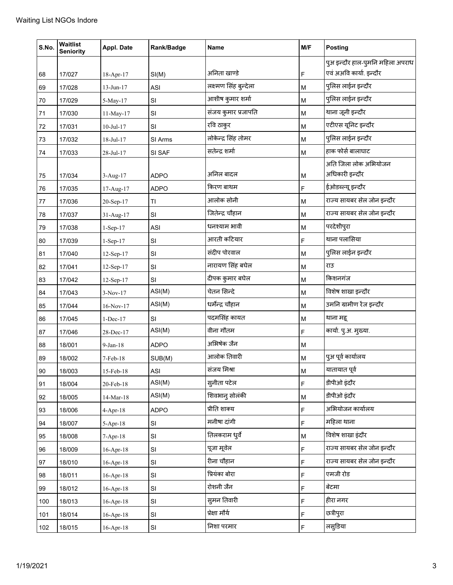| S.No. | Waitlist<br><b>Seniority</b> | Appl. Date      | Rank/Badge    | Name                  | M/F | <b>Posting</b>                   |
|-------|------------------------------|-----------------|---------------|-----------------------|-----|----------------------------------|
|       |                              |                 |               |                       |     | पुअ इन्दौर हाल-पुमनि महिला अपराध |
| 68    | 17/027                       | 18-Apr-17       | SI(M)         | अनिता खाण्डे          | F   | एवं अअवि कार्या. इन्दौर          |
| 69    | 17/028                       | 13-Jun-17       | <b>ASI</b>    | लक्ष्मण सिंह बुन्देला | M   | पुलिस लाईन इन्दौर                |
| 70    | 17/029                       | 5-May-17        | SI            | आशीष कुमार शर्मा      | M   | पुलिस लाईन इन्दौर                |
| 71    | 17/030                       | 11-May-17       | SI            | संजय कुमार प्रजापति   | M   | थाना जूनी इन्दौर                 |
| 72    | 17/031                       | $10$ -Jul- $17$ | SI            | रवि ठाकुर             | M   | एटीएस यूनिट इन्दौर               |
| 73    | 17/032                       | 18-Jul-17       | SI Arms       | लोकेन्द्र सिंह तोमर   | M   | पुलिस लाईन इन्दौर                |
| 74    | 17/033                       | 28-Jul-17       | SI SAF        | सतेन्द्र शर्मा        | M   | हाक फोर्स बालाघाट                |
|       |                              |                 |               |                       |     | अति जिला लोक अभियोजन             |
| 75    | 17/034                       | 3-Aug-17        | <b>ADPO</b>   | अनिल बादल             | M   | अधिकारी इन्दौर                   |
| 76    | 17/035                       | 17-Aug-17       | <b>ADPO</b>   | किरण बाथम             | F   | ईओडब्ल्यू इन्दौर                 |
| 77    | 17/036                       | 20-Sep-17       | TI            | आलोक सोनी             | M   | राज्य सायबर सेल जोन इन्दौर       |
| 78    | 17/037                       | 31-Aug-17       | SI            | जितेन्द्र चौहान       | M   | राज्य सायबर सेल जोन इन्दौर       |
| 79    | 17/038                       | $1-Sep-17$      | <b>ASI</b>    | धनश्याम भावी          | M   | परदेशीपुरा                       |
| 80    | 17/039                       | $1-Sep-17$      | SI            | आरती कटियार           | F   | थाना पलासिया                     |
| 81    | 17/040                       | 12-Sep-17       | SI            | संदीप पोरवाल          | M   | पुलिस लाईन इन्दौर                |
| 82    | 17/041                       | 12-Sep-17       | SI            | नारायण सिंह बघेल      | M   | राउ                              |
| 83    | 17/042                       | 12-Sep-17       | SI            | दीपक कुमार बघेल       | M   | किशनगंज                          |
| 84    | 17/043                       | $3-Nov-17$      | ASI(M)        | चेतन सिन्दे           | M   | विशेष शाखा इन्दौर                |
| 85    | 17/044                       | 16-Nov-17       | ASI(M)        | धर्मेन्द्र चौहान      | M   | उमनि ग्रामीण रेंज इन्दौर         |
| 86    | 17/045                       | $1-Dec-17$      | SI            | पदमसिंह कायत          | M   | थाना महू                         |
| 87    | 17/046                       | 28-Dec-17       | ASI(M)        | वीना गौतम             | F   | कार्या. पु.अ. मुख्या.            |
| 88    | 18/001                       | $9-Jan-18$      | <b>ADPO</b>   | अभिषेक जैन            | M   |                                  |
| 89    | 18/002                       | 7-Feb-18        | SUB(M)        | आलोक तिवारी           | M   | पुअ पूर्व कार्यालय               |
| 90    | 18/003                       | 15-Feb-18       | ASI           | संजय मिश्रा           | M   | यातायात पूर्व                    |
| 91    | 18/004                       | 20-Feb-18       | ASI(M)        | सुनीता पटेल           | F   | डीपीओ इंदौर                      |
| 92    | 18/005                       | $14$ -Mar-18    | ASI(M)        | शिवभानु सोलंकी        | M   | डीपीओ इंदौर                      |
| 93    | 18/006                       | $4 - Apr-18$    | <b>ADPO</b>   | प्रीति शाक्य          | F   | अभियोजन कार्यालय                 |
| 94    | 18/007                       | $5-Apr-18$      | SI            | मनीषा दांगी           | F   | महिला थाना                       |
| 95    | 18/008                       | $7-Apr-18$      | SI            | तिलकराम धर्वे         | M   | विशेष शाखा इंदौर                 |
| 96    | 18/009                       | $16$ -Apr- $18$ | SI            | पूजा मूवेल            | F   | राज्य सायबर सेल जोन इन्दौर       |
| 97    | 18/010                       | $16$ -Apr- $18$ | SI            | रीना चौहान            | F   | राज्य सायबर सेल जोन इन्दौर       |
| 98    | 18/011                       | $16$ -Apr- $18$ | SI            | प्रियंका बोरा         | F   | एमजी रोड                         |
| 99    | 18/012                       | $16$ -Apr- $18$ | SI            | रोशनी जैन             | F   | बेटमा                            |
| 100   | 18/013                       | $16$ -Apr- $18$ | SI            | सुमन तिवारी           | F   | हीरा नगर                         |
| 101   | 18/014                       | $16$ -Apr- $18$ | SI            | प्रेक्षा मौर्य        | F   | छत्रीपुरा                        |
| 102   | 18/015                       | 16-Apr-18       | $\mathsf{SI}$ | निशा परमार            | F   | लसुडिया                          |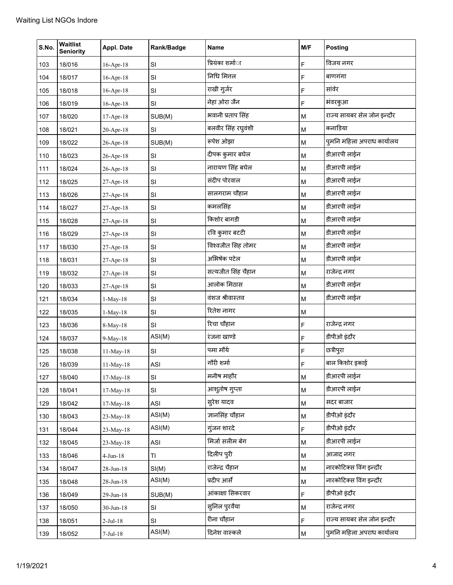| S.No. | <b>Waitlist</b><br><b>Seniority</b> | Appl. Date      | Rank/Badge | <b>Name</b>             | M/F | <b>Posting</b>             |
|-------|-------------------------------------|-----------------|------------|-------------------------|-----|----------------------------|
| 103   | 18/016                              | $16$ -Apr- $18$ | SI         | प्रियंका शर्मा <b>ा</b> | F   | विजय नगर                   |
| 104   | 18/017                              | $16$ -Apr- $18$ | SI         | निधि मित्तल             | F   | बाणगंगा                    |
| 105   | 18/018                              | $16$ -Apr- $18$ | SI         | राखी गुर्जर             | F   | सांवेर                     |
| 106   | 18/019                              | $16$ -Apr- $18$ | SI         | नेहा ओरा जैन            | F   | भंवरकुआ                    |
| 107   | 18/020                              | 17-Apr-18       | SUB(M)     | भवानी प्रताप सिंह       | M   | राज्य सायबर सेल जोन इन्दौर |
| 108   | 18/021                              | 20-Apr-18       | SI         | बलवीर सिंह रघुवंशी      | M   | कनाडिया                    |
| 109   | 18/022                              | 26-Apr-18       | SUB(M)     | रूपेश ओझा               | M   | पुमनि महिला अपराध कार्यालय |
| 110   | 18/023                              | 26-Apr-18       | SI         | दीपक कुमार बघेल         | M   | डीआरपी लाईन                |
| 111   | 18/024                              | 26-Apr-18       | SI         | नारायण सिंह बघेल        | M   | डीआरपी लाईन                |
| 112   | 18/025                              | 27-Apr-18       | SI         | संदीप पोरवाल            | M   | डीआरपी लाईन                |
| 113   | 18/026                              | 27-Apr-18       | SI         | सालगराम चौहान           | M   | डीआरपी लाईन                |
| 114   | 18/027                              | 27-Apr-18       | SI         | कमलसिंह                 | M   | डीआरपी लाईन                |
| 115   | 18/028                              | 27-Apr-18       | SI         | किशोर बागडी             | M   | डीआरपी लाईन                |
| 116   | 18/029                              | 27-Apr-18       | SI         | रवि कुमार बटटी          | M   | डीआरपी लाईन                |
| 117   | 18/030                              | 27-Apr-18       | SI         | विश्वजीत सिह तोमर       | M   | डीआरपी लाईन                |
| 118   | 18/031                              | 27-Apr-18       | SI         | अभिषेक पटेल             | M   | डीआरपी लाईन                |
| 119   | 18/032                              | 27-Apr-18       | SI         | सत्यजीत सिंह चैहान      | M   | राजेन्द्र नगर              |
| 120   | 18/033                              | 27-Apr-18       | SI         | आलोक मिठास              | M   | डीआरपी लाईन                |
| 121   | 18/034                              | 1-May-18        | SI         | वंशज श्रीवास्तव         | M   | डीआरपी लाईन                |
| 122   | 18/035                              | 1-May-18        | SI         | रितेश नागर              | M   |                            |
| 123   | 18/036                              | 8-May-18        | SI         | रिचा चौहान              | F   | राजेन्द्र नगर              |
| 124   | 18/037                              | 9-May-18        | ASI(M)     | रंजना खाण्डे            | F   | डीपीओ इंदौर                |
| 125   | 18/038                              | 11-May-18       | SI         | पमा मौर्य               | F   | छत्रीपुरा                  |
| 126   | 18/039                              | 11-May-18       | ASI        | गौरी शर्मा              | F   | बाल किशोर इकाई             |
| 127   | 18/040                              | 17-May-18       | SI         | मनीष माहौर              | M   | डीआरपी लाईन                |
| 128   | 18/041                              | 17-May-18       | SI         | आशूतोष गुप्ता           | M   | डीआरपी लाईन                |
| 129   | 18/042                              | 17-May-18       | <b>ASI</b> | सुरेश यादव              | M   | सदर बाजार                  |
| 130   | 18/043                              | 23-May-18       | ASI(M)     | ज्ञानसिंह चौहान         | M   | डीपीओ इंदौर                |
| 131   | 18/044                              | 23-May-18       | ASI(M)     | गुंजन शारदे             | F   | डीपीओ इंदौर                |
| 132   | 18/045                              | 23-May-18       | <b>ASI</b> | मिर्जा सलीम बेग         | M   | डीआरपी लाईन                |
| 133   | 18/046                              | $4$ -Jun- $18$  | ΤI         | दिलीप पुरी              | M   | आजाद नगर                   |
| 134   | 18/047                              | 28-Jun-18       | SI(M)      | राजेन्द्र चैहान         | M   | नारकोटिक्स विंग इन्दौर     |
| 135   | 18/048                              | 28-Jun-18       | ASI(M)     | प्रदीप आर्से            | M   | नारकोटिक्स विंग इन्दौर     |
| 136   | 18/049                              | 29-Jun-18       | SUB(M)     | आंकाक्षा सिकरवार        | F   | डीपीओ इंदौर                |
| 137   | 18/050                              | $30$ -Jun-18    | SI         | सुनिल पुरवैया           | M   | राजेन्द्र नगर              |
| 138   | 18/051                              | $2-Jul-18$      | SI         | रीना चौहान              | F   | राज्य सायबर सेल जोन इन्दौर |
| 139   | 18/052                              | $7-Jul-18$      | ASI(M)     | दिनेश वास्कले           | M   | पुमनि महिला अपराध कार्यालय |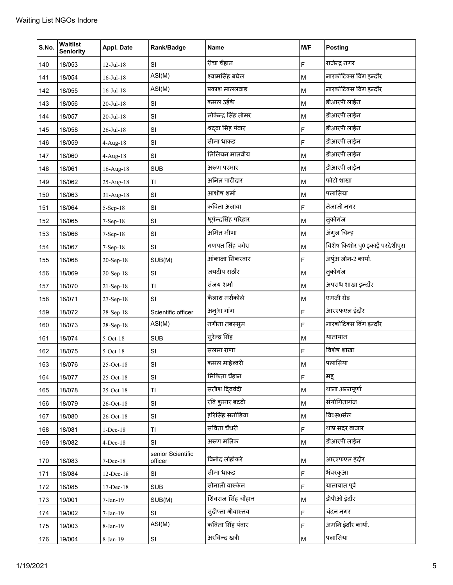| S.No. | Waitlist<br><b>Seniority</b> | Appl. Date      | Rank/Badge                   | Name                 | M/F | <b>Posting</b>                  |
|-------|------------------------------|-----------------|------------------------------|----------------------|-----|---------------------------------|
| 140   | 18/053                       | $12$ -Jul- $18$ | SI                           | रीचा चैहान           | F   | राजेन्द्र नगर                   |
| 141   | 18/054                       | 16-Jul-18       | ASI(M)                       | श्यामसिंह बघेल       | M   | नारकोटिक्स विंग इन्दौर          |
| 142   | 18/055                       | $16$ -Jul- $18$ | ASI(M)                       | प्रकाश माललवाड       | M   | नारकोटिक्स विंग इन्दौर          |
| 143   | 18/056                       | 20-Jul-18       | SI                           | कमल उईके             | M   | डीआरपी लाईन                     |
| 144   | 18/057                       | 20-Jul-18       | SI                           | लोकेन्द्र सिंह तोमर  | M   | डीआरपी लाईन                     |
| 145   | 18/058                       | 26-Jul-18       | SI                           | श्रदवा सिंह पंवार    | F   | डीआरपी लाईन                     |
| 146   | 18/059                       | $4-Aug-18$      | SI                           | सीमा धाकड            | F   | डीआरपी लाईन                     |
| 147   | 18/060                       | 4-Aug-18        | SI                           | लिलियन मालवीय        | M   | डीआरपी लाईन                     |
| 148   | 18/061                       | 16-Aug-18       | <b>SUB</b>                   | अरूण परमार           | M   | डीआरपी लाईन                     |
| 149   | 18/062                       | 25-Aug-18       | TI                           | अनिल पाटीदार         | M   | फोटो शाखा                       |
| 150   | 18/063                       | 31-Aug-18       | SI                           | आशीष शर्मा           | M   | पलासिया                         |
| 151   | 18/064                       | 5-Sep-18        | SI                           | कविता अलावा          | F   | तेजाजी नगर                      |
| 152   | 18/065                       | 7-Sep-18        | SI                           | भूपेन्द्रसिंह परिहार | M   | तुकोगंज                         |
| 153   | 18/066                       | 7-Sep-18        | SI                           | अमित मीणा            | M   | अंगुल चिन्ह                     |
| 154   | 18/067                       | 7-Sep-18        | SI                           | गणपत सिंह वगेरा      | M   | विशेष किशोर पु0 इकाई परदेशीपुरा |
| 155   | 18/068                       | 20-Sep-18       | SUB(M)                       | आंकाक्षा सिकरवार     | F   | अपुंअ जोन-2 कार्या.             |
| 156   | 18/069                       | 20-Sep-18       | SI                           | जयदीप राठौर          | M   | तुकोगंज                         |
| 157   | 18/070                       | 21-Sep-18       | TI.                          | संजय शर्मा           | M   | अपराध शाखा इन्दौर               |
| 158   | 18/071                       | 27-Sep-18       | SI                           | कैलाश मर्सकोले       | M   | एमजी रोड                        |
| 159   | 18/072                       | 28-Sep-18       | Scientific officer           | अनुभा गांग           | F   | आरएफएल इंदौर                    |
| 160   | 18/073                       | 28-Sep-18       | ASI(M)                       | नगीना तबस्सुम        | F   | नारकोटिक्स विंग इन्दौर          |
| 161   | 18/074                       | $5-Oct-18$      | <b>SUB</b>                   | सुरेन्द्र सिंह       | M   | यातायात                         |
| 162   | 18/075                       | $5-Oct-18$      | SI                           | सलमा राणा            | F   | विशेष शाखा                      |
| 163   | 18/076                       | 25-Oct-18       | SI                           | कमल माहेश्वरी        | M   | पलासिया                         |
| 164   | 18/077                       | 25-Oct-18       | SI                           | मिकिता चैहान         | F   | महू                             |
| 165   | 18/078                       | 25-Oct-18       | TI.                          | सतीश दिववेदी         | M   | थाना अन्नपूर्णा                 |
| 166   | 18/079                       | 26-Oct-18       | SI                           | रवि कुमार बटटी       | M   | संयोगितागंज                     |
| 167   | 18/080                       | 26-Oct-18       | SI                           | हरिसिंह सनोडिया      | M   | वि0स0सेल                        |
| 168   | 18/081                       | $1-Dec-18$      | TI                           | सविता चैधरी          | F   | थाप्र सदर बाजार                 |
| 169   | 18/082                       | $4$ -Dec-18     | SI                           | अरूण मलिक            | M   | डीआरपी लाईन                     |
| 170   | 18/083                       | $7-Dec-18$      | senior Scientific<br>officer | विनोद लोहोकरे        | M   | आरएफएल इंदौर                    |
| 171   | 18/084                       | 12-Dec-18       | SI                           | सीमा धाकड            | F   | भंवरकुआ                         |
| 172   | 18/085                       | 17-Dec-18       | <b>SUB</b>                   | सोनाली वास्केल       | F   | यातायात पूर्व                   |
| 173   | 19/001                       | $7-Jan-19$      | SUB(M)                       | शिवराज सिंह चौहान    | M   | डीपीओ इंदौर                     |
| 174   | 19/002                       | $7-Jan-19$      | SI                           | सुदीप्ता श्रीवास्तव  | F   | चंदन नगर                        |
| 175   | 19/003                       | 8-Jan-19        | ASI(M)                       | कविता सिंह पंवार     | F   | अमनि इंदौर कार्या.              |
| 176   | 19/004                       | 8-Jan-19        | SI                           | अरविन्द खत्री        | M   | पलासिया                         |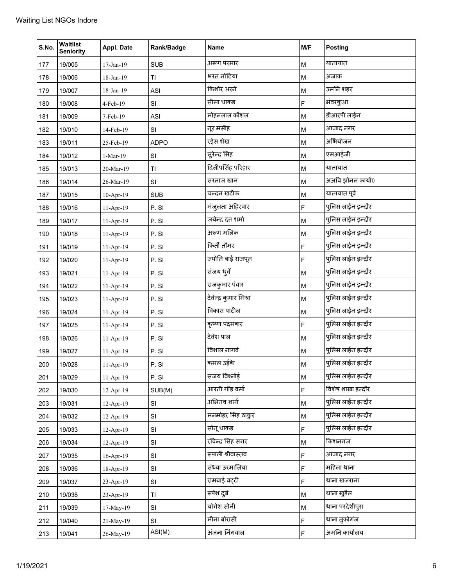| S.No. | <b>Waitlist</b><br><b>Seniority</b> | Appl. Date  | Rank/Badge  | Name                   | M/F                                                                                   | <b>Posting</b>    |
|-------|-------------------------------------|-------------|-------------|------------------------|---------------------------------------------------------------------------------------|-------------------|
| 177   | 19/005                              | 17-Jan-19   | <b>SUB</b>  | अरूण परमार             | M                                                                                     | यातायात           |
| 178   | 19/006                              | 18-Jan-19   | TI          | भरत नोटिया             | M                                                                                     | अजाक              |
| 179   | 19/007                              | 18-Jan-19   | <b>ASI</b>  | किशोर अरने             | M                                                                                     | उमनि शहर          |
| 180   | 19/008                              | 4-Feb-19    | SI          | सीमा धाकड              | F                                                                                     | भंवरकुआ           |
| 181   | 19/009                              | 7-Feb-19    | ASI         | मोहनलाल कौशल           | M                                                                                     | डीआरपी लाईन       |
| 182   | 19/010                              | 14-Feb-19   | SI          | नूर मसीह               | M                                                                                     | आजाद नगर          |
| 183   | 19/011                              | 25-Feb-19   | <b>ADPO</b> | रईस शेख                | M                                                                                     | अभियोजन           |
| 184   | 19/012                              | 1-Mar-19    | SI          | सुरेन्द्र सिंह         | M                                                                                     | एमआईजी            |
| 185   | 19/013                              | 20-Mar-19   | ΤI          | दिलीपसिंह परिहार       | M                                                                                     | यातायात           |
| 186   | 19/014                              | 26-Mar-19   | SI          | सरताज खान              | M                                                                                     | अअवि झोनल कार्या0 |
| 187   | 19/015                              | $10-Apr-19$ | <b>SUB</b>  | चन्दन खटीक             | M                                                                                     | यातायात पूर्व     |
| 188   | 19/016                              | $11-Apr-19$ | P. SI       | मंजुलता अहिरवार        | $\mathsf F$                                                                           | पुलिस लाईन इन्दौर |
| 189   | 19/017                              | $11-Apr-19$ | P. SI       | जयेन्द्र दत्त शर्मा    | M                                                                                     | पुलिस लाईन इन्दौर |
| 190   | 19/018                              | 11-Apr-19   | P. SI       | अरूण मलिक              | M                                                                                     | पुलिस लाईन इन्दौर |
| 191   | 19/019                              | $11-Apr-19$ | P. SI       | किर्ती तौमर            | F                                                                                     | पुलिस लाईन इन्दौर |
| 192   | 19/020                              | $11-Apr-19$ | P.SI        | ज्योति बाई राजपूत      | F                                                                                     | पुलिस लाईन इन्दौर |
| 193   | 19/021                              | $11-Apr-19$ | P.SI        | संजय धुर्वे            | M                                                                                     | पुलिस लाईन इन्दौर |
| 194   | 19/022                              | $11-Apr-19$ | P. SI       | राजकुमार पंवार         | M                                                                                     | पुलिस लाईन इन्दौर |
| 195   | 19/023                              | $11-Apr-19$ | P. SI       | देवेन्द्र कुमार मिश्रा | M                                                                                     | पुलिस लाईन इन्दौर |
| 196   | 19/024                              | $11-Apr-19$ | P. SI       | विकास पाटील            | $\mathsf{M}% _{T}=\mathsf{M}_{T}\!\left( a,b\right) ,\ \mathsf{M}_{T}=\mathsf{M}_{T}$ | पुलिस लाईन इन्दौर |
| 197   | 19/025                              | 11-Apr-19   | P. SI       | कृष्णा पदमकर           | F                                                                                     | पुलिस लाईन इन्दौर |
| 198   | 19/026                              | 11-Apr-19   | P. SI       | देवेश पाल              | M                                                                                     | पुलिस लाईन इन्दौर |
| 199   | 19/027                              | 11-Apr-19   | P. SI       | विशाल नागवे            | M                                                                                     | पुलिस लाईन इन्दौर |
| 200   | 19/028                              | 11-Apr-19   | P.SI        | कमल उईके               | M                                                                                     | पुलिस लाईन इन्दौर |
| 201   | 19/029                              | $11-Apr-19$ | P.SI        | संजय विश्नोई           | ${\sf M}$                                                                             | पुलिस लाईन इन्दौर |
| 202   | 19/030                              | $12-Apr-19$ | SUB(M)      | आरती गौड़ वर्मा        | F                                                                                     | विशेष शाखा इन्दौर |
| 203   | 19/031                              | $12-Apr-19$ | SI          | अभिनव शर्मा            | M                                                                                     | पुलिस लाईन इन्दौर |
| 204   | 19/032                              | $12-Apr-19$ | SI          | मनमोहर सिंह ठाकुर      | M                                                                                     | पुलिस लाईन इन्दौर |
| 205   | 19/033                              | $12-Apr-19$ | SI          | सोनू धाकड़             | F                                                                                     | पुलिस लाईन इन्दौर |
| 206   | 19/034                              | $12-Apr-19$ | SI          | रविन्द्र सिंह सगर      | M                                                                                     | किशनगंज           |
| 207   | 19/035                              | $16-Apr-19$ | SI          | रूपाली श्रीवास्तव      | F                                                                                     | आजाद नगर          |
| 208   | 19/036                              | 18-Apr-19   | SI          | संध्या उरमालिया        | F                                                                                     | महिला थाना        |
| 209   | 19/037                              | 23-Apr-19   | SI          | रामबाई वट्टी           | F                                                                                     | थाना खजराना       |
| 210   | 19/038                              | $23-Apr-19$ | TI          | रूपेश दुबे             | M                                                                                     | थाना खुडैल        |
| 211   | 19/039                              | 17-May-19   | SI          | योगेश सोनी             | M                                                                                     | थाना परदेशीपुरा   |
| 212   | 19/040                              | 21-May-19   | SI          | मीना बोरासी            | $\mathsf F$                                                                           | थाना तुकोगंज      |
| 213   | 19/041                              | 26-May-19   | ASI(M)      | अंजना निंगवाल          | F                                                                                     | अमनि कार्यालय     |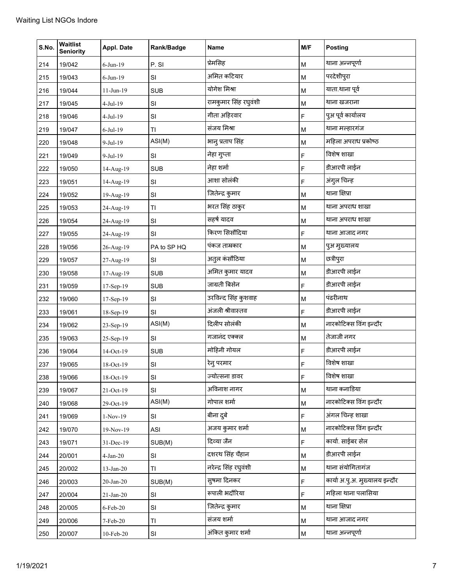| S.No. | Waitlist<br><b>Seniority</b> | Appl. Date        | Rank/Badge  | <b>Name</b>           | M/F                                                                                   | <b>Posting</b>                 |
|-------|------------------------------|-------------------|-------------|-----------------------|---------------------------------------------------------------------------------------|--------------------------------|
| 214   | 19/042                       | $6$ -Jun-19       | P.SI        | प्रेमसिह              | M                                                                                     | थाना अन्नपूर्णा                |
| 215   | 19/043                       | $6$ -Jun-19       | SI          | अमित कटियार           | $\mathsf{M}% _{T}=\mathsf{M}_{T}\!\left( a,b\right) ,\ \mathsf{M}_{T}=\mathsf{M}_{T}$ | परदेशीपुरा                     |
| 216   | 19/044                       | $11-Jun-19$       | <b>SUB</b>  | योगेश मिश्रा          | M                                                                                     | याता.थाना पूर्व                |
| 217   | 19/045                       | $4-Jul-19$        | SI          | रामकुमार सिंह रघुवंशी | M                                                                                     | थाना खजराना                    |
| 218   | 19/046                       | $4-Jul-19$        | SI          | गीता अहिरवार          | F                                                                                     | पुअ पूर्व कार्यालय             |
| 219   | 19/047                       | $6$ -Jul-19       | TI          | संजय मिश्रा           | M                                                                                     | थाना मल्हारगंज                 |
| 220   | 19/048                       | $9-Jul-19$        | ASI(M)      | भानु प्रताप सिंह      | M                                                                                     | महिला अपराध प्रकोष्ठ           |
| 221   | 19/049                       | $9-Jul-19$        | SI          | नेहा गुप्ता           | $\mathsf F$                                                                           | विशेष शाखा                     |
| 222   | 19/050                       | 14-Aug-19         | <b>SUB</b>  | नेहा शर्मा            | F                                                                                     | डीआरपी लाईन                    |
| 223   | 19/051                       | 14-Aug-19         | SI          | आशा सोलंकी            | F                                                                                     | अंगुल चिन्ह                    |
| 224   | 19/052                       | 19-Aug-19         | SI          | जितेन्द्र कुमार       | M                                                                                     | थाना क्षिप्रा                  |
| 225   | 19/053                       | 24-Aug-19         | TI          | भरत सिंह ठाकुर        | M                                                                                     | थाना अपराध शाखा                |
| 226   | 19/054                       | 24-Aug-19         | SI          | सहर्ष यादव            | M                                                                                     | थाना अपराध शाखा                |
| 227   | 19/055                       | 24-Aug-19         | SI          | किरण सिसौंदिया        | F                                                                                     | थाना आजाद नगर                  |
| 228   | 19/056                       | 26-Aug-19         | PA to SP HQ | पंकज ताम्रकार         | M                                                                                     | पुअ मुख्यालय                   |
| 229   | 19/057                       | 27-Aug-19         | SI          | अतुल कंसौठिया         | M                                                                                     | छत्रीपुरा                      |
| 230   | 19/058                       | 17-Aug-19         | <b>SUB</b>  | अमित कुमार यादव       | M                                                                                     | डीआरपी लाईन                    |
| 231   | 19/059                       | 17-Sep-19         | <b>SUB</b>  | जाग्रती बिसेन         | F                                                                                     | डीआरपी लाईन                    |
| 232   | 19/060                       | 17-Sep-19         | SI          | उरविन्द सिंह कुशवाह   | M                                                                                     | पंढरीनाथ                       |
| 233   | 19/061                       | 18-Sep-19         | SI          | अंजली श्रीवास्तव      | F                                                                                     | डीआरपी लाईन                    |
| 234   | 19/062                       | 23-Sep-19         | ASI(M)      | दिलीप सोलंकी          | M                                                                                     | नारकोटिक्स विंग इन्दौर         |
| 235   | 19/063                       | 25-Sep-19         | SI          | गजानंद एक्क्ल         | M                                                                                     | तेजाजी नगर                     |
| 236   | 19/064                       | 14-Oct-19         | <b>SUB</b>  | मोहिनी गोयल           | F                                                                                     | डीआरपी लाईन                    |
| 237   | 19/065                       | 18-Oct-19         | SI          | रेन् परमार            | F                                                                                     | विशेष शाखा                     |
| 238   | 19/066                       | 18-Oct-19         | SI          | ज्योत्सना डावर        | F                                                                                     | विशेष शाखा                     |
| 239   | 19/067                       | 21-Oct-19         | SI          | अविनाश नागर           | M                                                                                     | थाना कनाडिया                   |
| 240   | 19/068                       | 29-Oct-19         | ASI(M)      | गोपाल शर्मा           | M                                                                                     | नारकोटिक्स विंग इन्दौर         |
| 241   | 19/069                       | $1-Nov-19$        | SI          | बीना दुबे             | $\mathsf F$                                                                           | अंगल चिन्ह शाखा                |
| 242   | 19/070                       | 19-Nov-19         | ASI         | अजय कुमार शर्मा       | M                                                                                     | नारकोटिक्स विंग इन्दौर         |
| 243   | 19/071                       | 31-Dec-19         | SUB(M)      | दिव्या जैन            | $\mathsf F$                                                                           | कार्या. साईबर सेल              |
| 244   | 20/001                       | $4-Jan-20$        | SI          | दशरथ सिंह चैहान       | M                                                                                     | डीआरपी लाईन                    |
| 245   | 20/002                       | 13-Jan-20         | TI          | नरेन्द्र सिंह रघुवंशी | M                                                                                     | थाना संयोगितागंज               |
| 246   | 20/003                       | $20$ -Jan- $20$   | SUB(M)      | सुषमा दिनकर           | F                                                                                     | कार्या अ.पु.अ. मुख्यालय इन्दौर |
| 247   | 20/004                       | $21-Jan-20$       | SI          | रूपाली भदौरिया        | F                                                                                     | महिला थाना पलासिया             |
| 248   | 20/005                       | 6-Feb-20          | SI          | जितेन्द्र कुमार       | M                                                                                     | थाना क्षिप्रा                  |
| 249   | 20/006                       | 7-Feb-20          | TI          | संजय शर्मा            | M                                                                                     | थाना आजाद नगर                  |
| 250   | 20/007                       | $10$ -Feb-20 $\,$ | SI          | अंकित कुमार शर्मा     | $\sf M$                                                                               | थाना अन्नपूर्णा                |